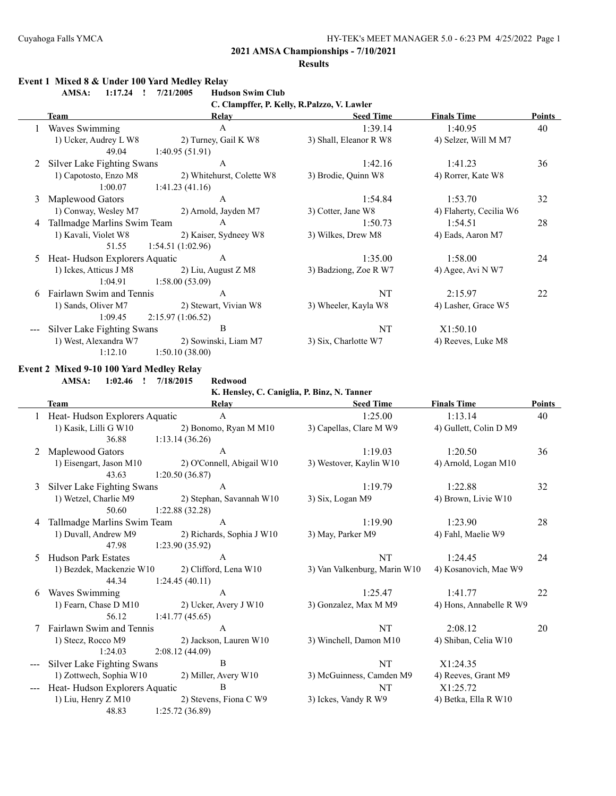#### **Results**

#### **Event 1 Mixed 8 & Under 100 Yard Medley Relay**

**AMSA: 1:17.24 ! 7/21/2005 Hudson Swim Club**

**C. Clampffer, P. Kelly, R.Palzzo, V. Lawler**

|   | Team                                     | Relay                       | <b>Seed Time</b>                            | <b>Finals Time</b>      | <b>Points</b> |
|---|------------------------------------------|-----------------------------|---------------------------------------------|-------------------------|---------------|
|   | Waves Swimming                           | $\mathbf{A}$                | 1:39.14                                     | 1:40.95                 | 40            |
|   | 1) Ucker, Audrey L W8                    | 2) Turney, Gail K W8        | 3) Shall, Eleanor R W8                      | 4) Selzer, Will M M7    |               |
|   | 49.04                                    | 1:40.95(51.91)              |                                             |                         |               |
|   | Silver Lake Fighting Swans               | $\mathbf{A}$                | 1:42.16                                     | 1:41.23                 | 36            |
|   | 1) Capotosto, Enzo M8                    | 2) Whitehurst, Colette W8   | 3) Brodie, Quinn W8                         | 4) Rorrer, Kate W8      |               |
|   | 1:00.07                                  | 1:41.23(41.16)              |                                             |                         |               |
| 3 | Maplewood Gators                         | $\mathbf{A}$                | 1:54.84                                     | 1:53.70                 | 32            |
|   | 1) Conway, Wesley M7                     | 2) Arnold, Jayden M7        | 3) Cotter, Jane W8                          | 4) Flaherty, Cecilia W6 |               |
| 4 | Tallmadge Marlins Swim Team              | A                           | 1:50.73                                     | 1:54.51                 | 28            |
|   | 1) Kavali, Violet W8                     | 2) Kaiser, Sydneey W8       | 3) Wilkes, Drew M8                          | 4) Eads, Aaron M7       |               |
|   | 51.55                                    | 1:54.51(1:02.96)            |                                             |                         |               |
| 5 | Heat-Hudson Explorers Aquatic            | $\mathbf{A}$                | 1:35.00                                     | 1:58.00                 | 24            |
|   | 1) Ickes, Atticus J M8                   | 2) Liu, August Z M8         | 3) Badziong, Zoe R W7                       | 4) Agee, Avi N W7       |               |
|   | 1:04.91                                  | 1:58.00(53.09)              |                                             |                         |               |
| 6 | Fairlawn Swim and Tennis                 | $\overline{A}$              | NT                                          | 2:15.97                 | 22            |
|   | 1) Sands, Oliver M7                      | 2) Stewart, Vivian W8       | 3) Wheeler, Kayla W8                        | 4) Lasher, Grace W5     |               |
|   | 1:09.45                                  | 2:15.97(1:06.52)            |                                             |                         |               |
|   | Silver Lake Fighting Swans               | B                           | <b>NT</b>                                   | X1:50.10                |               |
|   | 1) West, Alexandra W7                    | 2) Sowinski, Liam M7        | 3) Six, Charlotte W7                        | 4) Reeves, Luke M8      |               |
|   | 1:12.10                                  | 1:50.10(38.00)              |                                             |                         |               |
|   | Event 2 Mixed 9-10 100 Yard Medley Relay |                             |                                             |                         |               |
|   | AMSA:<br>1:02.46                         | 7/18/2015<br><b>Redwood</b> |                                             |                         |               |
|   |                                          |                             | K. Hensley, C. Caniglia, P. Binz, N. Tanner |                         |               |

|   | <b>Team</b>                   | Relay                     | <b>Seed Time</b>             | <b>Finals Time</b>      | <b>Points</b> |
|---|-------------------------------|---------------------------|------------------------------|-------------------------|---------------|
|   | Heat-Hudson Explorers Aquatic | A                         | 1:25.00                      | 1:13.14                 | 40            |
|   | 1) Kasik, Lilli G W10         | 2) Bonomo, Ryan M M10     | 3) Capellas, Clare M W9      | 4) Gullett, Colin D M9  |               |
|   | 36.88                         | 1:13.14(36.26)            |                              |                         |               |
| 2 | Maplewood Gators              | $\mathbf{A}$              | 1:19.03                      | 1:20.50                 | 36            |
|   | 1) Eisengart, Jason M10       | 2) O'Connell, Abigail W10 | 3) Westover, Kaylin W10      | 4) Arnold, Logan M10    |               |
|   | 43.63                         | 1:20.50(36.87)            |                              |                         |               |
| 3 | Silver Lake Fighting Swans    | $\mathsf{A}$              | 1:19.79                      | 1:22.88                 | 32            |
|   | 1) Wetzel, Charlie M9         | 2) Stephan, Savannah W10  | 3) Six, Logan M9             | 4) Brown, Livie W10     |               |
|   | 50.60                         | 1:22.88 (32.28)           |                              |                         |               |
|   | Tallmadge Marlins Swim Team   | $\mathsf{A}$              | 1:19.90                      | 1:23.90                 | 28            |
|   | 1) Duvall, Andrew M9          | 2) Richards, Sophia J W10 | 3) May, Parker M9            | 4) Fahl, Maelie W9      |               |
|   | 47.98                         | 1:23.90(35.92)            |                              |                         |               |
| 5 | <b>Hudson Park Estates</b>    | $\overline{A}$            | NT                           | 1:24.45                 | 24            |
|   | 1) Bezdek, Mackenzie W10      | 2) Clifford, Lena W10     | 3) Van Valkenburg, Marin W10 | 4) Kosanovich, Mae W9   |               |
|   | 44.34                         | 1:24.45(40.11)            |                              |                         |               |
| 6 | Waves Swimming                | A                         | 1:25.47                      | 1:41.77                 | 22            |
|   | 1) Fearn, Chase D M10         | 2) Ucker, Avery J W10     | 3) Gonzalez, Max M M9        | 4) Hons, Annabelle R W9 |               |
|   | 56.12                         | 1:41.77(45.65)            |                              |                         |               |
|   | Fairlawn Swim and Tennis      | A                         | <b>NT</b>                    | 2:08.12                 | 20            |
|   | 1) Stecz, Rocco M9            | 2) Jackson, Lauren W10    | 3) Winchell, Damon M10       | 4) Shiban, Celia W10    |               |
|   | 1:24.03                       | 2:08.12(44.09)            |                              |                         |               |
|   | Silver Lake Fighting Swans    | B                         | NT                           | X1:24.35                |               |
|   | 1) Zottwech, Sophia W10       | 2) Miller, Avery W10      | 3) McGuinness, Camden M9     | 4) Reeves, Grant M9     |               |
|   | Heat-Hudson Explorers Aquatic | B                         | NT                           | X1:25.72                |               |
|   | 1) Liu, Henry Z M10           | 2) Stevens, Fiona C W9    | 3) Ickes, Vandy R W9         | 4) Betka, Ella R W10    |               |
|   | 48.83                         | 1:25.72(36.89)            |                              |                         |               |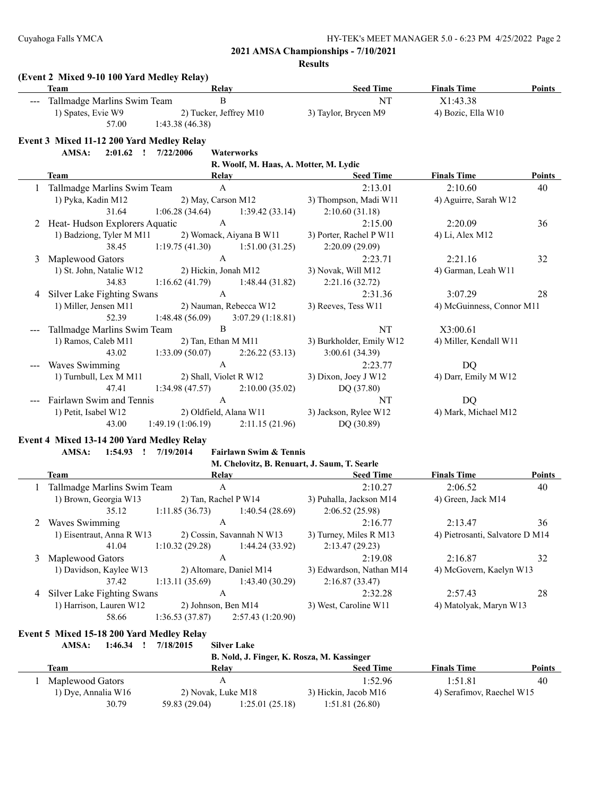**Results**

|   | (Event 2 Mixed 9-10 100 Yard Medley Relay)<br><b>Team</b> | Relay                                                    | <b>Seed Time</b>                             | <b>Finals Time</b>              | <b>Points</b> |
|---|-----------------------------------------------------------|----------------------------------------------------------|----------------------------------------------|---------------------------------|---------------|
|   | Tallmadge Marlins Swim Team                               | B                                                        | NT                                           | X1:43.38                        |               |
|   | 1) Spates, Evie W9                                        | 2) Tucker, Jeffrey M10                                   | 3) Taylor, Brycen M9                         | 4) Bozic, Ella W10              |               |
|   | 57.00                                                     | 1:43.38(46.38)                                           |                                              |                                 |               |
|   | Event 3 Mixed 11-12 200 Yard Medley Relay                 |                                                          |                                              |                                 |               |
|   | AMSA:                                                     | 2:01.62 ! 7/22/2006<br>Waterworks                        |                                              |                                 |               |
|   |                                                           | R. Woolf, M. Haas, A. Motter, M. Lydic                   |                                              |                                 |               |
|   | Team                                                      | Relay                                                    | <b>Seed Time</b>                             | <b>Finals Time</b>              | Points        |
|   | Tallmadge Marlins Swim Team                               | $\mathbf{A}$                                             | 2:13.01                                      | 2:10.60                         | 40            |
|   | 1) Pyka, Kadin M12                                        | 2) May, Carson M12                                       | 3) Thompson, Madi W11                        | 4) Aguirre, Sarah W12           |               |
|   | 31.64                                                     | 1:06.28(34.64)<br>1:39.42(33.14)                         | 2:10.60(31.18)                               |                                 |               |
| 2 | Heat-Hudson Explorers Aquatic                             | $\mathbf{A}$                                             | 2:15.00                                      | 2:20.09                         | 36            |
|   | 1) Badziong, Tyler M M11                                  | 2) Womack, Aiyana B W11                                  | 3) Porter, Rachel P W11                      | 4) Li, Alex M12                 |               |
|   | 38.45                                                     | 1:19.75(41.30)<br>1:51.00(31.25)                         | 2:20.09(29.09)                               |                                 |               |
| 3 | Maplewood Gators                                          | $\mathbf{A}$                                             | 2:23.71                                      | 2:21.16                         | 32            |
|   | 1) St. John, Natalie W12                                  | 2) Hickin, Jonah M12                                     | 3) Novak, Will M12                           | 4) Garman, Leah W11             |               |
|   | 34.83                                                     | 1:16.62(41.79)<br>1:48.44(31.82)                         | 2:21.16(32.72)                               |                                 |               |
| 4 | Silver Lake Fighting Swans                                | $\mathbf{A}$                                             | 2:31.36                                      | 3:07.29                         | 28            |
|   | 1) Miller, Jensen M11                                     | 2) Nauman, Rebecca W12                                   | 3) Reeves, Tess W11                          | 4) McGuinness, Connor M11       |               |
|   | 52.39                                                     | 1:48.48(56.09)<br>3:07.29(1:18.81)                       |                                              |                                 |               |
|   | Tallmadge Marlins Swim Team                               | B                                                        | NT                                           | X3:00.61                        |               |
|   | 1) Ramos, Caleb M11                                       | 2) Tan, Ethan M M11                                      | 3) Burkholder, Emily W12                     | 4) Miller, Kendall W11          |               |
|   | 43.02                                                     | 2:26.22(53.13)<br>1:33.09(50.07)                         | 3:00.61(34.39)                               |                                 |               |
|   | Waves Swimming                                            | $\mathbf{A}$                                             | 2:23.77                                      | DQ                              |               |
|   | 1) Turnbull, Lex M M11                                    | 2) Shall, Violet R W12                                   | 3) Dixon, Joey J W12                         | 4) Darr, Emily M W12            |               |
|   | 47.41                                                     | 1:34.98(47.57)<br>2:10.00(35.02)                         | DQ (37.80)                                   |                                 |               |
|   | Fairlawn Swim and Tennis                                  | $\mathbf{A}$                                             | NT                                           | DQ                              |               |
|   | 1) Petit, Isabel W12                                      | 2) Oldfield, Alana W11                                   | 3) Jackson, Rylee W12                        | 4) Mark, Michael M12            |               |
|   | 43.00                                                     | 1:49.19(1:06.19)<br>2:11.15(21.96)                       | DQ (30.89)                                   |                                 |               |
|   | Event 4 Mixed 13-14 200 Yard Medley Relay                 |                                                          |                                              |                                 |               |
|   | AMSA:                                                     | 1:54.93 ! 7/19/2014<br><b>Fairlawn Swim &amp; Tennis</b> |                                              |                                 |               |
|   |                                                           |                                                          | M. Chelovitz, B. Renuart, J. Saum, T. Searle |                                 |               |
|   | Team                                                      | <b>Relay</b>                                             | <b>Seed Time</b>                             | <b>Finals Time</b>              | Points        |
|   | Tallmadge Marlins Swim Team                               | $\boldsymbol{\mathsf{A}}$                                | 2:10.27                                      | 2:06.52                         | 40            |
|   | 1) Brown, Georgia W13                                     | 2) Tan, Rachel P W14                                     | 3) Puhalla, Jackson M14                      | 4) Green, Jack M14              |               |
|   | 35.12                                                     | 1:11.85(36.73)<br>1:40.54 (28.69)                        | 2:06.52(25.98)                               |                                 |               |
|   | 2 Waves Swimming                                          | $\mathbf{A}$                                             | 2:16.77                                      | 2:13.47                         | 36            |
|   | 1) Eisentraut, Anna R W13                                 | 2) Cossin, Savannah N W13                                | 3) Turney, Miles R M13                       | 4) Pietrosanti, Salvatore D M14 |               |
|   | 41.04                                                     | 1:10.32(29.28)<br>1:44.24(33.92)                         | 2:13.47(29.23)                               |                                 |               |
| 3 | Maplewood Gators                                          | $\mathbf{A}$                                             | 2:19.08                                      | 2:16.87                         | 32            |
|   | 1) Davidson, Kaylee W13                                   | 2) Altomare, Daniel M14                                  | 3) Edwardson, Nathan M14                     | 4) McGovern, Kaelyn W13         |               |
|   | 37.42                                                     | 1:13.11(35.69)<br>1:43.40(30.29)                         | 2:16.87(33.47)                               |                                 |               |
| 4 | Silver Lake Fighting Swans                                | $\mathbf{A}$                                             | 2:32.28                                      | 2:57.43                         | 28            |
|   | 1) Harrison, Lauren W12                                   | 2) Johnson, Ben M14                                      | 3) West, Caroline W11                        | 4) Matolyak, Maryn W13          |               |
|   | 58.66                                                     | 1:36.53(37.87)<br>2:57.43(1:20.90)                       |                                              |                                 |               |
|   | Event 5 Mixed 15-18 200 Yard Medley Relay                 |                                                          |                                              |                                 |               |
|   | AMSA:<br>$1:46.34$ !                                      | 7/18/2015<br><b>Silver Lake</b>                          |                                              |                                 |               |
|   |                                                           | B. Nold, J. Finger, K. Rosza, M. Kassinger               |                                              |                                 |               |
|   | <b>Team</b>                                               | <b>Relay</b>                                             | <b>Seed Time</b>                             | <b>Finals Time</b>              | Points        |
|   | Maplewood Gators                                          | $\boldsymbol{A}$                                         | 1:52.96                                      | 1:51.81                         | 40            |

1) Dye, Annalia W16 2) Novak, Luke M18 3) Hickin, Jacob M16 4) Serafimov, Raechel W15

30.79 59.83 (29.04) 1:25.01 (25.18) 1:51.81 (26.80)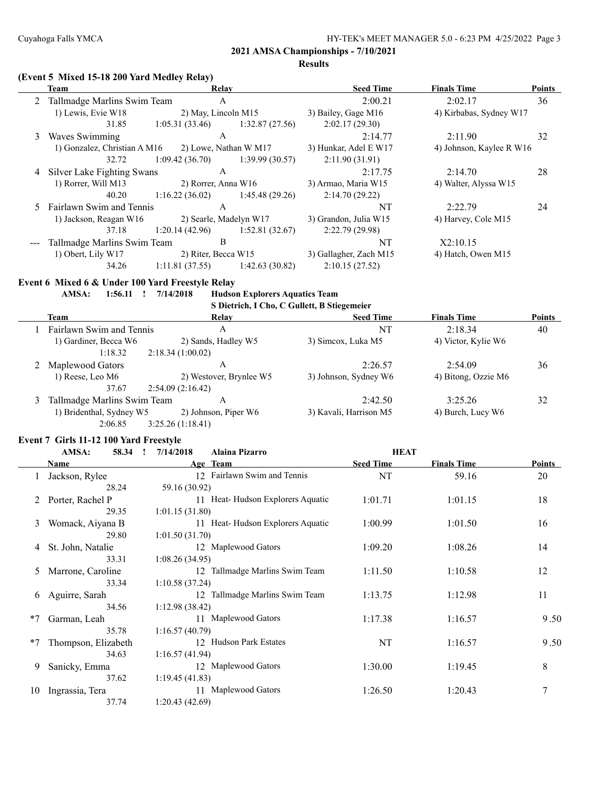#### **Results**

#### **(Event 5 Mixed 15-18 200 Yard Medley Relay)**

| Team                   |                |                                                                                                                                                            | <b>Seed Time</b>                                                                                                              | <b>Finals Time</b>  | <b>Points</b>                                                                |
|------------------------|----------------|------------------------------------------------------------------------------------------------------------------------------------------------------------|-------------------------------------------------------------------------------------------------------------------------------|---------------------|------------------------------------------------------------------------------|
|                        | A              |                                                                                                                                                            | 2:00.21                                                                                                                       | 2:02.17             | 36                                                                           |
| 1) Lewis, Evie W18     |                |                                                                                                                                                            | 3) Bailey, Gage M16                                                                                                           |                     |                                                                              |
| 31.85                  | 1:05.31(33.46) | 1:32.87(27.56)                                                                                                                                             | 2:02.17(29.30)                                                                                                                |                     |                                                                              |
| Waves Swimming         | A              |                                                                                                                                                            | 2:14.77                                                                                                                       | 2:11.90             | 32                                                                           |
|                        |                |                                                                                                                                                            | 3) Hunkar, Adel E W17                                                                                                         |                     |                                                                              |
| 32.72                  | 1:09.42(36.70) | 1:39.99(30.57)                                                                                                                                             | 2:11.90(31.91)                                                                                                                |                     |                                                                              |
|                        | A              |                                                                                                                                                            | 2:17.75                                                                                                                       | 2:14.70             | 28                                                                           |
| 1) Rorrer, Will M13    |                |                                                                                                                                                            | 3) Armao, Maria W15                                                                                                           |                     |                                                                              |
| 40.20                  | 1:16.22(36.02) | 1:45.48(29.26)                                                                                                                                             | 2:14.70(29.22)                                                                                                                |                     |                                                                              |
|                        | A              |                                                                                                                                                            | NT                                                                                                                            | 2:22.79             | 24                                                                           |
| 1) Jackson, Reagan W16 |                |                                                                                                                                                            | 3) Grandon, Julia W15                                                                                                         | 4) Harvey, Cole M15 |                                                                              |
| 37.18                  | 1:20.14(42.96) | 1:52.81(32.67)                                                                                                                                             | 2:22.79(29.98)                                                                                                                |                     |                                                                              |
|                        | B              |                                                                                                                                                            | NT                                                                                                                            | X2:10.15            |                                                                              |
| 1) Obert, Lily W17     |                |                                                                                                                                                            | 3) Gallagher, Zach M15                                                                                                        | 4) Hatch, Owen M15  |                                                                              |
| 34.26                  | 1:11.81(37.55) | 1:42.63(30.82)                                                                                                                                             | 2:10.15(27.52)                                                                                                                |                     |                                                                              |
|                        |                | 2 Tallmadge Marlins Swim Team<br>1) Gonzalez, Christian A M16<br>4 Silver Lake Fighting Swans<br>5 Fairlawn Swim and Tennis<br>Tallmadge Marlins Swim Team | Relay<br>2) May, Lincoln M15<br>2) Lowe, Nathan W M17<br>2) Rorrer, Anna W16<br>2) Searle, Madelyn W17<br>2) Riter, Becca W15 |                     | 4) Kirbabas, Sydney W17<br>4) Johnson, Kaylee R W16<br>4) Walter, Alyssa W15 |

#### **Event 6 Mixed 6 & Under 100 Yard Freestyle Relay**

#### **AMSA: 1:56.11 ! 7/14/2018 Hudson Explorers Aquatics Team**

**S Dietrich, I Cho, C Gullett, B Stiegemeier**

| Team                        | Relay                   | <b>Seed Time</b>       | <b>Finals Time</b>  | <b>Points</b> |
|-----------------------------|-------------------------|------------------------|---------------------|---------------|
| Fairlawn Swim and Tennis    | А                       | NT                     | 2:18.34             | 40            |
| 1) Gardiner, Becca W6       | 2) Sands, Hadley W5     | 3) Simcox, Luka M5     | 4) Victor, Kylie W6 |               |
| 1:18.32                     | 2:18.34(1:00.02)        |                        |                     |               |
| Maplewood Gators            | А                       | 2:26.57                | 2:54.09             | 36            |
| $1)$ Reese, Leo M6          | 2) Westover, Brynlee W5 | 3) Johnson, Sydney W6  | 4) Bitong, Ozzie M6 |               |
| 37.67                       | 2:54.09(2:16.42)        |                        |                     |               |
| Tallmadge Marlins Swim Team | Α                       | 2:42.50                | 3:25.26             | 32            |
| 1) Bridenthal, Sydney W5    | 2) Johnson, Piper W6    | 3) Kavali, Harrison M5 | 4) Burch, Lucy W6   |               |
| 2:06.85                     | 3:25.26(1:18.41)        |                        |                     |               |

#### **Event 7 Girls 11-12 100 Yard Freestyle**

|      | AMSA:<br>58.34      | 7/14/2018<br><b>Alaina Pizarro</b> | <b>HEAT</b>      |                    |               |
|------|---------------------|------------------------------------|------------------|--------------------|---------------|
|      | Name                | Age Team                           | <b>Seed Time</b> | <b>Finals Time</b> | <b>Points</b> |
|      | Jackson, Rylee      | 12 Fairlawn Swim and Tennis        | NT               | 59.16              | 20            |
|      | 28.24               | 59.16 (30.92)                      |                  |                    |               |
|      | 2 Porter, Rachel P  | 11 Heat-Hudson Explorers Aquatic   | 1:01.71          | 1:01.15            | 18            |
|      | 29.35               | 1:01.15(31.80)                     |                  |                    |               |
| 3    | Womack, Aiyana B    | 11 Heat-Hudson Explorers Aquatic   | 1:00.99          | 1:01.50            | 16            |
|      | 29.80               | 1:01.50(31.70)                     |                  |                    |               |
| 4    | St. John, Natalie   | 12 Maplewood Gators                | 1:09.20          | 1:08.26            | 14            |
|      | 33.31               | 1:08.26(34.95)                     |                  |                    |               |
| 5    | Marrone, Caroline   | 12 Tallmadge Marlins Swim Team     | 1:11.50          | 1:10.58            | 12            |
|      | 33.34               | 1:10.58(37.24)                     |                  |                    |               |
| 6    | Aguirre, Sarah      | 12 Tallmadge Marlins Swim Team     | 1:13.75          | 1:12.98            | 11            |
|      | 34.56               | 1:12.98(38.42)                     |                  |                    |               |
| $*7$ | Garman, Leah        | 11 Maplewood Gators                | 1:17.38          | 1:16.57            | 9.50          |
|      | 35.78               | 1:16.57(40.79)                     |                  |                    |               |
| $*7$ | Thompson, Elizabeth | 12 Hudson Park Estates             | NT               | 1:16.57            | 9.50          |
|      | 34.63               | 1:16.57(41.94)                     |                  |                    |               |
| 9    | Sanicky, Emma       | 12 Maplewood Gators                | 1:30.00          | 1:19.45            | 8             |
|      | 37.62               | 1:19.45(41.83)                     |                  |                    |               |
| 10   | Ingrassia, Tera     | 11 Maplewood Gators                | 1:26.50          | 1:20.43            | 7             |
|      | 37.74               | 1:20.43(42.69)                     |                  |                    |               |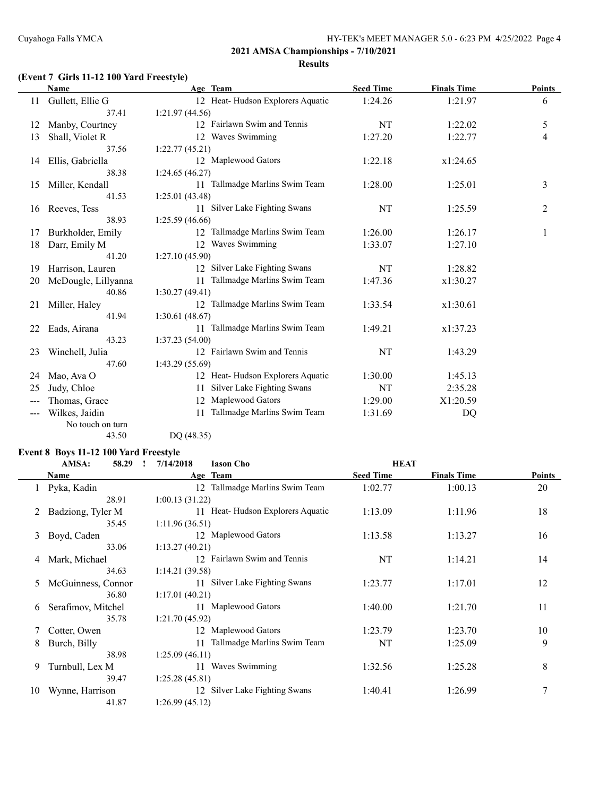# **(Event 7 Girls 11-12 100 Yard Freestyle)**

|    | <b>Name</b>         | Age Team                          | <b>Seed Time</b> | <b>Finals Time</b> | <b>Points</b> |
|----|---------------------|-----------------------------------|------------------|--------------------|---------------|
| 11 | Gullett, Ellie G    | 12 Heat-Hudson Explorers Aquatic  | 1:24.26          | 1:21.97            | 6             |
|    | 37.41               | 1:21.97(44.56)                    |                  |                    |               |
| 12 | Manby, Courtney     | 12 Fairlawn Swim and Tennis       | NT               | 1:22.02            | 5             |
| 13 | Shall, Violet R     | 12 Waves Swimming                 | 1:27.20          | 1:22.77            | 4             |
|    | 37.56               | 1:22.77(45.21)                    |                  |                    |               |
| 14 | Ellis, Gabriella    | 12 Maplewood Gators               | 1:22.18          | x1:24.65           |               |
|    | 38.38               | 1:24.65(46.27)                    |                  |                    |               |
| 15 | Miller, Kendall     | 11 Tallmadge Marlins Swim Team    | 1:28.00          | 1:25.01            | 3             |
|    | 41.53               | 1:25.01(43.48)                    |                  |                    |               |
| 16 | Reeves, Tess        | 11 Silver Lake Fighting Swans     | NT               | 1:25.59            | 2             |
|    | 38.93               | 1:25.59(46.66)                    |                  |                    |               |
| 17 | Burkholder, Emily   | 12 Tallmadge Marlins Swim Team    | 1:26.00          | 1:26.17            | $\mathbf{1}$  |
| 18 | Darr, Emily M       | 12 Waves Swimming                 | 1:33.07          | 1:27.10            |               |
|    | 41.20               | 1:27.10(45.90)                    |                  |                    |               |
| 19 | Harrison, Lauren    | 12 Silver Lake Fighting Swans     | NT               | 1:28.82            |               |
| 20 | McDougle, Lillyanna | 11 Tallmadge Marlins Swim Team    | 1:47.36          | x1:30.27           |               |
|    | 40.86               | 1:30.27(49.41)                    |                  |                    |               |
| 21 | Miller, Haley       | 12 Tallmadge Marlins Swim Team    | 1:33.54          | x1:30.61           |               |
|    | 41.94               | 1:30.61(48.67)                    |                  |                    |               |
| 22 | Eads, Airana        | 11 Tallmadge Marlins Swim Team    | 1:49.21          | x1:37.23           |               |
|    | 43.23               | 1:37.23(54.00)                    |                  |                    |               |
| 23 | Winchell, Julia     | 12 Fairlawn Swim and Tennis       | NT               | 1:43.29            |               |
|    | 47.60               | 1:43.29(55.69)                    |                  |                    |               |
| 24 | Mao, Ava O          | 12 Heat-Hudson Explorers Aquatic  | 1:30.00          | 1:45.13            |               |
| 25 | Judy, Chloe         | Silver Lake Fighting Swans<br>11  | NT               | 2:35.28            |               |
|    | Thomas, Grace       | Maplewood Gators<br>12            | 1:29.00          | X1:20.59           |               |
|    | Wilkes, Jaidin      | Tallmadge Marlins Swim Team<br>11 | 1:31.69          | DQ                 |               |
|    | No touch on turn    |                                   |                  |                    |               |

43.50 DQ (48.35)

# **Event 8 Boys 11-12 100 Yard Freestyle**

|    | AMSA:<br>58.29     | 7/14/2018<br><b>Iason Cho</b>     | <b>HEAT</b>      |                    |               |
|----|--------------------|-----------------------------------|------------------|--------------------|---------------|
|    | Name               | Age Team                          | <b>Seed Time</b> | <b>Finals Time</b> | <b>Points</b> |
|    | Pyka, Kadin        | 12 Tallmadge Marlins Swim Team    | 1:02.77          | 1:00.13            | 20            |
|    | 28.91              | 1:00.13(31.22)                    |                  |                    |               |
|    | Badziong, Tyler M  | 11 Heat-Hudson Explorers Aquatic  | 1:13.09          | 1:11.96            | 18            |
|    | 35.45              | 1:11.96(36.51)                    |                  |                    |               |
| 3  | Boyd, Caden        | 12 Maplewood Gators               | 1:13.58          | 1:13.27            | 16            |
|    | 33.06              | 1:13.27(40.21)                    |                  |                    |               |
| 4  | Mark, Michael      | 12 Fairlawn Swim and Tennis       | NT               | 1:14.21            | 14            |
|    | 34.63              | 1:14.21(39.58)                    |                  |                    |               |
| 5  | McGuinness, Connor | 11 Silver Lake Fighting Swans     | 1:23.77          | 1:17.01            | 12            |
|    | 36.80              | 1:17.01(40.21)                    |                  |                    |               |
| 6  | Serafimov, Mitchel | 11 Maplewood Gators               | 1:40.00          | 1:21.70            | 11            |
|    | 35.78              | 1:21.70(45.92)                    |                  |                    |               |
|    | Cotter, Owen       | 12 Maplewood Gators               | 1:23.79          | 1:23.70            | 10            |
| 8  | Burch, Billy       | Tallmadge Marlins Swim Team<br>11 | NT               | 1:25.09            | 9             |
|    | 38.98              | 1:25.09(46.11)                    |                  |                    |               |
| 9  | Turnbull, Lex M    | Waves Swimming<br>11              | 1:32.56          | 1:25.28            | 8             |
|    | 39.47              | 1:25.28(45.81)                    |                  |                    |               |
| 10 | Wynne, Harrison    | 12 Silver Lake Fighting Swans     | 1:40.41          | 1:26.99            | 7             |
|    | 41.87              | 1:26.99(45.12)                    |                  |                    |               |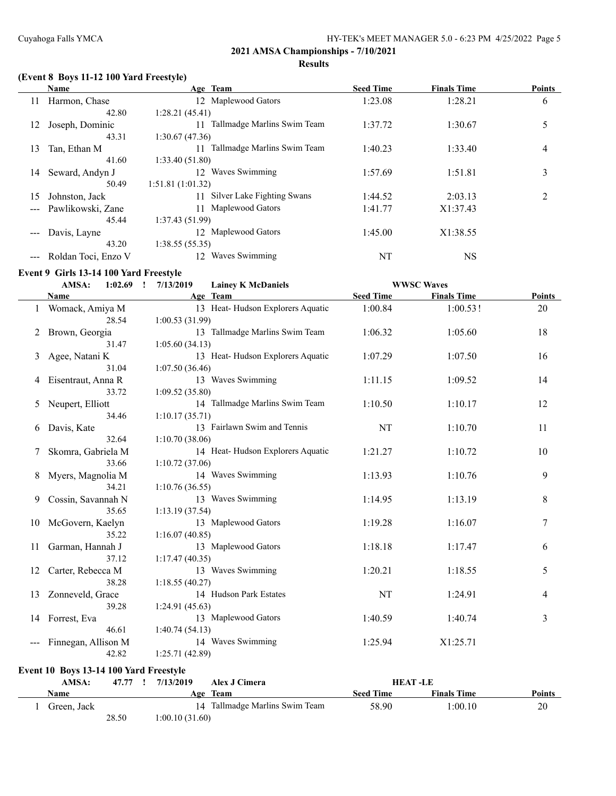# **(Event 8 Boys 11-12 100 Yard Freestyle)**

|    | Name                | Age Team                          | <b>Seed Time</b> | <b>Finals Time</b> | <b>Points</b>  |
|----|---------------------|-----------------------------------|------------------|--------------------|----------------|
| 11 | Harmon, Chase       | 12 Maplewood Gators               | 1:23.08          | 1:28.21            | 6              |
|    | 42.80               | 1:28.21(45.41)                    |                  |                    |                |
| 12 | Joseph, Dominic     | Tallmadge Marlins Swim Team<br>11 | 1:37.72          | 1:30.67            | 5              |
|    | 43.31               | 1:30.67(47.36)                    |                  |                    |                |
| 13 | Tan, Ethan M        | Tallmadge Marlins Swim Team<br>11 | 1:40.23          | 1:33.40            | 4              |
|    | 41.60               | 1:33.40(51.80)                    |                  |                    |                |
| 14 | Seward, Andyn J     | 12 Waves Swimming                 | 1:57.69          | 1:51.81            | 3              |
|    | 50.49               | 1:51.81(1:01.32)                  |                  |                    |                |
| 15 | Johnston, Jack      | Silver Lake Fighting Swans<br>11  | 1:44.52          | 2:03.13            | $\overline{2}$ |
|    | Pawlikowski, Zane   | Maplewood Gators<br>11            | 1:41.77          | X1:37.43           |                |
|    | 45.44               | 1:37.43(51.99)                    |                  |                    |                |
|    | Davis, Layne        | 12 Maplewood Gators               | 1:45.00          | X1:38.55           |                |
|    | 43.20               | 1:38.55(55.35)                    |                  |                    |                |
|    | Roldan Toci, Enzo V | Waves Swimming<br>12              | NT               | <b>NS</b>          |                |

# **Event 9 Girls 13-14 100 Yard Freestyle**

|    | AMSA:<br>1:02.69    | 7/13/2019<br>$\mathbf{r}$<br><b>Lainey K McDaniels</b> |                  | <b>WWSC Waves</b>  |               |
|----|---------------------|--------------------------------------------------------|------------------|--------------------|---------------|
|    | Name                | Age Team                                               | <b>Seed Time</b> | <b>Finals Time</b> | <b>Points</b> |
|    | Womack, Amiya M     | 13 Heat-Hudson Explorers Aquatic                       | 1:00.84          | 1:00.53!           | 20            |
|    | 28.54               | 1:00.53(31.99)                                         |                  |                    |               |
| 2  | Brown, Georgia      | 13 Tallmadge Marlins Swim Team                         | 1:06.32          | 1:05.60            | 18            |
|    | 31.47               | 1:05.60(34.13)                                         |                  |                    |               |
| 3  | Agee, Natani K      | 13 Heat-Hudson Explorers Aquatic                       | 1:07.29          | 1:07.50            | 16            |
|    | 31.04               | 1:07.50(36.46)                                         |                  |                    |               |
| 4  | Eisentraut, Anna R  | 13 Waves Swimming                                      | 1:11.15          | 1:09.52            | 14            |
|    | 33.72               | 1:09.52(35.80)                                         |                  |                    |               |
| 5  | Neupert, Elliott    | 14 Tallmadge Marlins Swim Team                         | 1:10.50          | 1:10.17            | 12            |
|    | 34.46               | 1:10.17(35.71)                                         |                  |                    |               |
| 6  | Davis, Kate         | 13 Fairlawn Swim and Tennis                            | NT               | 1:10.70            | 11            |
|    | 32.64               | 1:10.70(38.06)                                         |                  |                    |               |
|    | Skomra, Gabriela M  | 14 Heat-Hudson Explorers Aquatic                       | 1:21.27          | 1:10.72            | 10            |
|    | 33.66               | 1:10.72(37.06)                                         |                  |                    |               |
| 8  | Myers, Magnolia M   | 14 Waves Swimming                                      | 1:13.93          | 1:10.76            | 9             |
|    | 34.21               | 1:10.76(36.55)                                         |                  |                    |               |
| 9  | Cossin, Savannah N  | 13 Waves Swimming                                      | 1:14.95          | 1:13.19            | 8             |
|    | 35.65               | 1:13.19(37.54)                                         |                  |                    |               |
| 10 | McGovern, Kaelyn    | 13 Maplewood Gators                                    | 1:19.28          | 1:16.07            | 7             |
|    | 35.22               | 1:16.07(40.85)                                         |                  |                    |               |
| 11 | Garman, Hannah J    | 13 Maplewood Gators                                    | 1:18.18          | 1:17.47            | 6             |
|    | 37.12               | 1:17.47(40.35)                                         |                  |                    |               |
| 12 | Carter, Rebecca M   | 13 Waves Swimming                                      | 1:20.21          | 1:18.55            | 5             |
|    | 38.28               | 1:18.55(40.27)                                         |                  |                    |               |
| 13 | Zonneveld, Grace    | 14 Hudson Park Estates                                 | NT               | 1:24.91            | 4             |
|    | 39.28               | 1:24.91(45.63)                                         |                  |                    |               |
| 14 | Forrest, Eva        | 13 Maplewood Gators                                    | 1:40.59          | 1:40.74            | 3             |
|    | 46.61               | 1:40.74(54.13)                                         |                  |                    |               |
|    | Finnegan, Allison M | 14 Waves Swimming                                      | 1:25.94          | X1:25.71           |               |
|    | 42.82               | 1:25.71(42.89)                                         |                  |                    |               |

#### **Event 10 Boys 13-14 100 Yard Freestyle**

| AMSA:       | 47.77 | 7/13/2019       | Alex J Cimera                  | <b>HEAT-LE</b>   |                    |               |
|-------------|-------|-----------------|--------------------------------|------------------|--------------------|---------------|
| Name        |       |                 | Age Team                       | <b>Seed Time</b> | <b>Finals Time</b> | <b>Points</b> |
| Green. Jack |       |                 | 14 Tallmadge Marlins Swim Team | 58.90            | 1:00.10            | 20            |
|             | 28.50 | 1:00.10 (31.60) |                                |                  |                    |               |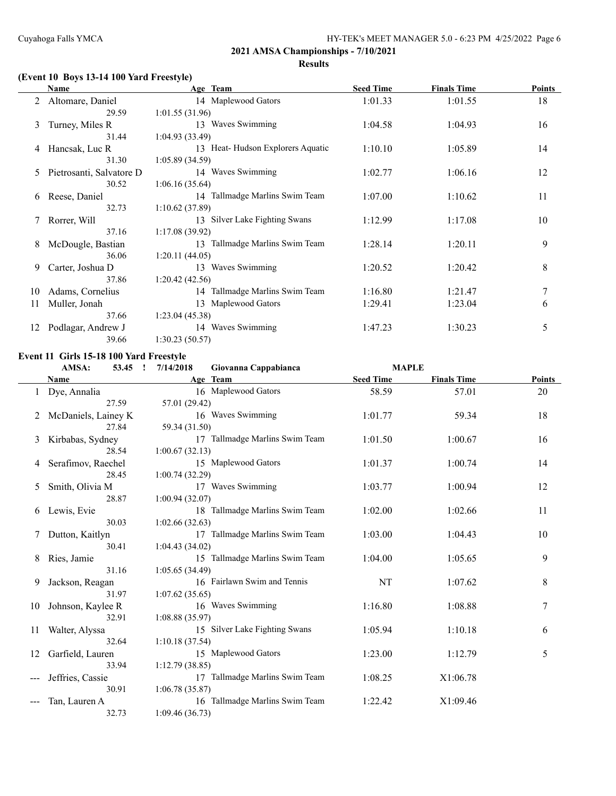# **(Event 10 Boys 13-14 100 Yard Freestyle)**

|    | Name                     | Age Team                         | <b>Seed Time</b> | <b>Finals Time</b> | Points |
|----|--------------------------|----------------------------------|------------------|--------------------|--------|
|    | 2 Altomare, Daniel       | 14 Maplewood Gators              | 1:01.33          | 1:01.55            | 18     |
|    | 29.59                    | 1:01.55(31.96)                   |                  |                    |        |
| 3  | Turney, Miles R          | 13 Waves Swimming                | 1:04.58          | 1:04.93            | 16     |
|    | 31.44                    | 1:04.93(33.49)                   |                  |                    |        |
| 4  | Hancsak, Luc R           | 13 Heat-Hudson Explorers Aquatic | 1:10.10          | 1:05.89            | 14     |
|    | 31.30                    | 1:05.89(34.59)                   |                  |                    |        |
| 5  | Pietrosanti, Salvatore D | 14 Waves Swimming                | 1:02.77          | 1:06.16            | 12     |
|    | 30.52                    | 1:06.16(35.64)                   |                  |                    |        |
| 6  | Reese, Daniel            | 14 Tallmadge Marlins Swim Team   | 1:07.00          | 1:10.62            | 11     |
|    | 32.73                    | 1:10.62(37.89)                   |                  |                    |        |
|    | 7 Rorrer, Will           | 13 Silver Lake Fighting Swans    | 1:12.99          | 1:17.08            | 10     |
|    | 37.16                    | 1:17.08(39.92)                   |                  |                    |        |
| 8  | McDougle, Bastian        | 13 Tallmadge Marlins Swim Team   | 1:28.14          | 1:20.11            | 9      |
|    | 36.06                    | 1:20.11(44.05)                   |                  |                    |        |
| 9  | Carter, Joshua D         | 13 Waves Swimming                | 1:20.52          | 1:20.42            | 8      |
|    | 37.86                    | 1:20.42(42.56)                   |                  |                    |        |
| 10 | Adams, Cornelius         | 14 Tallmadge Marlins Swim Team   | 1:16.80          | 1:21.47            | 7      |
| 11 | Muller, Jonah            | 13 Maplewood Gators              | 1:29.41          | 1:23.04            | 6      |
|    | 37.66                    | 1:23.04(45.38)                   |                  |                    |        |
| 12 | Podlagar, Andrew J       | 14 Waves Swimming                | 1:47.23          | 1:30.23            | 5      |
|    | 39.66                    | 1:30.23(50.57)                   |                  |                    |        |

#### **Event 11 Girls 15-18 100 Yard Freestyle**

|    | AMSA:<br>53.45<br>$\mathbf{r}$ | 7/14/2018      | Giovanna Cappabianca           | <b>MAPLE</b>     |                    |               |
|----|--------------------------------|----------------|--------------------------------|------------------|--------------------|---------------|
|    | Name                           |                | Age Team                       | <b>Seed Time</b> | <b>Finals Time</b> | <b>Points</b> |
| 1  | Dye, Annalia                   |                | 16 Maplewood Gators            | 58.59            | 57.01              | 20            |
|    | 27.59                          | 57.01 (29.42)  |                                |                  |                    |               |
|    | McDaniels, Lainey K            |                | 16 Waves Swimming              | 1:01.77          | 59.34              | 18            |
|    | 27.84                          | 59.34 (31.50)  |                                |                  |                    |               |
| 3  | Kirbabas, Sydney               |                | 17 Tallmadge Marlins Swim Team | 1:01.50          | 1:00.67            | 16            |
|    | 28.54                          | 1:00.67(32.13) |                                |                  |                    |               |
| 4  | Serafimov, Raechel             |                | 15 Maplewood Gators            | 1:01.37          | 1:00.74            | 14            |
|    | 28.45                          | 1:00.74(32.29) |                                |                  |                    |               |
| 5  | Smith, Olivia M                |                | 17 Waves Swimming              | 1:03.77          | 1:00.94            | 12            |
|    | 28.87                          | 1:00.94(32.07) |                                |                  |                    |               |
| 6  | Lewis, Evie                    |                | 18 Tallmadge Marlins Swim Team | 1:02.00          | 1:02.66            | 11            |
|    | 30.03                          | 1:02.66(32.63) |                                |                  |                    |               |
| 7  | Dutton, Kaitlyn                |                | 17 Tallmadge Marlins Swim Team | 1:03.00          | 1:04.43            | 10            |
|    | 30.41                          | 1:04.43(34.02) |                                |                  |                    |               |
| 8  | Ries, Jamie                    |                | 15 Tallmadge Marlins Swim Team | 1:04.00          | 1:05.65            | 9             |
|    | 31.16                          | 1:05.65(34.49) |                                |                  |                    |               |
| 9  | Jackson, Reagan                |                | 16 Fairlawn Swim and Tennis    | NT               | 1:07.62            | 8             |
|    | 31.97                          | 1:07.62(35.65) |                                |                  |                    |               |
| 10 | Johnson, Kaylee R              |                | 16 Waves Swimming              | 1:16.80          | 1:08.88            | $\tau$        |
|    | 32.91                          | 1:08.88(35.97) |                                |                  |                    |               |
| 11 | Walter, Alyssa                 |                | 15 Silver Lake Fighting Swans  | 1:05.94          | 1:10.18            | 6             |
|    | 32.64                          | 1:10.18(37.54) |                                |                  |                    |               |
| 12 | Garfield, Lauren               |                | 15 Maplewood Gators            | 1:23.00          | 1:12.79            | 5             |
|    | 33.94                          | 1:12.79(38.85) |                                |                  |                    |               |
|    | Jeffries, Cassie               |                | 17 Tallmadge Marlins Swim Team | 1:08.25          | X1:06.78           |               |
|    | 30.91                          | 1:06.78(35.87) |                                |                  |                    |               |
|    | Tan, Lauren A                  |                | 16 Tallmadge Marlins Swim Team | 1:22.42          | X1:09.46           |               |
|    | 32.73                          | 1:09.46(36.73) |                                |                  |                    |               |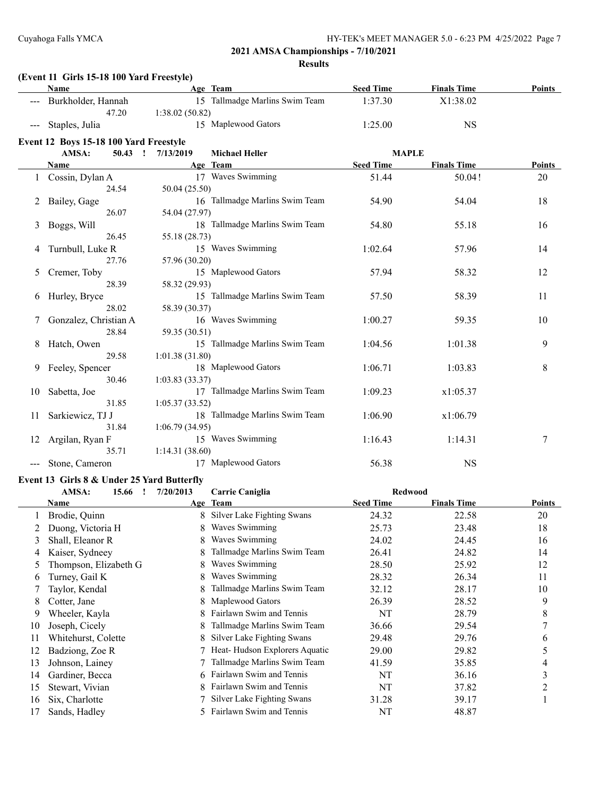**(Event 11 Girls 15-18 100 Yard Freestyle)**

|     | <b>Name</b>                                |                | Age Team                       | <b>Seed Time</b> | <b>Finals Time</b> | Points |
|-----|--------------------------------------------|----------------|--------------------------------|------------------|--------------------|--------|
|     | Burkholder, Hannah                         |                | 15 Tallmadge Marlins Swim Team | 1:37.30          | X1:38.02           |        |
|     | 47.20                                      | 1:38.02(50.82) |                                |                  |                    |        |
|     | Staples, Julia                             |                | 15 Maplewood Gators            | 1:25.00          | <b>NS</b>          |        |
|     | Event 12 Boys 15-18 100 Yard Freestyle     |                |                                |                  |                    |        |
|     | AMSA:<br>$50.43$ !                         | 7/13/2019      | <b>Michael Heller</b>          | <b>MAPLE</b>     |                    |        |
|     | Name                                       |                | Age Team                       | <b>Seed Time</b> | <b>Finals Time</b> | Points |
|     | Cossin, Dylan A                            |                | 17 Waves Swimming              | 51.44            | 50.04!             | 20     |
|     | 24.54                                      | 50.04 (25.50)  |                                |                  |                    |        |
| 2   | Bailey, Gage                               |                | 16 Tallmadge Marlins Swim Team | 54.90            | 54.04              | 18     |
|     | 26.07                                      | 54.04 (27.97)  |                                |                  |                    |        |
| 3   | Boggs, Will                                |                | 18 Tallmadge Marlins Swim Team | 54.80            | 55.18              | 16     |
|     | 26.45                                      | 55.18 (28.73)  |                                |                  |                    |        |
| 4   | Turnbull, Luke R                           |                | 15 Waves Swimming              | 1:02.64          | 57.96              | 14     |
|     | 27.76                                      | 57.96 (30.20)  |                                |                  |                    |        |
| 5   | Cremer, Toby                               |                | 15 Maplewood Gators            | 57.94            | 58.32              | 12     |
|     | 28.39                                      | 58.32 (29.93)  |                                |                  |                    |        |
| 6   | Hurley, Bryce                              |                | 15 Tallmadge Marlins Swim Team | 57.50            | 58.39              | 11     |
|     | 28.02                                      | 58.39 (30.37)  |                                |                  |                    |        |
| 7   | Gonzalez, Christian A                      |                | 16 Waves Swimming              | 1:00.27          | 59.35              | 10     |
|     | 28.84                                      | 59.35 (30.51)  |                                |                  |                    |        |
| 8   | Hatch, Owen                                |                | 15 Tallmadge Marlins Swim Team | 1:04.56          | 1:01.38            | 9      |
|     | 29.58                                      | 1:01.38(31.80) |                                |                  |                    |        |
| 9   | Feeley, Spencer                            |                | 18 Maplewood Gators            | 1:06.71          | 1:03.83            | 8      |
|     | 30.46                                      | 1:03.83(33.37) |                                |                  |                    |        |
| 10  | Sabetta, Joe                               |                | 17 Tallmadge Marlins Swim Team | 1:09.23          | x1:05.37           |        |
|     | 31.85                                      | 1:05.37(33.52) |                                |                  |                    |        |
| 11. | Sarkiewicz, TJ J                           |                | 18 Tallmadge Marlins Swim Team | 1:06.90          | x1:06.79           |        |
|     | 31.84                                      | 1:06.79(34.95) |                                |                  |                    |        |
| 12  | Argilan, Ryan F                            |                | 15 Waves Swimming              | 1:16.43          | 1:14.31            | $\tau$ |
|     | 35.71                                      | 1:14.31(38.60) |                                |                  |                    |        |
|     | Stone, Cameron                             |                | 17 Maplewood Gators            | 56.38            | <b>NS</b>          |        |
|     | Event 13 Girls 8 & Under 25 Yard Butterfly |                |                                |                  |                    |        |
|     | AMSA:<br>15.66 !                           | 7/20/2013      | Carrie Caniglia                | <b>Redwood</b>   |                    |        |
|     | Name                                       |                | Age Team                       | <b>Seed Time</b> | <b>Finals Time</b> | Points |
|     | Brodie, Quinn                              |                | 8 Silver Lake Fighting Swans   | 24.32            | 22.58              | 20     |
|     |                                            |                |                                |                  |                    |        |

|    | Name                  |    | Age ream                        | seed lime | rinais lime | roints         |
|----|-----------------------|----|---------------------------------|-----------|-------------|----------------|
|    | Brodie, Quinn         |    | 8 Silver Lake Fighting Swans    | 24.32     | 22.58       | 20             |
|    | Duong, Victoria H     | 8. | Waves Swimming                  | 25.73     | 23.48       | 18             |
| 3  | Shall, Eleanor R      |    | Waves Swimming                  | 24.02     | 24.45       | 16             |
| 4  | Kaiser, Sydneey       | 8. | Tallmadge Marlins Swim Team     | 26.41     | 24.82       | 14             |
|    | Thompson, Elizabeth G |    | Waves Swimming                  | 28.50     | 25.92       | 12             |
| 6. | Turney, Gail K        | 8. | Waves Swimming                  | 28.32     | 26.34       | 11             |
|    | Taylor, Kendal        |    | Tallmadge Marlins Swim Team     | 32.12     | 28.17       | 10             |
|    | Cotter, Jane          |    | 8 Maplewood Gators              | 26.39     | 28.52       | 9              |
| 9  | Wheeler, Kayla        |    | 8 Fairlawn Swim and Tennis      | NT        | 28.79       | 8              |
| 10 | Joseph, Cicely        |    | 8 Tallmadge Marlins Swim Team   | 36.66     | 29.54       | 7              |
| 11 | Whitehurst, Colette   |    | 8 Silver Lake Fighting Swans    | 29.48     | 29.76       | 6              |
|    | Badziong, Zoe R       |    | 7 Heat-Hudson Explorers Aquatic | 29.00     | 29.82       |                |
| 13 | Johnson, Lainey       |    | 7 Tallmadge Marlins Swim Team   | 41.59     | 35.85       | 4              |
| 14 | Gardiner, Becca       |    | 6 Fairlawn Swim and Tennis      | NT        | 36.16       | 3              |
| 15 | Stewart, Vivian       |    | Fairlawn Swim and Tennis        | NT        | 37.82       | $\overline{2}$ |
| 16 | Six, Charlotte        |    | 7 Silver Lake Fighting Swans    | 31.28     | 39.17       |                |
|    | Sands, Hadley         |    | 5 Fairlawn Swim and Tennis      | NT        | 48.87       |                |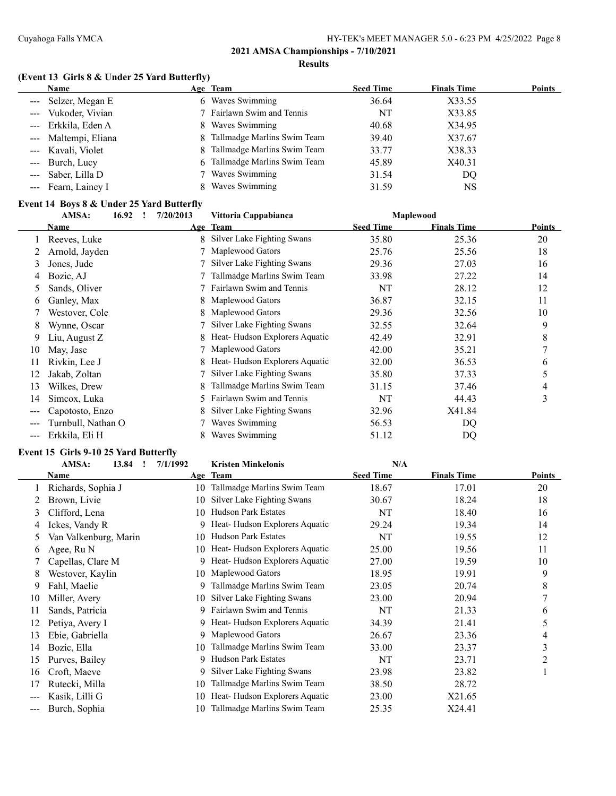# **(Event 13 Girls 8 & Under 25 Yard Butterfly)**

| <b>Name</b>          | Age Team                          | <b>Seed Time</b> | <b>Finals Time</b> | <b>Points</b> |
|----------------------|-----------------------------------|------------------|--------------------|---------------|
| --- Selzer, Megan E  | Waves Swimming<br>6.              | 36.64            | X33.55             |               |
| --- Vukoder, Vivian  | 7 Fairlawn Swim and Tennis        | NT               | X33.85             |               |
| --- Erkkila, Eden A  | 8 Waves Swimming                  | 40.68            | X34.95             |               |
| --- Maltempi, Eliana | Tallmadge Marlins Swim Team<br>8  | 39.40            | X37.67             |               |
| --- Kavali, Violet   | 8 Tallmadge Marlins Swim Team     | 33.77            | X38.33             |               |
| --- Burch, Lucy      | Tallmadge Marlins Swim Team<br>6. | 45.89            | X40.31             |               |
| --- Saber, Lilla D   | 7 Waves Swimming                  | 31.54            | DQ.                |               |
| --- Fearn, Lainey I  | Waves Swimming                    | 31.59            | NS                 |               |

#### **Event 14 Boys 8 & Under 25 Yard Butterfly**

| AMSA:<br>16.92 |                    | 7/20/2013 | Vittoria Cappabianca |                               | <b>Maplewood</b> |                    |        |
|----------------|--------------------|-----------|----------------------|-------------------------------|------------------|--------------------|--------|
|                | Name               |           |                      | Age Team                      | <b>Seed Time</b> | <b>Finals Time</b> | Points |
|                | Reeves, Luke       |           | 8                    | Silver Lake Fighting Swans    | 35.80            | 25.36              | 20     |
|                | Arnold, Jayden     |           |                      | Maplewood Gators              | 25.76            | 25.56              | 18     |
| 3              | Jones, Jude        |           |                      | Silver Lake Fighting Swans    | 29.36            | 27.03              | 16     |
| 4              | Bozic, AJ          |           |                      | Tallmadge Marlins Swim Team   | 33.98            | 27.22              | 14     |
| 5.             | Sands, Oliver      |           |                      | Fairlawn Swim and Tennis      | NT               | 28.12              | 12     |
| 6              | Ganley, Max        |           | 8                    | Maplewood Gators              | 36.87            | 32.15              | 11     |
|                | Westover, Cole     |           | 8                    | Maplewood Gators              | 29.36            | 32.56              | 10     |
| 8              | Wynne, Oscar       |           |                      | Silver Lake Fighting Swans    | 32.55            | 32.64              | 9      |
| 9              | Liu, August Z      |           |                      | Heat-Hudson Explorers Aquatic | 42.49            | 32.91              | 8      |
| 10             | May, Jase          |           |                      | Maplewood Gators              | 42.00            | 35.21              | 7      |
| 11             | Rivkin, Lee J      |           | 8                    | Heat-Hudson Explorers Aquatic | 32.00            | 36.53              | 6      |
| 12             | Jakab, Zoltan      |           |                      | Silver Lake Fighting Swans    | 35.80            | 37.33              | 5      |
| 13             | Wilkes, Drew       |           | 8                    | Tallmadge Marlins Swim Team   | 31.15            | 37.46              | 4      |
| 14             | Simcox, Luka       |           | 5.                   | Fairlawn Swim and Tennis      | NT               | 44.43              | 3      |
| ---            | Capotosto, Enzo    |           | 8                    | Silver Lake Fighting Swans    | 32.96            | X41.84             |        |
|                | Turnbull, Nathan O |           |                      | Waves Swimming                | 56.53            | DQ                 |        |
| ---            | Erkkila, Eli H     |           |                      | Waves Swimming                | 51.12            | DQ                 |        |

#### **Event 15 Girls 9-10 25 Yard Butterfly**

|     | AMSA:<br>13.84        | 7/1/1992 | <b>Kristen Minkelonis</b>     | N/A              |                    |                |
|-----|-----------------------|----------|-------------------------------|------------------|--------------------|----------------|
|     | Name                  |          | Age Team                      | <b>Seed Time</b> | <b>Finals Time</b> | Points         |
|     | Richards, Sophia J    | 10       | Tallmadge Marlins Swim Team   | 18.67            | 17.01              | 20             |
|     | Brown, Livie          | 10.      | Silver Lake Fighting Swans    | 30.67            | 18.24              | 18             |
| 3   | Clifford, Lena        | 10       | <b>Hudson Park Estates</b>    | NT               | 18.40              | 16             |
| 4   | Ickes, Vandy R        | 9        | Heat-Hudson Explorers Aquatic | 29.24            | 19.34              | 14             |
| 5.  | Van Valkenburg, Marin | 10       | <b>Hudson Park Estates</b>    | NT               | 19.55              | 12             |
| 6   | Agee, Ru N            | 10       | Heat-Hudson Explorers Aquatic | 25.00            | 19.56              | 11             |
|     | Capellas, Clare M     | 9        | Heat-Hudson Explorers Aquatic | 27.00            | 19.59              | 10             |
| 8   | Westover, Kaylin      | 10       | Maplewood Gators              | 18.95            | 19.91              | 9              |
| 9   | Fahl, Maelie          | 9        | Tallmadge Marlins Swim Team   | 23.05            | 20.74              | 8              |
| 10  | Miller, Avery         | 10       | Silver Lake Fighting Swans    | 23.00            | 20.94              | 7              |
| 11  | Sands, Patricia       | 9        | Fairlawn Swim and Tennis      | NT               | 21.33              | 6              |
| 12  | Petiya, Avery I       |          | Heat-Hudson Explorers Aquatic | 34.39            | 21.41              | 5              |
| 13  | Ebie, Gabriella       | 9        | Maplewood Gators              | 26.67            | 23.36              | 4              |
| 14  | Bozic, Ella           | 10       | Tallmadge Marlins Swim Team   | 33.00            | 23.37              | 3              |
| 15  | Purves, Bailey        | 9        | <b>Hudson Park Estates</b>    | NT               | 23.71              | $\overline{c}$ |
| 16  | Croft, Maeve          | 9        | Silver Lake Fighting Swans    | 23.98            | 23.82              |                |
| 17  | Rutecki, Milla        | 10       | Tallmadge Marlins Swim Team   | 38.50            | 28.72              |                |
| --- | Kasik, Lilli G        | 10       | Heat-Hudson Explorers Aquatic | 23.00            | X21.65             |                |
| --- | Burch, Sophia         | 10       | Tallmadge Marlins Swim Team   | 25.35            | X24.41             |                |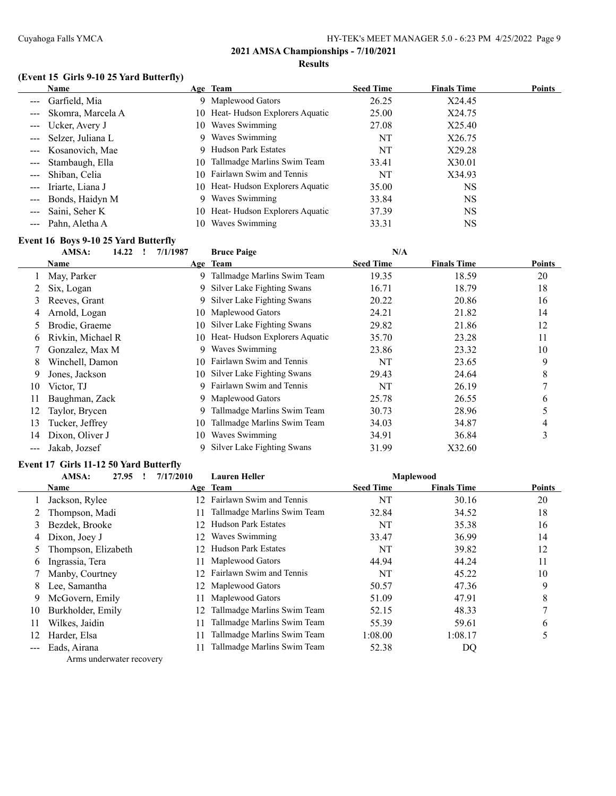#### **(Event 15 Girls 9-10 25 Yard Butterfly)**

| <b>Name</b>                              | Age Team                          | <b>Seed Time</b> | <b>Finals Time</b> | <b>Points</b> |
|------------------------------------------|-----------------------------------|------------------|--------------------|---------------|
| --- Garfield, Mia                        | Maplewood Gators<br>9.            | 26.25            | X24.45             |               |
| --- Skomra, Marcela A                    | 10 Heat-Hudson Explorers Aquatic  | 25.00            | X24.75             |               |
| Ucker, Avery J<br>$\sim$ $\sim$ $\sim$   | Waves Swimming<br>10-             | 27.08            | X25.40             |               |
| --- Selzer, Juliana L                    | Waves Swimming<br>9.              | NT               | X26.75             |               |
| --- Kosanovich, Mae                      | Hudson Park Estates               | NT               | X29.28             |               |
| --- Stambaugh, Ella                      | Tallmadge Marlins Swim Team<br>10 | 33.41            | X30.01             |               |
| --- Shiban, Celia                        | 10 Fairlawn Swim and Tennis       | NT               | X34.93             |               |
| Iriarte, Liana J<br>$\sim$ $\sim$ $\sim$ | 10 Heat-Hudson Explorers Aquatic  | 35.00            | NS                 |               |
| Bonds, Haidyn M<br>$\sim$ $\sim$ $\sim$  | 9 Waves Swimming                  | 33.84            | <b>NS</b>          |               |
| Saini, Seher K                           | 10 Heat-Hudson Explorers Aquatic  | 37.39            | <b>NS</b>          |               |
| --- Pahn, Aletha A                       | Waves Swimming<br>10.             | 33.31            | NS                 |               |

#### **Event 16 Boys 9-10 25 Yard Butterfly**

|     | AMSA:<br>14.22    | 7/1/1987 | <b>Bruce Paige</b>            | N/A              |                    |               |
|-----|-------------------|----------|-------------------------------|------------------|--------------------|---------------|
|     | Name              |          | Age Team                      | <b>Seed Time</b> | <b>Finals Time</b> | <b>Points</b> |
|     | May, Parker       | 9        | Tallmadge Marlins Swim Team   | 19.35            | 18.59              | 20            |
|     | Six, Logan        | 9        | Silver Lake Fighting Swans    | 16.71            | 18.79              | 18            |
| 3   | Reeves, Grant     |          | 9 Silver Lake Fighting Swans  | 20.22            | 20.86              | 16            |
| 4   | Arnold, Logan     | 10.      | Maplewood Gators              | 24.21            | 21.82              | 14            |
| 5.  | Brodie, Graeme    | 10       | Silver Lake Fighting Swans    | 29.82            | 21.86              | 12            |
| 6   | Rivkin, Michael R | 10       | Heat-Hudson Explorers Aquatic | 35.70            | 23.28              | 11            |
|     | Gonzalez, Max M   | 9        | Waves Swimming                | 23.86            | 23.32              | 10            |
| 8   | Winchell, Damon   | 10       | Fairlawn Swim and Tennis      | NT               | 23.65              | 9             |
| 9   | Jones, Jackson    | 10       | Silver Lake Fighting Swans    | 29.43            | 24.64              | 8             |
| 10  | Victor, TJ        | 9        | Fairlawn Swim and Tennis      | NT               | 26.19              | ┑             |
| 11  | Baughman, Zack    |          | 9 Maplewood Gators            | 25.78            | 26.55              | 6             |
| 12  | Taylor, Brycen    | 9        | Tallmadge Marlins Swim Team   | 30.73            | 28.96              |               |
| 13  | Tucker, Jeffrey   | 10       | Tallmadge Marlins Swim Team   | 34.03            | 34.87              | 4             |
| 14  | Dixon, Oliver J   | 10       | Waves Swimming                | 34.91            | 36.84              | 3             |
| --- | Jakab, Jozsef     | 9        | Silver Lake Fighting Swans    | 31.99            | X32.60             |               |

# **Event 17 Girls 11-12 50 Yard Butterfly**

|     | AMSA:<br>27.95      | 7/17/2010        | <b>Lauren Heller</b>        |                  | <b>Maplewood</b>   |               |
|-----|---------------------|------------------|-----------------------------|------------------|--------------------|---------------|
|     | Name                |                  | Age Team                    | <b>Seed Time</b> | <b>Finals Time</b> | <b>Points</b> |
|     | Jackson, Rylee      | 12 <sup>2</sup>  | Fairlawn Swim and Tennis    | NT               | 30.16              | 20            |
|     | Thompson, Madi      | 11               | Tallmadge Marlins Swim Team | 32.84            | 34.52              | 18            |
| 3   | Bezdek, Brooke      | 12.              | <b>Hudson Park Estates</b>  | NT               | 35.38              | 16            |
| 4   | Dixon, Joey J       | 12.              | Waves Swimming              | 33.47            | 36.99              | 14            |
|     | Thompson, Elizabeth | 12.              | <b>Hudson Park Estates</b>  | NT               | 39.82              | 12            |
| 6   | Ingrassia, Tera     | 11.              | Maplewood Gators            | 44.94            | 44.24              | 11            |
|     | Manby, Courtney     | 12 <sup>12</sup> | Fairlawn Swim and Tennis    | NT               | 45.22              | 10            |
| 8   | Lee, Samantha       |                  | 12 Maplewood Gators         | 50.57            | 47.36              | 9             |
| 9   | McGovern, Emily     | 11.              | Maplewood Gators            | 51.09            | 47.91              | 8             |
| 10  | Burkholder, Emily   | 12               | Tallmadge Marlins Swim Team | 52.15            | 48.33              |               |
| 11  | Wilkes, Jaidin      | 11               | Tallmadge Marlins Swim Team | 55.39            | 59.61              | 6             |
| 12  | Harder, Elsa        | 11               | Tallmadge Marlins Swim Team | 1:08.00          | 1:08.17            |               |
| --- | Eads, Airana        |                  | Tallmadge Marlins Swim Team | 52.38            | DQ                 |               |

Arms underwater recovery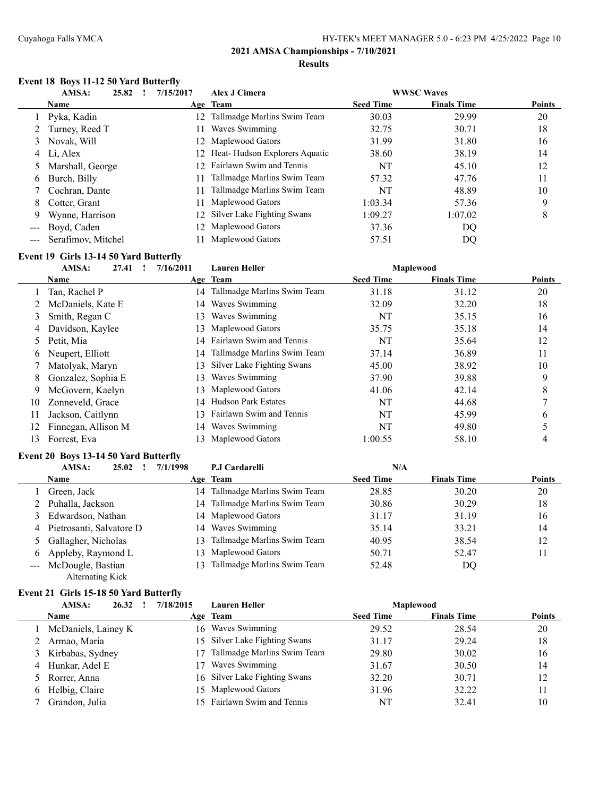#### **Event 18 Boys 11-12 50 Yard Butterfly**

|                      | AMSA:<br>25.82         | 7/15/2017       | Alex J Cimera                    |                  | <b>WWSC Waves</b>  |               |
|----------------------|------------------------|-----------------|----------------------------------|------------------|--------------------|---------------|
|                      | <b>Name</b>            |                 | Age Team                         | <b>Seed Time</b> | <b>Finals Time</b> | <b>Points</b> |
|                      | 1 Pyka, Kadin          |                 | 12 Tallmadge Marlins Swim Team   | 30.03            | 29.99              | 20            |
|                      | 2 Turney, Reed T       | 11              | Waves Swimming                   | 32.75            | 30.71              | 18            |
| 3                    | Novak, Will            |                 | 12 Maplewood Gators              | 31.99            | 31.80              | 16            |
| 4                    | Li, Alex               |                 | 12 Heat-Hudson Explorers Aquatic | 38.60            | 38.19              | 14            |
|                      | Marshall, George       | 12 <sup>1</sup> | Fairlawn Swim and Tennis         | NT               | 45.10              | 12            |
| 6                    | Burch, Billy           |                 | Tallmadge Marlins Swim Team      | 57.32            | 47.76              | 11            |
|                      | 7 Cochran, Dante       | 11              | Tallmadge Marlins Swim Team      | NT               | 48.89              | 10            |
| 8.                   | Cotter, Grant          | 11              | Maplewood Gators                 | 1:03.34          | 57.36              | 9             |
| 9                    | Wynne, Harrison        |                 | 12 Silver Lake Fighting Swans    | 1:09.27          | 1:07.02            | 8             |
| $\sim$ $\sim$ $\sim$ | Boyd, Caden            |                 | 12 Maplewood Gators              | 37.36            | DQ                 |               |
|                      | --- Serafimov, Mitchel |                 | Maplewood Gators                 | 57.51            | DQ                 |               |

### **Event 19 Girls 13-14 50 Yard Butterfly**

|    | AMSA:<br>27.41      | 7/16/2011 | <b>Lauren Heller</b>        |                  | <b>Maplewood</b>   |               |
|----|---------------------|-----------|-----------------------------|------------------|--------------------|---------------|
|    | <b>Name</b>         |           | Age Team                    | <b>Seed Time</b> | <b>Finals Time</b> | <b>Points</b> |
|    | Tan, Rachel P       | 14        | Tallmadge Marlins Swim Team | 31.18            | 31.12              | 20            |
|    | McDaniels, Kate E   | 14        | Waves Swimming              | 32.09            | 32.20              | 18            |
| 3  | Smith, Regan C      | 13        | Waves Swimming              | NT               | 35.15              | 16            |
| 4  | Davidson, Kaylee    | 13        | Maplewood Gators            | 35.75            | 35.18              | 14            |
| 5  | Petit, Mia          |           | 14 Fairlawn Swim and Tennis | NT               | 35.64              | 12            |
| 6  | Neupert, Elliott    | 14        | Tallmadge Marlins Swim Team | 37.14            | 36.89              | 11            |
|    | Matolyak, Maryn     | 13        | Silver Lake Fighting Swans  | 45.00            | 38.92              | 10            |
| 8. | Gonzalez, Sophia E  | 13        | Waves Swimming              | 37.90            | 39.88              | 9             |
| 9  | McGovern, Kaelyn    | 13        | Maplewood Gators            | 41.06            | 42.14              | 8             |
| 10 | Zonneveld, Grace    | 14        | <b>Hudson Park Estates</b>  | <b>NT</b>        | 44.68              |               |
| 11 | Jackson, Caitlynn   | 13        | Fairlawn Swim and Tennis    | NT               | 45.99              | 6             |
|    | Finnegan, Allison M | 14        | Waves Swimming              | NT               | 49.80              |               |
| 13 | Forrest, Eva        | 13        | Maplewood Gators            | 1:00.55          | 58.10              | 4             |

#### **Event 20 Boys 13-14 50 Yard Butterfly**

|   | AMSA:<br>25.02           | 7/1/1998 | P.J Cardarelli                 | N/A              |                    |               |
|---|--------------------------|----------|--------------------------------|------------------|--------------------|---------------|
|   | Name                     |          | Age Team                       | <b>Seed Time</b> | <b>Finals Time</b> | <b>Points</b> |
|   | Green, Jack              | 14       | Tallmadge Marlins Swim Team    | 28.85            | 30.20              | 20            |
|   | Puhalla, Jackson         |          | 14 Tallmadge Marlins Swim Team | 30.86            | 30.29              | 18            |
| 3 | Edwardson, Nathan        |          | 14 Maplewood Gators            | 31.17            | 31.19              | 16            |
| 4 | Pietrosanti, Salvatore D |          | 14 Waves Swimming              | 35.14            | 33.21              | 14            |
|   | 5 Gallagher, Nicholas    | 13.      | Tallmadge Marlins Swim Team    | 40.95            | 38.54              | 12            |
| 6 | Appleby, Raymond L       |          | 13 Maplewood Gators            | 50.71            | 52.47              | 11            |
|   | --- McDougle, Bastian    | 13.      | Tallmadge Marlins Swim Team    | 52.48            | DQ                 |               |
|   | Alternating Kick         |          |                                |                  |                    |               |

#### **Event 21 Girls 15-18 50 Yard Butterfly**

| 26.32<br>AMSA:      | 7/18/2015                                                                | <b>Lauren Heller</b>        |                                                                                                                                                       |                    |                  |
|---------------------|--------------------------------------------------------------------------|-----------------------------|-------------------------------------------------------------------------------------------------------------------------------------------------------|--------------------|------------------|
| <b>Name</b>         |                                                                          |                             | <b>Seed Time</b>                                                                                                                                      | <b>Finals Time</b> | <b>Points</b>    |
| McDaniels, Lainey K |                                                                          |                             | 29.52                                                                                                                                                 | 28.54              | 20               |
| Armao, Maria        |                                                                          |                             | 31.17                                                                                                                                                 | 29.24              | 18               |
|                     |                                                                          | Tallmadge Marlins Swim Team | 29.80                                                                                                                                                 | 30.02              | 16               |
|                     |                                                                          | Waves Swimming              | 31.67                                                                                                                                                 | 30.50              | 14               |
|                     |                                                                          |                             | 32.20                                                                                                                                                 | 30.71              | 12               |
|                     |                                                                          |                             | 31.96                                                                                                                                                 | 32.22              | 11               |
| Grandon, Julia      |                                                                          |                             | NT                                                                                                                                                    | 32.41              | 10               |
|                     | 3 Kirbabas, Sydney<br>Hunkar, Adel E<br>5 Rorrer, Anna<br>Helbig, Claire |                             | Age Team<br>16 Waves Swimming<br>15 Silver Lake Fighting Swans<br>16 Silver Lake Fighting Swans<br>15 Maplewood Gators<br>15 Fairlawn Swim and Tennis |                    | <b>Maplewood</b> |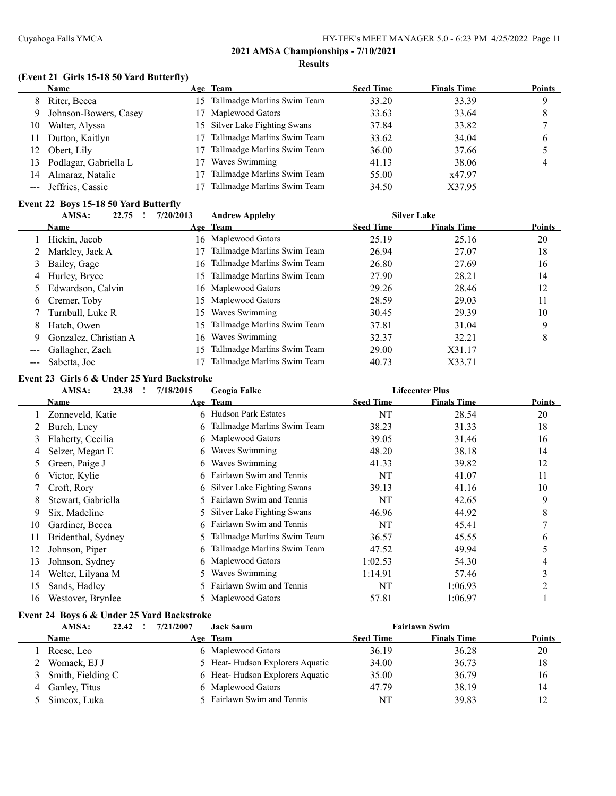# **(Event 21 Girls 15-18 50 Yard Butterfly)**

|     | Name                  |     | Age Team                       | <b>Seed Time</b> | <b>Finals Time</b> | <b>Points</b> |
|-----|-----------------------|-----|--------------------------------|------------------|--------------------|---------------|
| 8   | Riter, Becca          |     | 15 Tallmadge Marlins Swim Team | 33.20            | 33.39              | Q             |
| 9   | Johnson-Bowers, Casey |     | 17 Maplewood Gators            | 33.63            | 33.64              |               |
| 10  | Walter, Alyssa        |     | 15 Silver Lake Fighting Swans  | 37.84            | 33.82              |               |
| 11. | Dutton, Kaitlyn       |     | Tallmadge Marlins Swim Team    | 33.62            | 34.04              | 6             |
| 12  | Obert, Lily           |     | Tallmadge Marlins Swim Team    | 36.00            | 37.66              |               |
| 13  | Podlagar, Gabriella L | 17. | Waves Swimming                 | 41.13            | 38.06              | 4             |
| 14  | Almaraz, Natalie      |     | Tallmadge Marlins Swim Team    | 55.00            | x47.97             |               |
|     | Jeffries, Cassie      |     | Tallmadge Marlins Swim Team    | 34.50            | X37.95             |               |

#### **Event 22 Boys 15-18 50 Yard Butterfly**

|   | AMSA:<br>22.75        | 7/20/2013 | <b>Andrew Appleby</b>          |                  | <b>Silver Lake</b> |               |
|---|-----------------------|-----------|--------------------------------|------------------|--------------------|---------------|
|   | <b>Name</b>           |           | Age Team                       | <b>Seed Time</b> | <b>Finals Time</b> | <b>Points</b> |
|   | Hickin, Jacob         |           | 16 Maplewood Gators            | 25.19            | 25.16              | 20            |
|   | 2 Markley, Jack A     |           | Tallmadge Marlins Swim Team    | 26.94            | 27.07              | 18            |
| 3 | Bailey, Gage          | 16.       | Tallmadge Marlins Swim Team    | 26.80            | 27.69              | 16            |
| 4 | Hurley, Bryce         |           | 15 Tallmadge Marlins Swim Team | 27.90            | 28.21              | 14            |
|   | 5 Edwardson, Calvin   |           | 16 Maplewood Gators            | 29.26            | 28.46              | 12            |
| 6 | Cremer, Toby          |           | 15 Maplewood Gators            | 28.59            | 29.03              | 11            |
|   | Turnbull, Luke R      | 15        | Waves Swimming                 | 30.45            | 29.39              | 10            |
| 8 | Hatch, Owen           | 15.       | Tallmadge Marlins Swim Team    | 37.81            | 31.04              | 9             |
| 9 | Gonzalez, Christian A | 16.       | Waves Swimming                 | 32.37            | 32.21              | 8             |
|   | Gallagher, Zach       | 15.       | Tallmadge Marlins Swim Team    | 29.00            | X31.17             |               |
|   | --- Sabetta, Joe      |           | Tallmadge Marlins Swim Team    | 40.73            | X33.71             |               |

#### **Event 23 Girls 6 & Under 25 Yard Backstroke**

|    | AMSA:<br>23.38     | 7/18/2015 | Geogia Falke                 |                  | <b>Lifecenter Plus</b> |        |
|----|--------------------|-----------|------------------------------|------------------|------------------------|--------|
|    | Name               |           | Age Team                     | <b>Seed Time</b> | <b>Finals Time</b>     | Points |
|    | Zonneveld, Katie   | 6         | <b>Hudson Park Estates</b>   | NT               | 28.54                  | 20     |
|    | Burch, Lucy        | 6         | Tallmadge Marlins Swim Team  | 38.23            | 31.33                  | 18     |
| 3  | Flaherty, Cecilia  |           | 6 Maplewood Gators           | 39.05            | 31.46                  | 16     |
| 4  | Selzer, Megan E    | 6         | Waves Swimming               | 48.20            | 38.18                  | 14     |
| 5  | Green, Paige J     | 6.        | Waves Swimming               | 41.33            | 39.82                  | 12     |
| 6  | Victor, Kylie      |           | 6 Fairlawn Swim and Tennis   | NT               | 41.07                  | 11     |
|    | Croft, Rory        |           | 6 Silver Lake Fighting Swans | 39.13            | 41.16                  | 10     |
| 8  | Stewart, Gabriella | 5.        | Fairlawn Swim and Tennis     | NT               | 42.65                  | 9      |
| 9  | Six, Madeline      | 5.        | Silver Lake Fighting Swans   | 46.96            | 44.92                  | 8      |
| 10 | Gardiner, Becca    | 6.        | Fairlawn Swim and Tennis     | NT               | 45.41                  |        |
| 11 | Bridenthal, Sydney | 5.        | Tallmadge Marlins Swim Team  | 36.57            | 45.55                  | 6      |
| 12 | Johnson, Piper     | 6         | Tallmadge Marlins Swim Team  | 47.52            | 49.94                  |        |
| 13 | Johnson, Sydney    | 6         | Maplewood Gators             | 1:02.53          | 54.30                  | 4      |
| 14 | Welter, Lilyana M  | 5.        | Waves Swimming               | 1:14.91          | 57.46                  | 3      |
| 15 | Sands, Hadley      |           | Fairlawn Swim and Tennis     | NT               | 1:06.93                |        |
| 16 | Westover, Brynlee  |           | 5 Maplewood Gators           | 57.81            | 1:06.97                |        |

# **Event 24 Boys 6 & Under 25 Yard Backstroke**

| AMSA:<br>22.42      | 7/21/2007 | <b>Jack Saum</b>                |                  | <b>Fairlawn Swim</b> |               |
|---------------------|-----------|---------------------------------|------------------|----------------------|---------------|
| <b>Name</b>         |           | Age Team                        | <b>Seed Time</b> | <b>Finals Time</b>   | <b>Points</b> |
| Reese, Leo          |           | 6 Maplewood Gators              | 36.19            | 36.28                | 20            |
| 2 Womack, EJ J      |           | 5 Heat-Hudson Explorers Aquatic | 34.00            | 36.73                | 18            |
| 3 Smith, Fielding C |           | 6 Heat-Hudson Explorers Aquatic | 35.00            | 36.79                | 16            |
| 4 Ganley, Titus     |           | 6 Maplewood Gators              | 47.79            | 38.19                | 14            |
| 5 Simcox, Luka      |           | 5 Fairlawn Swim and Tennis      | <b>NT</b>        | 39.83                | 12            |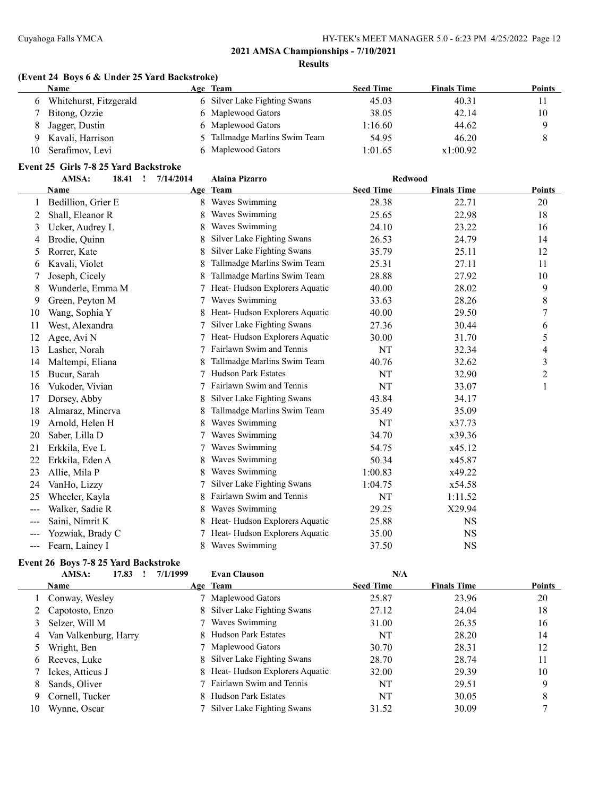#### **(Event 24 Boys 6 & Under 25 Yard Backstroke)**

|    | Name                   | Age Team                      | <b>Seed Time</b> | <b>Finals Time</b> | Points |
|----|------------------------|-------------------------------|------------------|--------------------|--------|
|    | Whitehurst, Fitzgerald | 6 Silver Lake Fighting Swans  | 45.03            | 40.31              | 11     |
|    | Bitong, Ozzie          | 6 Maplewood Gators            | 38.05            | 42.14              | 10     |
|    | Jagger, Dustin         | 6 Maplewood Gators            | 1:16.60          | 44.62              |        |
| 9  | Kavali, Harrison       | 5 Tallmadge Marlins Swim Team | 54.95            | 46.20              |        |
| 10 | Serafimov, Levi        | 6 Maplewood Gators            | 1:01.65          | x1:00.92           |        |

# **Event 25 Girls 7-8 25 Yard Backstroke**

|               | AMSA:<br>18.41 !   | 7/14/2014 | <b>Alaina Pizarro</b>         | <b>Redwood</b>   |                    |               |
|---------------|--------------------|-----------|-------------------------------|------------------|--------------------|---------------|
|               | Name               |           | Age Team                      | <b>Seed Time</b> | <b>Finals Time</b> | <b>Points</b> |
| 1             | Bedillion, Grier E | 8.        | Waves Swimming                | 28.38            | 22.71              | 20            |
| 2             | Shall, Eleanor R   | 8         | Waves Swimming                | 25.65            | 22.98              | 18            |
| 3             | Ucker, Audrey L    | 8         | Waves Swimming                | 24.10            | 23.22              | 16            |
| 4             | Brodie, Quinn      | 8         | Silver Lake Fighting Swans    | 26.53            | 24.79              | 14            |
| 5             | Rorrer, Kate       | 8         | Silver Lake Fighting Swans    | 35.79            | 25.11              | 12            |
| 6             | Kavali, Violet     | 8         | Tallmadge Marlins Swim Team   | 25.31            | 27.11              | 11            |
| 7             | Joseph, Cicely     |           | Tallmadge Marlins Swim Team   | 28.88            | 27.92              | 10            |
| 8             | Wunderle, Emma M   |           | Heat-Hudson Explorers Aquatic | 40.00            | 28.02              | 9             |
| 9             | Green, Peyton M    |           | Waves Swimming                | 33.63            | 28.26              | 8             |
| 10            | Wang, Sophia Y     | 8         | Heat-Hudson Explorers Aquatic | 40.00            | 29.50              | 7             |
| 11            | West, Alexandra    | 7         | Silver Lake Fighting Swans    | 27.36            | 30.44              | 6             |
| 12            | Agee, Avi N        |           | Heat-Hudson Explorers Aquatic | 30.00            | 31.70              | 5             |
| 13            | Lasher, Norah      |           | Fairlawn Swim and Tennis      | NT               | 32.34              | 4             |
| 14            | Maltempi, Eliana   |           | Tallmadge Marlins Swim Team   | 40.76            | 32.62              | 3             |
| 15            | Bucur, Sarah       |           | <b>Hudson Park Estates</b>    | NT               | 32.90              | 2             |
| 16            | Vukoder, Vivian    | 7         | Fairlawn Swim and Tennis      | NT               | 33.07              | 1             |
| 17            | Dorsey, Abby       |           | Silver Lake Fighting Swans    | 43.84            | 34.17              |               |
| 18            | Almaraz, Minerva   |           | Tallmadge Marlins Swim Team   | 35.49            | 35.09              |               |
| 19            | Arnold, Helen H    | 8         | Waves Swimming                | NT               | x37.73             |               |
| 20            | Saber, Lilla D     |           | Waves Swimming                | 34.70            | x39.36             |               |
| 21            | Erkkila, Eve L     | 7         | Waves Swimming                | 54.75            | x45.12             |               |
| 22            | Erkkila, Eden A    |           | Waves Swimming                | 50.34            | x45.87             |               |
| 23            | Allie, Mila P      | 8         | Waves Swimming                | 1:00.83          | x49.22             |               |
| 24            | VanHo, Lizzy       |           | Silver Lake Fighting Swans    | 1:04.75          | x54.58             |               |
| 25            | Wheeler, Kayla     |           | Fairlawn Swim and Tennis      | NT               | 1:11.52            |               |
| $\frac{1}{2}$ | Walker, Sadie R    | 8         | Waves Swimming                | 29.25            | X29.94             |               |
| ---           | Saini, Nimrit K    |           | Heat-Hudson Explorers Aquatic | 25.88            | <b>NS</b>          |               |
| $---$         | Yozwiak, Brady C   |           | Heat-Hudson Explorers Aquatic | 35.00            | <b>NS</b>          |               |
| ---           | Fearn, Lainey I    |           | Waves Swimming                | 37.50            | <b>NS</b>          |               |

#### **Event 26 Boys 7-8 25 Yard Backstroke**

|    | AMSA:<br>17.83        | 7/1/1999 | <b>Evan Clauson</b>             | N/A              |                    |               |
|----|-----------------------|----------|---------------------------------|------------------|--------------------|---------------|
|    | <b>Name</b>           |          | Age Team                        | <b>Seed Time</b> | <b>Finals Time</b> | <b>Points</b> |
|    | Conway, Wesley        |          | 7 Maplewood Gators              | 25.87            | 23.96              | 20            |
|    | 2 Capotosto, Enzo     |          | 8 Silver Lake Fighting Swans    | 27.12            | 24.04              | 18            |
|    | Selzer, Will M        |          | 7 Waves Swimming                | 31.00            | 26.35              | 16            |
| 4  | Van Valkenburg, Harry |          | 8 Hudson Park Estates           | NT               | 28.20              | 14            |
|    | Wright, Ben           |          | 7 Maplewood Gators              | 30.70            | 28.31              | 12            |
| 6  | Reeves, Luke          |          | 8 Silver Lake Fighting Swans    | 28.70            | 28.74              | 11            |
|    | Ickes, Atticus J      |          | 8 Heat-Hudson Explorers Aquatic | 32.00            | 29.39              | 10            |
| 8  | Sands, Oliver         |          | 7 Fairlawn Swim and Tennis      | NT               | 29.51              | 9             |
| 9  | Cornell, Tucker       |          | 8 Hudson Park Estates           | NT               | 30.05              | 8             |
| 10 | Wynne, Oscar          |          | Silver Lake Fighting Swans      | 31.52            | 30.09              |               |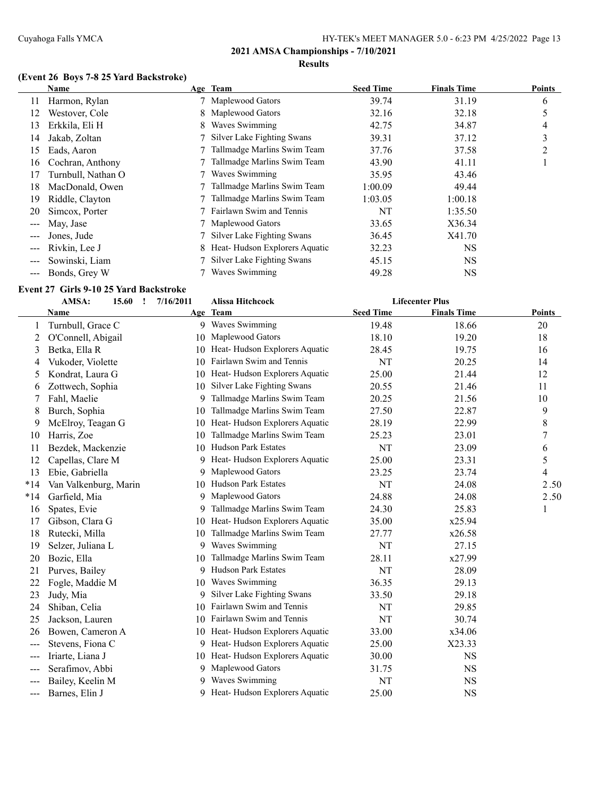# **(Event 26 Boys 7-8 25 Yard Backstroke)**

|                      | Name               |    | Age Team                      | <b>Seed Time</b> | <b>Finals Time</b> | <b>Points</b> |
|----------------------|--------------------|----|-------------------------------|------------------|--------------------|---------------|
| 11                   | Harmon, Rylan      |    | 7 Maplewood Gators            | 39.74            | 31.19              | 6             |
| 12                   | Westover, Cole     |    | 8 Maplewood Gators            | 32.16            | 32.18              | 5             |
| 13                   | Erkkila, Eli H     | 8. | Waves Swimming                | 42.75            | 34.87              | 4             |
| 14                   | Jakab, Zoltan      |    | Silver Lake Fighting Swans    | 39.31            | 37.12              | 3             |
| 15                   | Eads, Aaron        |    | Tallmadge Marlins Swim Team   | 37.76            | 37.58              | 2             |
| 16                   | Cochran, Anthony   |    | Tallmadge Marlins Swim Team   | 43.90            | 41.11              |               |
| 17                   | Turnbull, Nathan O |    | Waves Swimming                | 35.95            | 43.46              |               |
| 18                   | MacDonald, Owen    |    | Tallmadge Marlins Swim Team   | 1:00.09          | 49.44              |               |
| 19                   | Riddle, Clayton    |    | Tallmadge Marlins Swim Team   | 1:03.05          | 1:00.18            |               |
| 20                   | Simcox, Porter     |    | Fairlawn Swim and Tennis      | NT               | 1:35.50            |               |
| $\sim$ $\sim$ $\sim$ | May, Jase          |    | 7 Maplewood Gators            | 33.65            | X36.34             |               |
|                      | Jones, Jude        |    | Silver Lake Fighting Swans    | 36.45            | X41.70             |               |
|                      | Rivkin, Lee J      | 8. | Heat-Hudson Explorers Aquatic | 32.23            | <b>NS</b>          |               |
|                      | Sowinski, Liam     |    | Silver Lake Fighting Swans    | 45.15            | <b>NS</b>          |               |
| $\frac{1}{2}$        | Bonds, Grey W      |    | Waves Swimming                | 49.28            | NS                 |               |

# **Event 27 Girls 9-10 25 Yard Backstroke**

|       | AMSA:<br>15.60<br>1   | 7/16/2011 | Alissa Hitchcock                 |                  | <b>Lifecenter Plus</b> |               |
|-------|-----------------------|-----------|----------------------------------|------------------|------------------------|---------------|
|       | <b>Name</b>           |           | Age Team                         | <b>Seed Time</b> | <b>Finals Time</b>     | <b>Points</b> |
|       | Turnbull, Grace C     |           | 9 Waves Swimming                 | 19.48            | 18.66                  | 20            |
| 2     | O'Connell, Abigail    | 10        | Maplewood Gators                 | 18.10            | 19.20                  | 18            |
| 3     | Betka, Ella R         | 10        | Heat-Hudson Explorers Aquatic    | 28.45            | 19.75                  | 16            |
| 4     | Vukoder, Violette     | 10.       | Fairlawn Swim and Tennis         | NT               | 20.25                  | 14            |
| 5     | Kondrat, Laura G      | 10        | Heat-Hudson Explorers Aquatic    | 25.00            | 21.44                  | 12            |
| 6     | Zottwech, Sophia      | 10        | Silver Lake Fighting Swans       | 20.55            | 21.46                  | 11            |
|       | Fahl, Maelie          | 9         | Tallmadge Marlins Swim Team      | 20.25            | 21.56                  | 10            |
| 8     | Burch, Sophia         | 10        | Tallmadge Marlins Swim Team      | 27.50            | 22.87                  | 9             |
| 9     | McElroy, Teagan G     | 10        | Heat-Hudson Explorers Aquatic    | 28.19            | 22.99                  | 8             |
| 10    | Harris, Zoe           | 10        | Tallmadge Marlins Swim Team      | 25.23            | 23.01                  | 7             |
| 11    | Bezdek, Mackenzie     | 10        | <b>Hudson Park Estates</b>       | NT               | 23.09                  | 6             |
| 12    | Capellas, Clare M     | 9         | Heat-Hudson Explorers Aquatic    | 25.00            | 23.31                  | 5             |
| 13    | Ebie, Gabriella       | 9         | Maplewood Gators                 | 23.25            | 23.74                  | 4             |
| $*14$ | Van Valkenburg, Marin | 10        | <b>Hudson Park Estates</b>       | NT               | 24.08                  | 2.50          |
| $*14$ | Garfield, Mia         | 9         | Maplewood Gators                 | 24.88            | 24.08                  | 2.50          |
| 16    | Spates, Evie          | 9         | Tallmadge Marlins Swim Team      | 24.30            | 25.83                  | $\mathbf{1}$  |
| 17    | Gibson, Clara G       | 10        | Heat-Hudson Explorers Aquatic    | 35.00            | x25.94                 |               |
| 18    | Rutecki, Milla        | 10        | Tallmadge Marlins Swim Team      | 27.77            | x26.58                 |               |
| 19    | Selzer, Juliana L     | 9         | Waves Swimming                   | NT               | 27.15                  |               |
| 20    | Bozic, Ella           | 10        | Tallmadge Marlins Swim Team      | 28.11            | x27.99                 |               |
| 21    | Purves, Bailey        | 9         | <b>Hudson Park Estates</b>       | NT               | 28.09                  |               |
| 22    | Fogle, Maddie M       | 10        | Waves Swimming                   | 36.35            | 29.13                  |               |
| 23    | Judy, Mia             | 9         | Silver Lake Fighting Swans       | 33.50            | 29.18                  |               |
| 24    | Shiban, Celia         | 10        | Fairlawn Swim and Tennis         | NT               | 29.85                  |               |
| 25    | Jackson, Lauren       | 10        | Fairlawn Swim and Tennis         | NT               | 30.74                  |               |
| 26    | Bowen, Cameron A      |           | 10 Heat-Hudson Explorers Aquatic | 33.00            | x34.06                 |               |
| $--$  | Stevens, Fiona C      | 9.        | Heat-Hudson Explorers Aquatic    | 25.00            | X23.33                 |               |
| ---   | Iriarte, Liana J      |           | 10 Heat-Hudson Explorers Aquatic | 30.00            | <b>NS</b>              |               |
| $---$ | Serafimov, Abbi       | 9         | Maplewood Gators                 | 31.75            | <b>NS</b>              |               |
| ---   | Bailey, Keelin M      | 9         | Waves Swimming                   | NT               | <b>NS</b>              |               |
| ---   | Barnes, Elin J        | 9         | Heat-Hudson Explorers Aquatic    | 25.00            | <b>NS</b>              |               |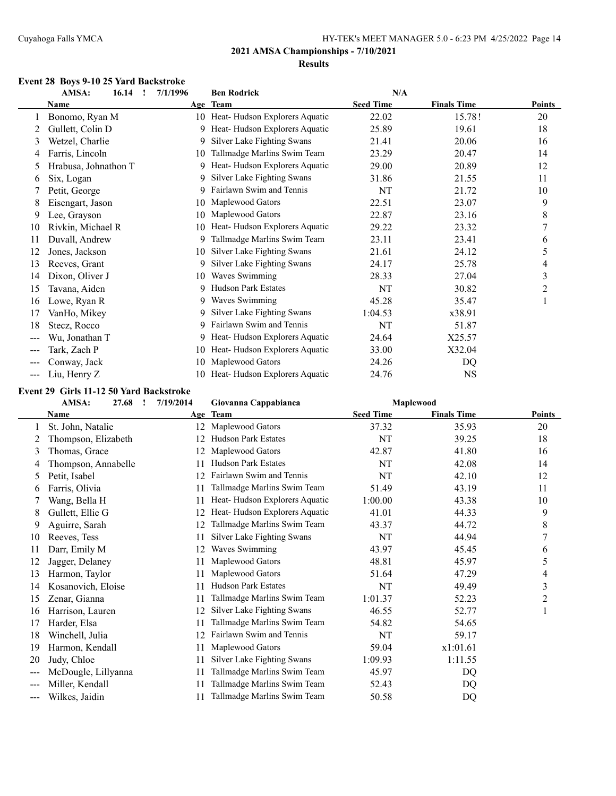#### **Event 28 Boys 9-10 25 Yard Backstroke**

|       | AMSA:<br>16.14       | 7/1/1996<br>$\mathbf{r}$ | <b>Ben Rodrick</b>            | N/A              |                    |               |
|-------|----------------------|--------------------------|-------------------------------|------------------|--------------------|---------------|
|       | Name                 |                          | Age Team                      | <b>Seed Time</b> | <b>Finals Time</b> | <b>Points</b> |
|       | Bonomo, Ryan M       | 10                       | Heat-Hudson Explorers Aquatic | 22.02            | 15.78!             | 20            |
| 2     | Gullett, Colin D     | 9                        | Heat-Hudson Explorers Aquatic | 25.89            | 19.61              | 18            |
| 3     | Wetzel, Charlie      | 9.                       | Silver Lake Fighting Swans    | 21.41            | 20.06              | 16            |
| 4     | Farris, Lincoln      | 10                       | Tallmadge Marlins Swim Team   | 23.29            | 20.47              | 14            |
| 5     | Hrabusa, Johnathon T | 9                        | Heat-Hudson Explorers Aquatic | 29.00            | 20.89              | 12            |
| 6     | Six, Logan           | 9                        | Silver Lake Fighting Swans    | 31.86            | 21.55              | 11            |
|       | Petit, George        | 9                        | Fairlawn Swim and Tennis      | NT               | 21.72              | 10            |
| 8     | Eisengart, Jason     | 10                       | Maplewood Gators              | 22.51            | 23.07              | 9             |
| 9     | Lee, Grayson         | 10                       | Maplewood Gators              | 22.87            | 23.16              | 8             |
| 10    | Rivkin, Michael R    | 10                       | Heat-Hudson Explorers Aquatic | 29.22            | 23.32              | 7             |
| 11    | Duvall, Andrew       | 9                        | Tallmadge Marlins Swim Team   | 23.11            | 23.41              | 6             |
| 12    | Jones, Jackson       | 10                       | Silver Lake Fighting Swans    | 21.61            | 24.12              | 5             |
| 13    | Reeves, Grant        | 9                        | Silver Lake Fighting Swans    | 24.17            | 25.78              | 4             |
| 14    | Dixon, Oliver J      | 10                       | Waves Swimming                | 28.33            | 27.04              | 3             |
| 15    | Tavana, Aiden        | 9                        | <b>Hudson Park Estates</b>    | NT               | 30.82              | 2             |
| 16    | Lowe, Ryan R         | 9.                       | Waves Swimming                | 45.28            | 35.47              |               |
| 17    | VanHo, Mikey         | 9.                       | Silver Lake Fighting Swans    | 1:04.53          | x38.91             |               |
| 18    | Stecz, Rocco         | 9                        | Fairlawn Swim and Tennis      | NT               | 51.87              |               |
| $---$ | Wu, Jonathan T       | 9                        | Heat-Hudson Explorers Aquatic | 24.64            | X25.57             |               |
| $---$ | Tark, Zach P         | 10                       | Heat-Hudson Explorers Aquatic | 33.00            | X32.04             |               |
|       | Conway, Jack         | 10                       | Maplewood Gators              | 24.26            | DQ                 |               |
|       | Liu, Henry Z         | 10                       | Heat-Hudson Explorers Aquatic | 24.76            | <b>NS</b>          |               |

#### **Event 29 Girls 11-12 50 Yard Backstroke**

|                   | AMSA:<br>27.68<br>$\mathbf{I}$ | 7/19/2014 | Giovanna Cappabianca          |                  | Maplewood          |               |
|-------------------|--------------------------------|-----------|-------------------------------|------------------|--------------------|---------------|
|                   | Name                           |           | Age Team                      | <b>Seed Time</b> | <b>Finals Time</b> | <b>Points</b> |
|                   | St. John, Natalie              |           | 12 Maplewood Gators           | 37.32            | 35.93              | 20            |
|                   | Thompson, Elizabeth            | 12        | <b>Hudson Park Estates</b>    | NT               | 39.25              | 18            |
| 3                 | Thomas, Grace                  | 12        | Maplewood Gators              | 42.87            | 41.80              | 16            |
| 4                 | Thompson, Annabelle            | 11        | <b>Hudson Park Estates</b>    | NT               | 42.08              | 14            |
| 5                 | Petit, Isabel                  | 12        | Fairlawn Swim and Tennis      | NT               | 42.10              | 12            |
| 6                 | Farris, Olivia                 | 11        | Tallmadge Marlins Swim Team   | 51.49            | 43.19              | 11            |
|                   | Wang, Bella H                  | 11        | Heat-Hudson Explorers Aquatic | 1:00.00          | 43.38              | 10            |
| 8                 | Gullett, Ellie G               | 12        | Heat-Hudson Explorers Aquatic | 41.01            | 44.33              | 9             |
| 9                 | Aguirre, Sarah                 | 12        | Tallmadge Marlins Swim Team   | 43.37            | 44.72              | 8             |
| 10                | Reeves, Tess                   | 11        | Silver Lake Fighting Swans    | NT               | 44.94              | 7             |
| 11                | Darr, Emily M                  | 12        | Waves Swimming                | 43.97            | 45.45              | 6             |
| 12                | Jagger, Delaney                | 11        | Maplewood Gators              | 48.81            | 45.97              | 5             |
| 13                | Harmon, Taylor                 | 11        | Maplewood Gators              | 51.64            | 47.29              | 4             |
| 14                | Kosanovich, Eloise             | 11        | <b>Hudson Park Estates</b>    | NT               | 49.49              | 3             |
| 15                | Zenar, Gianna                  | 11        | Tallmadge Marlins Swim Team   | 1:01.37          | 52.23              | 2             |
| 16                | Harrison, Lauren               | 12        | Silver Lake Fighting Swans    | 46.55            | 52.77              |               |
| 17                | Harder, Elsa                   | 11        | Tallmadge Marlins Swim Team   | 54.82            | 54.65              |               |
| 18                | Winchell, Julia                | 12        | Fairlawn Swim and Tennis      | NT               | 59.17              |               |
| 19                | Harmon, Kendall                | 11        | Maplewood Gators              | 59.04            | x1:01.61           |               |
| 20                | Judy, Chloe                    | 11        | Silver Lake Fighting Swans    | 1:09.93          | 1:11.55            |               |
| $---$             | McDougle, Lillyanna            | 11        | Tallmadge Marlins Swim Team   | 45.97            | DQ                 |               |
| $\qquad \qquad -$ | Miller, Kendall                | 11        | Tallmadge Marlins Swim Team   | 52.43            | DQ                 |               |
| $\frac{1}{2}$     | Wilkes, Jaidin                 | 11        | Tallmadge Marlins Swim Team   | 50.58            | DQ                 |               |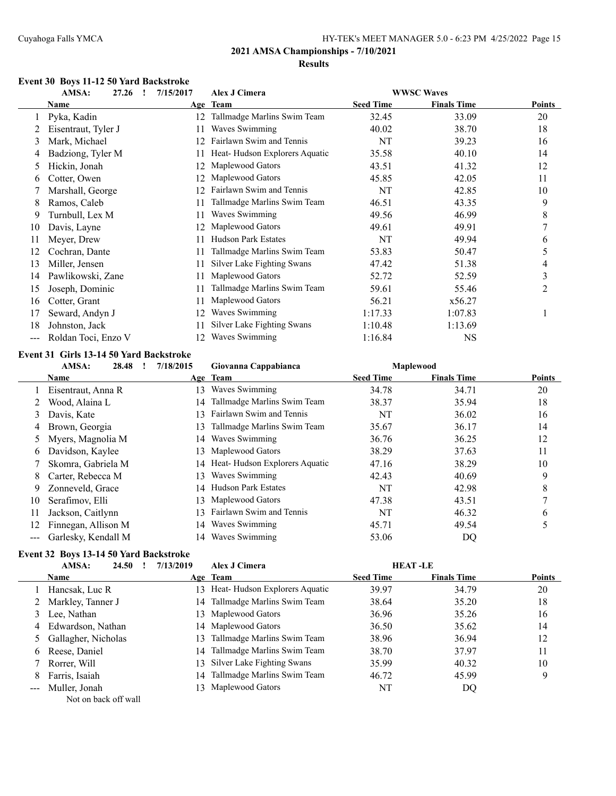#### **Event 30 Boys 11-12 50 Yard Backstroke**

|     | AMSA:<br>Alex J Cimera<br><b>WWSC Waves</b><br>27.26<br>7/15/2017<br>$\mathbf{I}$ |     |                               |                  |                    |        |
|-----|-----------------------------------------------------------------------------------|-----|-------------------------------|------------------|--------------------|--------|
|     | Name                                                                              |     | Age Team                      | <b>Seed Time</b> | <b>Finals Time</b> | Points |
|     | Pyka, Kadin                                                                       | 12. | Tallmadge Marlins Swim Team   | 32.45            | 33.09              | 20     |
|     | Eisentraut, Tyler J                                                               | 11  | Waves Swimming                | 40.02            | 38.70              | 18     |
| 3   | Mark, Michael                                                                     | 12  | Fairlawn Swim and Tennis      | NT               | 39.23              | 16     |
| 4   | Badziong, Tyler M                                                                 |     | Heat-Hudson Explorers Aquatic | 35.58            | 40.10              | 14     |
| 5   | Hickin, Jonah                                                                     | 12. | Maplewood Gators              | 43.51            | 41.32              | 12     |
| 6   | Cotter, Owen                                                                      | 12. | Maplewood Gators              | 45.85            | 42.05              | 11     |
|     | Marshall, George                                                                  |     | Fairlawn Swim and Tennis      | NT               | 42.85              | 10     |
| 8   | Ramos, Caleb                                                                      | 11  | Tallmadge Marlins Swim Team   | 46.51            | 43.35              | 9      |
| 9   | Turnbull, Lex M                                                                   | 11  | Waves Swimming                | 49.56            | 46.99              | 8      |
| 10  | Davis, Layne                                                                      |     | Maplewood Gators              | 49.61            | 49.91              | 7      |
| 11  | Meyer, Drew                                                                       |     | <b>Hudson Park Estates</b>    | NT               | 49.94              | 6      |
| 12  | Cochran, Dante                                                                    |     | Tallmadge Marlins Swim Team   | 53.83            | 50.47              | 5      |
| 13  | Miller, Jensen                                                                    | 11  | Silver Lake Fighting Swans    | 47.42            | 51.38              | 4      |
| 14  | Pawlikowski, Zane                                                                 | 11  | Maplewood Gators              | 52.72            | 52.59              | 3      |
| 15  | Joseph, Dominic                                                                   | 11  | Tallmadge Marlins Swim Team   | 59.61            | 55.46              | 2      |
| 16  | Cotter, Grant                                                                     | 11  | Maplewood Gators              | 56.21            | x56.27             |        |
| 17  | Seward, Andyn J                                                                   | 12  | Waves Swimming                | 1:17.33          | 1:07.83            | J.     |
| 18  | Johnston, Jack                                                                    |     | Silver Lake Fighting Swans    | 1:10.48          | 1:13.69            |        |
| --- | Roldan Toci, Enzo V                                                               | 12  | Waves Swimming                | 1:16.84          | <b>NS</b>          |        |

# **Event 31 Girls 13-14 50 Yard Backstroke**

|     | AMSA:<br>28.48      | 7/18/2015 | Giovanna Cappabianca             |                  | <b>Maplewood</b>   |               |
|-----|---------------------|-----------|----------------------------------|------------------|--------------------|---------------|
|     | Name                |           | Age Team                         | <b>Seed Time</b> | <b>Finals Time</b> | <b>Points</b> |
|     | Eisentraut, Anna R  | 13.       | Waves Swimming                   | 34.78            | 34.71              | 20            |
|     | Wood, Alaina L      | 14.       | Tallmadge Marlins Swim Team      | 38.37            | 35.94              | 18            |
| 3   | Davis, Kate         | 13.       | Fairlawn Swim and Tennis         | NT               | 36.02              | 16            |
| 4   | Brown, Georgia      | 13        | Tallmadge Marlins Swim Team      | 35.67            | 36.17              | 14            |
|     | 5 Myers, Magnolia M | 14        | Waves Swimming                   | 36.76            | 36.25              | 12            |
| 6.  | Davidson, Kaylee    | 13.       | Maplewood Gators                 | 38.29            | 37.63              | 11            |
|     | Skomra, Gabriela M  |           | 14 Heat-Hudson Explorers Aquatic | 47.16            | 38.29              | 10            |
| 8.  | Carter, Rebecca M   | 13        | Waves Swimming                   | 42.43            | 40.69              | 9             |
| 9   | Zonneveld, Grace    | 14        | <b>Hudson Park Estates</b>       | NT               | 42.98              | 8             |
| 10  | Serafimov, Elli     | 13.       | Maplewood Gators                 | 47.38            | 43.51              |               |
| 11  | Jackson, Caitlynn   | 13.       | Fairlawn Swim and Tennis         | NT               | 46.32              | 6             |
| 12  | Finnegan, Allison M | 14        | Waves Swimming                   | 45.71            | 49.54              |               |
| --- | Garlesky, Kendall M | 14        | Waves Swimming                   | 53.06            | DQ                 |               |

# **Event 32 Boys 13-14 50 Yard Backstroke**

|    | AMSA:<br>24.50        | 7/13/2019 | Alex J Cimera                  |                  | <b>HEAT-LE</b>     |               |
|----|-----------------------|-----------|--------------------------------|------------------|--------------------|---------------|
|    | <b>Name</b>           |           | Age Team                       | <b>Seed Time</b> | <b>Finals Time</b> | <b>Points</b> |
|    | Hancsak, Luc R        | 13.       | Heat-Hudson Explorers Aquatic  | 39.97            | 34.79              | 20            |
|    | 2 Markley, Tanner J   |           | 14 Tallmadge Marlins Swim Team | 38.64            | 35.20              | 18            |
|    | Lee, Nathan           | 13.       | Maplewood Gators               | 36.96            | 35.26              | 16            |
|    | 4 Edwardson, Nathan   |           | 14 Maplewood Gators            | 36.50            | 35.62              | 14            |
|    | 5 Gallagher, Nicholas | 13.       | Tallmadge Marlins Swim Team    | 38.96            | 36.94              | 12            |
|    | 6 Reese, Daniel       |           | 14 Tallmadge Marlins Swim Team | 38.70            | 37.97              | 11            |
|    | Rorrer, Will          | 13.       | Silver Lake Fighting Swans     | 35.99            | 40.32              | 10            |
| 8. | Farris, Isaiah        | 14        | Tallmadge Marlins Swim Team    | 46.72            | 45.99              | 9             |
|    | Muller, Jonah         | 13.       | Maplewood Gators               | NT               | DQ                 |               |
|    | Not on back off wall  |           |                                |                  |                    |               |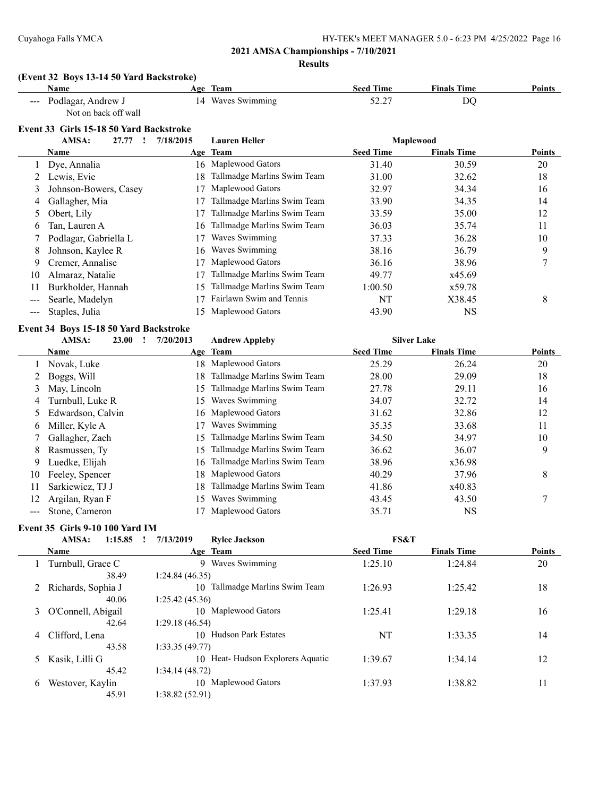#### **Results**

#### **(Event 32 Boys 13-14 50 Yard Backstroke)**

| Name                                                                                                                                                                                                                                                                                                                                                                                                                                                                                                                               | Team<br>Age         | <b>Seed Time</b> | <b>Finals Time</b> | <b>Points</b> |
|------------------------------------------------------------------------------------------------------------------------------------------------------------------------------------------------------------------------------------------------------------------------------------------------------------------------------------------------------------------------------------------------------------------------------------------------------------------------------------------------------------------------------------|---------------------|------------------|--------------------|---------------|
| Podlagar, Andrew J<br>$\frac{1}{2} \left( \frac{1}{2} \right) \left( \frac{1}{2} \right) \left( \frac{1}{2} \right) \left( \frac{1}{2} \right) \left( \frac{1}{2} \right) \left( \frac{1}{2} \right) \left( \frac{1}{2} \right) \left( \frac{1}{2} \right) \left( \frac{1}{2} \right) \left( \frac{1}{2} \right) \left( \frac{1}{2} \right) \left( \frac{1}{2} \right) \left( \frac{1}{2} \right) \left( \frac{1}{2} \right) \left( \frac{1}{2} \right) \left( \frac{1}{2} \right) \left( \frac$<br>$\sim$ $\sim$<br>$\sim$ $\sim$ | Waves Swimming<br>4 | ، ئەيدىك         | DС                 |               |

Not on back off wall

# **Event 33 Girls 15-18 50 Yard Backstroke**

|                        | етсперо- он 13 тэ-то эл тага раскян окс |           |                             |                  |                    |               |
|------------------------|-----------------------------------------|-----------|-----------------------------|------------------|--------------------|---------------|
|                        | AMSA:<br>27.77                          | 7/18/2015 | <b>Lauren Heller</b>        |                  | <b>Maplewood</b>   |               |
|                        | Name                                    |           | Age Team                    | <b>Seed Time</b> | <b>Finals Time</b> | <b>Points</b> |
|                        | Dye, Annalia                            | 16        | Maplewood Gators            | 31.40            | 30.59              | 20            |
|                        | Lewis, Evie                             | 18.       | Tallmadge Marlins Swim Team | 31.00            | 32.62              | 18            |
| 3                      | Johnson-Bowers, Casey                   |           | Maplewood Gators            | 32.97            | 34.34              | 16            |
| 4                      | Gallagher, Mia                          |           | Tallmadge Marlins Swim Team | 33.90            | 34.35              | 14            |
| 5                      | Obert, Lily                             |           | Tallmadge Marlins Swim Team | 33.59            | 35.00              | 12            |
| 6                      | Tan, Lauren A                           | 16.       | Tallmadge Marlins Swim Team | 36.03            | 35.74              | 11            |
|                        | Podlagar, Gabriella L                   |           | Waves Swimming              | 37.33            | 36.28              | 10            |
| 8                      | Johnson, Kaylee R                       | 16.       | Waves Swimming              | 38.16            | 36.79              | 9             |
| 9                      | Cremer, Annalise                        |           | Maplewood Gators            | 36.16            | 38.96              | $\mathcal{I}$ |
| 10                     | Almaraz, Natalie                        |           | Tallmadge Marlins Swim Team | 49.77            | x45.69             |               |
| 11                     | Burkholder, Hannah                      | 15.       | Tallmadge Marlins Swim Team | 1:00.50          | x59.78             |               |
|                        | Searle, Madelyn                         |           | Fairlawn Swim and Tennis    | NT               | X38.45             | 8             |
| $\qquad \qquad \cdots$ | Staples, Julia                          | 15.       | Maplewood Gators            | 43.90            | <b>NS</b>          |               |

#### **Event 34 Boys 15-18 50 Yard Backstroke**

|    | AMSA:<br>23.00    | 7/20/2013 | <b>Andrew Appleby</b>       |                  | <b>Silver Lake</b> |               |
|----|-------------------|-----------|-----------------------------|------------------|--------------------|---------------|
|    | <b>Name</b>       |           | Age Team                    | <b>Seed Time</b> | <b>Finals Time</b> | <b>Points</b> |
|    | Novak, Luke       |           | 18 Maplewood Gators         | 25.29            | 26.24              | 20            |
| 2  | Boggs, Will       | 18        | Tallmadge Marlins Swim Team | 28.00            | 29.09              | 18            |
| 3  | May, Lincoln      | 15.       | Tallmadge Marlins Swim Team | 27.78            | 29.11              | 16            |
| 4  | Turnbull, Luke R  | 15        | Waves Swimming              | 34.07            | 32.72              | 14            |
|    | Edwardson, Calvin | 16.       | Maplewood Gators            | 31.62            | 32.86              | 12            |
| 6  | Miller, Kyle A    | 17        | Waves Swimming              | 35.35            | 33.68              | 11            |
|    | Gallagher, Zach   | 15.       | Tallmadge Marlins Swim Team | 34.50            | 34.97              | 10            |
| 8. | Rasmussen, Ty     | 15.       | Tallmadge Marlins Swim Team | 36.62            | 36.07              | 9             |
| 9. | Luedke, Elijah    | 16.       | Tallmadge Marlins Swim Team | 38.96            | x36.98             |               |
| 10 | Feeley, Spencer   | 18.       | Maplewood Gators            | 40.29            | 37.96              | 8             |
| 11 | Sarkiewicz, TJ J  | 18.       | Tallmadge Marlins Swim Team | 41.86            | x40.83             |               |
|    | Argilan, Ryan F   | 15        | Waves Swimming              | 43.45            | 43.50              |               |
|    | Stone, Cameron    |           | Maplewood Gators            | 35.71            | NS                 |               |

# **Event 35 Girls 9-10 100 Yard IM**<br>AMSA: 1:15.85 1.7

|   | ртан оо чинээ то тоо тага тиг<br>AMSA:<br>1:15.85 | 7/13/2019<br><b>Rylee Jackson</b> | <b>FS&amp;T</b>  |                    |               |
|---|---------------------------------------------------|-----------------------------------|------------------|--------------------|---------------|
|   | <b>Name</b>                                       | Age Team                          | <b>Seed Time</b> | <b>Finals Time</b> | <b>Points</b> |
|   | Turnbull, Grace C                                 | Waves Swimming<br>9               | 1:25.10          | 1:24.84            | 20            |
|   | 38.49                                             | 1:24.84(46.35)                    |                  |                    |               |
|   | Richards, Sophia J                                | Tallmadge Marlins Swim Team<br>10 | 1:26.93          | 1:25.42            | 18            |
|   | 40.06                                             | 1:25.42(45.36)                    |                  |                    |               |
| 3 | O'Connell, Abigail                                | 10 Maplewood Gators               | 1:25.41          | 1:29.18            | 16            |
|   | 42.64                                             | 1:29.18(46.54)                    |                  |                    |               |
| 4 | Clifford, Lena                                    | <b>Hudson Park Estates</b><br>10  | NT               | 1:33.35            | 14            |
|   | 43.58                                             | 1:33.35(49.77)                    |                  |                    |               |
|   | Kasik, Lilli G                                    | 10 Heat-Hudson Explorers Aquatic  | 1:39.67          | 1:34.14            | 12            |
|   | 45.42                                             | 1:34.14(48.72)                    |                  |                    |               |
| 6 | Westover, Kaylin                                  | 10 Maplewood Gators               | 1:37.93          | 1:38.82            | 11            |
|   | 45.91                                             | 1:38.82(52.91)                    |                  |                    |               |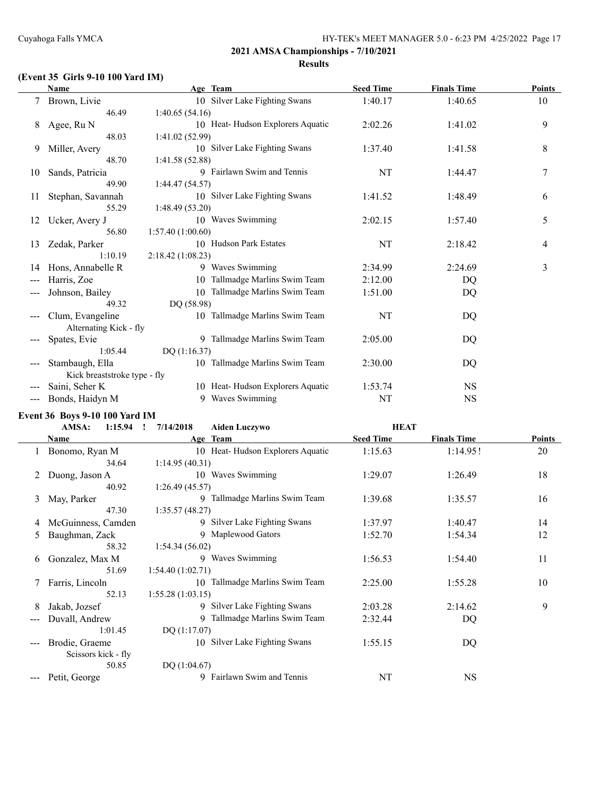# **(Event 35 Girls 9-10 100 Yard IM)**

|       | <b>Name</b>                  | Age Team                          | <b>Seed Time</b> | <b>Finals Time</b> | <b>Points</b> |
|-------|------------------------------|-----------------------------------|------------------|--------------------|---------------|
|       | Brown, Livie                 | 10 Silver Lake Fighting Swans     | 1:40.17          | 1:40.65            | 10            |
|       | 46.49                        | 1:40.65(54.16)                    |                  |                    |               |
| 8     | Agee, Ru N                   | 10 Heat-Hudson Explorers Aquatic  | 2:02.26          | 1:41.02            | 9             |
|       | 48.03                        | 1:41.02(52.99)                    |                  |                    |               |
| 9     | Miller, Avery                | 10 Silver Lake Fighting Swans     | 1:37.40          | 1:41.58            | 8             |
|       | 48.70                        | 1:41.58(52.88)                    |                  |                    |               |
| 10    | Sands, Patricia              | 9 Fairlawn Swim and Tennis        | NT               | 1:44.47            | 7             |
|       | 49.90                        | 1:44.47(54.57)                    |                  |                    |               |
| 11    | Stephan, Savannah            | 10 Silver Lake Fighting Swans     | 1:41.52          | 1:48.49            | 6             |
|       | 55.29                        | 1:48.49(53.20)                    |                  |                    |               |
| 12    | Ucker, Avery J               | 10 Waves Swimming                 | 2:02.15          | 1:57.40            | 5             |
|       | 56.80                        | 1:57.40(1:00.60)                  |                  |                    |               |
| 13    | Zedak, Parker                | 10 Hudson Park Estates            | NT               | 2:18.42            | 4             |
|       | 1:10.19                      | 2:18.42(1:08.23)                  |                  |                    |               |
| 14    | Hons, Annabelle R            | 9 Waves Swimming                  | 2:34.99          | 2:24.69            | 3             |
| ---   | Harris, Zoe                  | Tallmadge Marlins Swim Team<br>10 | 2:12.00          | D <sub>O</sub>     |               |
|       | Johnson, Bailey              | Tallmadge Marlins Swim Team<br>10 | 1:51.00          | DQ                 |               |
|       | 49.32                        | DQ (58.98)                        |                  |                    |               |
|       | Clum, Evangeline             | 10 Tallmadge Marlins Swim Team    | NT               | DQ                 |               |
|       | Alternating Kick - fly       |                                   |                  |                    |               |
| $---$ | Spates, Evie                 | 9 Tallmadge Marlins Swim Team     | 2:05.00          | DQ                 |               |
|       | 1:05.44                      | DQ $(1:16.37)$                    |                  |                    |               |
|       | Stambaugh, Ella              | 10 Tallmadge Marlins Swim Team    | 2:30.00          | DQ                 |               |
|       | Kick breaststroke type - fly |                                   |                  |                    |               |
|       | Saini, Seher K               | 10 Heat-Hudson Explorers Aquatic  | 1:53.74          | <b>NS</b>          |               |
|       | Bonds, Haidyn M              | 9 Waves Swimming                  | NT               | <b>NS</b>          |               |

**Event 36 Boys 9-10 100 Yard IM**

|               | AMSA:<br>1:15.94    | 7/14/2018        | <b>Aiden Luczywo</b>             | <b>HEAT</b>      |                    |               |
|---------------|---------------------|------------------|----------------------------------|------------------|--------------------|---------------|
|               | Name                |                  | Age Team                         | <b>Seed Time</b> | <b>Finals Time</b> | <b>Points</b> |
|               | Bonomo, Ryan M      |                  | 10 Heat-Hudson Explorers Aquatic | 1:15.63          | 1:14.95!           | 20            |
|               | 34.64               | 1:14.95(40.31)   |                                  |                  |                    |               |
| 2             | Duong, Jason A      | 10               | Waves Swimming                   | 1:29.07          | 1:26.49            | 18            |
|               | 40.92               | 1:26.49(45.57)   |                                  |                  |                    |               |
| 3             | May, Parker         |                  | 9 Tallmadge Marlins Swim Team    | 1:39.68          | 1:35.57            | 16            |
|               | 47.30               | 1:35.57(48.27)   |                                  |                  |                    |               |
| 4             | McGuinness, Camden  |                  | 9 Silver Lake Fighting Swans     | 1:37.97          | 1:40.47            | 14            |
| $\mathcal{L}$ | Baughman, Zack      |                  | 9 Maplewood Gators               | 1:52.70          | 1:54.34            | 12            |
|               | 58.32               | 1:54.34(56.02)   |                                  |                  |                    |               |
| 6             | Gonzalez, Max M     | 9                | Waves Swimming                   | 1:56.53          | 1:54.40            | 11            |
|               | 51.69               | 1:54.40(1:02.71) |                                  |                  |                    |               |
|               | Farris, Lincoln     |                  | 10 Tallmadge Marlins Swim Team   | 2:25.00          | 1:55.28            | 10            |
|               | 52.13               | 1:55.28(1:03.15) |                                  |                  |                    |               |
| 8             | Jakab, Jozsef       |                  | 9 Silver Lake Fighting Swans     | 2:03.28          | 2:14.62            | 9             |
| $---$         | Duvall, Andrew      |                  | 9 Tallmadge Marlins Swim Team    | 2:32.44          | DQ                 |               |
|               | 1:01.45             | DQ(1:17.07)      |                                  |                  |                    |               |
|               | Brodie, Graeme      | 10 <sup>1</sup>  | Silver Lake Fighting Swans       | 1:55.15          | DQ                 |               |
|               | Scissors kick - fly |                  |                                  |                  |                    |               |
|               | 50.85               | DQ $(1:04.67)$   |                                  |                  |                    |               |
|               | Petit, George       | 9                | Fairlawn Swim and Tennis         | NT               | <b>NS</b>          |               |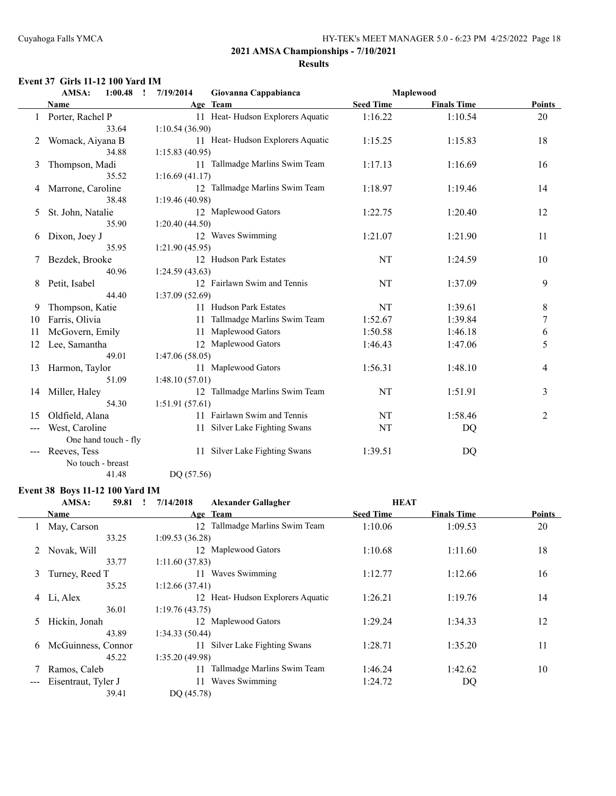#### **Event 37 Girls 11-12 100 Yard IM**

|    | AMSA:<br>1:00.48<br>$\cdot$ | 7/19/2014      | Giovanna Cappabianca             |                  | Maplewood          |                  |
|----|-----------------------------|----------------|----------------------------------|------------------|--------------------|------------------|
|    | Name                        |                | Age Team                         | <b>Seed Time</b> | <b>Finals Time</b> | <b>Points</b>    |
|    | Porter, Rachel P            |                | 11 Heat-Hudson Explorers Aquatic | 1:16.22          | 1:10.54            | 20               |
|    | 33.64                       | 1:10.54(36.90) |                                  |                  |                    |                  |
| 2  | Womack, Aiyana B            |                | 11 Heat-Hudson Explorers Aquatic | 1:15.25          | 1:15.83            | 18               |
|    | 34.88                       | 1:15.83(40.95) |                                  |                  |                    |                  |
| 3  | Thompson, Madi              |                | 11 Tallmadge Marlins Swim Team   | 1:17.13          | 1:16.69            | 16               |
|    | 35.52                       | 1:16.69(41.17) |                                  |                  |                    |                  |
| 4  | Marrone, Caroline           |                | 12 Tallmadge Marlins Swim Team   | 1:18.97          | 1:19.46            | 14               |
|    | 38.48                       | 1:19.46(40.98) |                                  |                  |                    |                  |
| 5  | St. John, Natalie           |                | 12 Maplewood Gators              | 1:22.75          | 1:20.40            | 12               |
|    | 35.90                       | 1:20.40(44.50) |                                  |                  |                    |                  |
| 6  | Dixon, Joey J               |                | 12 Waves Swimming                | 1:21.07          | 1:21.90            | 11               |
|    | 35.95                       | 1:21.90(45.95) |                                  |                  |                    |                  |
| 7  | Bezdek, Brooke              |                | 12 Hudson Park Estates           | NT               | 1:24.59            | 10               |
|    | 40.96                       | 1:24.59(43.63) |                                  |                  |                    |                  |
| 8  | Petit, Isabel               |                | 12 Fairlawn Swim and Tennis      | NT               | 1:37.09            | 9                |
|    | 44.40                       | 1:37.09(52.69) |                                  |                  |                    |                  |
| 9  | Thompson, Katie             |                | 11 Hudson Park Estates           | NT               | 1:39.61            | 8                |
| 10 | Farris, Olivia              | 11             | Tallmadge Marlins Swim Team      | 1:52.67          | 1:39.84            | $\boldsymbol{7}$ |
| 11 | McGovern, Emily             | 11             | Maplewood Gators                 | 1:50.58          | 1:46.18            | 6                |
| 12 | Lee, Samantha               |                | 12 Maplewood Gators              | 1:46.43          | 1:47.06            | 5                |
|    | 49.01                       | 1:47.06(58.05) |                                  |                  |                    |                  |
| 13 | Harmon, Taylor              |                | 11 Maplewood Gators              | 1:56.31          | 1:48.10            | 4                |
|    | 51.09                       | 1:48.10(57.01) |                                  |                  |                    |                  |
| 14 | Miller, Haley               |                | 12 Tallmadge Marlins Swim Team   | NT               | 1:51.91            | 3                |
|    | 54.30                       | 1:51.91(57.61) |                                  |                  |                    |                  |
| 15 | Oldfield, Alana             |                | 11 Fairlawn Swim and Tennis      | NT               | 1:58.46            | 2                |
|    | West, Caroline              | 11             | Silver Lake Fighting Swans       | NT               | DQ                 |                  |
|    | One hand touch - fly        |                |                                  |                  |                    |                  |
|    | Reeves, Tess                | 11             | Silver Lake Fighting Swans       | 1:39.51          | DQ                 |                  |
|    | No touch - breast           |                |                                  |                  |                    |                  |

41.48 DQ (57.56)

# **Event 38 Boys 11-12 100 Yard IM**

| AMSA:            | 59.81 |                                                                                        | 7/14/2018 | <b>Alexander Gallagher</b>  |                                                                                                                                                                                                                      |                    |               |
|------------------|-------|----------------------------------------------------------------------------------------|-----------|-----------------------------|----------------------------------------------------------------------------------------------------------------------------------------------------------------------------------------------------------------------|--------------------|---------------|
| Name             |       |                                                                                        |           |                             | <b>Seed Time</b>                                                                                                                                                                                                     | <b>Finals Time</b> | <b>Points</b> |
| May, Carson      |       |                                                                                        | 12.       | Tallmadge Marlins Swim Team | 1:10.06                                                                                                                                                                                                              | 1:09.53            | 20            |
|                  | 33.25 |                                                                                        |           |                             |                                                                                                                                                                                                                      |                    |               |
| Novak, Will<br>2 |       |                                                                                        |           |                             | 1:10.68                                                                                                                                                                                                              | 1:11.60            | 18            |
|                  |       |                                                                                        |           |                             |                                                                                                                                                                                                                      |                    |               |
|                  |       |                                                                                        | 11        | Waves Swimming              | 1:12.77                                                                                                                                                                                                              | 1:12.66            | 16            |
|                  | 35.25 |                                                                                        |           |                             |                                                                                                                                                                                                                      |                    |               |
| 4 Li, Alex       |       |                                                                                        |           |                             | 1:26.21                                                                                                                                                                                                              | 1:19.76            | 14            |
|                  | 36.01 |                                                                                        |           |                             |                                                                                                                                                                                                                      |                    |               |
| Hickin, Jonah    |       |                                                                                        |           |                             | 1:29.24                                                                                                                                                                                                              | 1:34.33            | 12            |
|                  |       |                                                                                        |           |                             |                                                                                                                                                                                                                      |                    |               |
|                  |       |                                                                                        | 11        | Silver Lake Fighting Swans  | 1:28.71                                                                                                                                                                                                              | 1:35.20            | 11            |
|                  |       |                                                                                        |           |                             |                                                                                                                                                                                                                      |                    |               |
| Ramos, Caleb     |       |                                                                                        | 11        | Tallmadge Marlins Swim Team | 1:46.24                                                                                                                                                                                                              | 1:42.62            | 10            |
|                  |       |                                                                                        | 11        | Waves Swimming              | 1:24.72                                                                                                                                                                                                              | DQ                 |               |
|                  | 39.41 |                                                                                        |           |                             |                                                                                                                                                                                                                      |                    |               |
|                  |       | 33.77<br>Turney, Reed T<br>43.89<br>McGuinness, Connor<br>45.22<br>Eisentraut, Tyler J |           |                             | Age Team<br>1:09.53(36.28)<br>12 Maplewood Gators<br>1:11.60(37.83)<br>1:12.66(37.41)<br>12 Heat-Hudson Explorers Aquatic<br>1:19.76(43.75)<br>12 Maplewood Gators<br>1:34.33(50.44)<br>1:35.20(49.98)<br>DQ (45.78) |                    | <b>HEAT</b>   |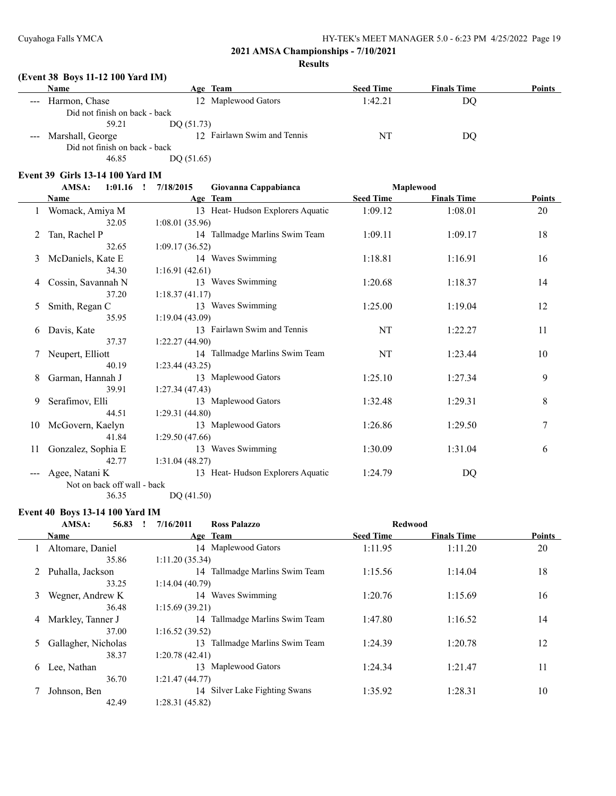# **(Event 38 Boys 11-12 100 Yard IM)**

|                                                                                                                                                                                                                                                                                                                                                                                                                                                                            | <b>Name</b>                   | Age Team                    | <b>Seed Time</b> | <b>Finals Time</b> | <b>Points</b> |
|----------------------------------------------------------------------------------------------------------------------------------------------------------------------------------------------------------------------------------------------------------------------------------------------------------------------------------------------------------------------------------------------------------------------------------------------------------------------------|-------------------------------|-----------------------------|------------------|--------------------|---------------|
| $\frac{1}{2} \left( \frac{1}{2} \right) \left( \frac{1}{2} \right) \left( \frac{1}{2} \right) \left( \frac{1}{2} \right) \left( \frac{1}{2} \right) \left( \frac{1}{2} \right) \left( \frac{1}{2} \right) \left( \frac{1}{2} \right) \left( \frac{1}{2} \right) \left( \frac{1}{2} \right) \left( \frac{1}{2} \right) \left( \frac{1}{2} \right) \left( \frac{1}{2} \right) \left( \frac{1}{2} \right) \left( \frac{1}{2} \right) \left( \frac{1}{2} \right) \left( \frac$ | Harmon, Chase                 | 12 Maplewood Gators         | 1:42.21          | DO                 |               |
|                                                                                                                                                                                                                                                                                                                                                                                                                                                                            | Did not finish on back - back |                             |                  |                    |               |
|                                                                                                                                                                                                                                                                                                                                                                                                                                                                            | 59.21                         | DO $(51.73)$                |                  |                    |               |
|                                                                                                                                                                                                                                                                                                                                                                                                                                                                            | --- Marshall, George          | 12 Fairlawn Swim and Tennis | NT               | DO                 |               |
|                                                                                                                                                                                                                                                                                                                                                                                                                                                                            | Did not finish on back - back |                             |                  |                    |               |
|                                                                                                                                                                                                                                                                                                                                                                                                                                                                            | 46.85                         | DO(51.65)                   |                  |                    |               |
|                                                                                                                                                                                                                                                                                                                                                                                                                                                                            |                               |                             |                  |                    |               |

#### **Event 39 Girls 13-14 100 Yard IM**

|    | AMSA:<br>$1:01.16$ !        | 7/18/2015<br>Giovanna Cappabianca |                  | Maplewood          |               |
|----|-----------------------------|-----------------------------------|------------------|--------------------|---------------|
|    | Name                        | Age Team                          | <b>Seed Time</b> | <b>Finals Time</b> | <b>Points</b> |
|    | Womack, Amiya M             | 13 Heat-Hudson Explorers Aquatic  | 1:09.12          | 1:08.01            | 20            |
|    | 32.05                       | 1:08.01(35.96)                    |                  |                    |               |
| 2  | Tan, Rachel P               | 14 Tallmadge Marlins Swim Team    | 1:09.11          | 1:09.17            | 18            |
|    | 32.65                       | 1:09.17(36.52)                    |                  |                    |               |
| 3  | McDaniels, Kate E           | 14 Waves Swimming                 | 1:18.81          | 1:16.91            | 16            |
|    | 34.30                       | 1:16.91(42.61)                    |                  |                    |               |
| 4  | Cossin, Savannah N          | 13 Waves Swimming                 | 1:20.68          | 1:18.37            | 14            |
|    | 37.20                       | 1:18.37(41.17)                    |                  |                    |               |
| 5  | Smith, Regan C              | 13 Waves Swimming                 | 1:25.00          | 1:19.04            | 12            |
|    | 35.95                       | 1:19.04(43.09)                    |                  |                    |               |
| 6  | Davis, Kate                 | 13 Fairlawn Swim and Tennis       | NT               | 1:22.27            | 11            |
|    | 37.37                       | 1:22.27(44.90)                    |                  |                    |               |
|    | Neupert, Elliott            | 14 Tallmadge Marlins Swim Team    | NT               | 1:23.44            | 10            |
|    | 40.19                       | 1:23.44(43.25)                    |                  |                    |               |
| 8  | Garman, Hannah J            | 13 Maplewood Gators               | 1:25.10          | 1:27.34            | 9             |
|    | 39.91                       | 1:27.34(47.43)                    |                  |                    |               |
| 9  | Serafimov, Elli             | 13 Maplewood Gators               | 1:32.48          | 1:29.31            | 8             |
|    | 44.51                       | 1:29.31(44.80)                    |                  |                    |               |
| 10 | McGovern, Kaelyn            | 13 Maplewood Gators               | 1:26.86          | 1:29.50            | 7             |
|    | 41.84                       | 1:29.50(47.66)                    |                  |                    |               |
| 11 | Gonzalez, Sophia E          | 13 Waves Swimming                 | 1:30.09          | 1:31.04            | 6             |
|    | 42.77                       | 1:31.04(48.27)                    |                  |                    |               |
|    | Agee, Natani K              | 13 Heat-Hudson Explorers Aquatic  | 1:24.79          | DQ                 |               |
|    | Not on back off wall - back |                                   |                  |                    |               |

36.35 DQ (41.50)

#### **Event 40 Boys 13-14 100 Yard IM**

|             | AMSA:<br>56.83      | 7/16/2011      | <b>Ross Palazzo</b>            | <b>Redwood</b>   |                    |               |
|-------------|---------------------|----------------|--------------------------------|------------------|--------------------|---------------|
|             | Name                |                | Age Team                       | <b>Seed Time</b> | <b>Finals Time</b> | <b>Points</b> |
|             | Altomare, Daniel    |                | 14 Maplewood Gators            | 1:11.95          | 1:11.20            | 20            |
|             | 35.86               | 1:11.20(35.34) |                                |                  |                    |               |
| $2^{\circ}$ | Puhalla, Jackson    |                | 14 Tallmadge Marlins Swim Team | 1:15.56          | 1:14.04            | 18            |
|             | 33.25               | 1:14.04(40.79) |                                |                  |                    |               |
| 3           | Wegner, Andrew K    |                | 14 Waves Swimming              | 1:20.76          | 1:15.69            | 16            |
|             | 36.48               | 1:15.69(39.21) |                                |                  |                    |               |
|             | 4 Markley, Tanner J |                | 14 Tallmadge Marlins Swim Team | 1:47.80          | 1:16.52            | 14            |
|             | 37.00               | 1:16.52(39.52) |                                |                  |                    |               |
| 5           | Gallagher, Nicholas |                | 13 Tallmadge Marlins Swim Team | 1:24.39          | 1:20.78            | 12            |
|             | 38.37               | 1:20.78(42.41) |                                |                  |                    |               |
| 6           | Lee, Nathan         |                | 13 Maplewood Gators            | 1:24.34          | 1:21.47            | 11            |
|             | 36.70               | 1:21.47(44.77) |                                |                  |                    |               |
|             | Johnson, Ben        |                | 14 Silver Lake Fighting Swans  | 1:35.92          | 1:28.31            | 10            |
|             | 42.49               | 1:28.31(45.82) |                                |                  |                    |               |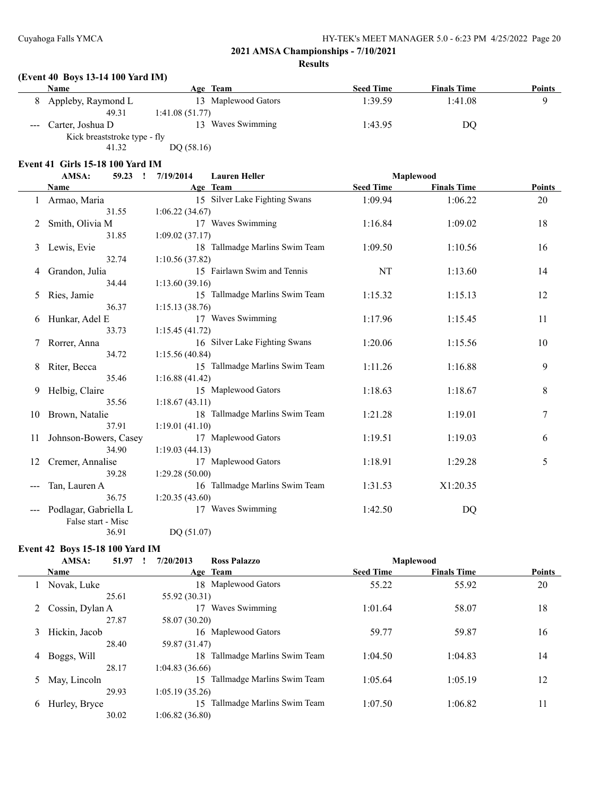# **(Event 40 Boys 13-14 100 Yard IM)**

| <b>Name</b>                  | Age Team            | <b>Seed Time</b> | <b>Finals Time</b> | <b>Points</b> |
|------------------------------|---------------------|------------------|--------------------|---------------|
| Appleby, Raymond L           | 13 Maplewood Gators | 1:39.59          | 1:41.08            |               |
| 49.31                        | 1:41.08(51.77)      |                  |                    |               |
| Carter, Joshua D             | Waves Swimming<br>3 | 1:43.95          | DO                 |               |
| Kick breaststroke type - fly |                     |                  |                    |               |

41.32 DQ (58.16)

#### **Event 41 Girls 15-18 100 Yard IM**

|    | AMSA:<br>59.23<br>$\mathbf{r}$ | 7/19/2014<br><b>Lauren Heller</b> |                  | Maplewood          |               |
|----|--------------------------------|-----------------------------------|------------------|--------------------|---------------|
|    | Name                           | Age Team                          | <b>Seed Time</b> | <b>Finals Time</b> | <b>Points</b> |
| 1  | Armao, Maria                   | 15 Silver Lake Fighting Swans     | 1:09.94          | 1:06.22            | 20            |
|    | 31.55                          | 1:06.22(34.67)                    |                  |                    |               |
| 2  | Smith, Olivia M                | 17 Waves Swimming                 | 1:16.84          | 1:09.02            | 18            |
|    | 31.85                          | 1:09.02(37.17)                    |                  |                    |               |
| 3  | Lewis, Evie                    | 18 Tallmadge Marlins Swim Team    | 1:09.50          | 1:10.56            | 16            |
|    | 32.74                          | 1:10.56(37.82)                    |                  |                    |               |
| 4  | Grandon, Julia                 | 15 Fairlawn Swim and Tennis       | NT               | 1:13.60            | 14            |
|    | 34.44                          | 1:13.60(39.16)                    |                  |                    |               |
| 5  | Ries, Jamie                    | 15 Tallmadge Marlins Swim Team    | 1:15.32          | 1:15.13            | 12            |
|    | 36.37                          | 1:15.13(38.76)                    |                  |                    |               |
| 6  | Hunkar, Adel E                 | 17 Waves Swimming                 | 1:17.96          | 1:15.45            | 11            |
|    | 33.73                          | 1:15.45(41.72)                    |                  |                    |               |
| 7  | Rorrer, Anna                   | 16 Silver Lake Fighting Swans     | 1:20.06          | 1:15.56            | 10            |
|    | 34.72                          | 1:15.56(40.84)                    |                  |                    |               |
| 8  | Riter, Becca                   | 15 Tallmadge Marlins Swim Team    | 1:11.26          | 1:16.88            | 9             |
|    | 35.46                          | 1:16.88(41.42)                    |                  |                    |               |
| 9  | Helbig, Claire                 | 15 Maplewood Gators               | 1:18.63          | 1:18.67            | 8             |
|    | 35.56                          | 1:18.67(43.11)                    |                  |                    |               |
| 10 | Brown, Natalie                 | 18 Tallmadge Marlins Swim Team    | 1:21.28          | 1:19.01            | 7             |
|    | 37.91                          | 1:19.01(41.10)                    |                  |                    |               |
| 11 | Johnson-Bowers, Casey          | 17 Maplewood Gators               | 1:19.51          | 1:19.03            | 6             |
|    | 34.90                          | 1:19.03(44.13)                    |                  |                    |               |
| 12 | Cremer, Annalise               | 17 Maplewood Gators               | 1:18.91          | 1:29.28            | 5             |
|    | 39.28                          | 1:29.28(50.00)                    |                  |                    |               |
|    | Tan, Lauren A                  | 16 Tallmadge Marlins Swim Team    | 1:31.53          | X1:20.35           |               |
|    | 36.75                          | 1:20.35(43.60)                    |                  |                    |               |
|    | Podlagar, Gabriella L          | 17 Waves Swimming                 | 1:42.50          | DQ                 |               |
|    | False start - Misc             |                                   |                  |                    |               |
|    | 36.91                          | DQ (51.07)                        |                  |                    |               |

#### **Event 42 Boys 15-18 100 Yard IM**

|   | AMSA:             | 51.97 | 7/20/2013      | <b>Ross Palazzo</b>         |                  | <b>Maplewood</b>   |               |
|---|-------------------|-------|----------------|-----------------------------|------------------|--------------------|---------------|
|   | Name              |       |                | Age Team                    | <b>Seed Time</b> | <b>Finals Time</b> | <b>Points</b> |
|   | Novak, Luke       |       | 18.            | Maplewood Gators            | 55.22            | 55.92              | 20            |
|   |                   | 25.61 | 55.92 (30.31)  |                             |                  |                    |               |
|   | 2 Cossin, Dylan A |       | 17             | Waves Swimming              | 1:01.64          | 58.07              | 18            |
|   |                   | 27.87 | 58.07 (30.20)  |                             |                  |                    |               |
| 3 | Hickin, Jacob     |       |                | 16 Maplewood Gators         | 59.77            | 59.87              | 16            |
|   |                   | 28.40 | 59.87 (31.47)  |                             |                  |                    |               |
| 4 | Boggs, Will       |       | 18.            | Tallmadge Marlins Swim Team | 1:04.50          | 1:04.83            | 14            |
|   |                   | 28.17 | 1:04.83(36.66) |                             |                  |                    |               |
| 5 | May, Lincoln      |       | 15.            | Tallmadge Marlins Swim Team | 1:05.64          | 1:05.19            | 12            |
|   |                   | 29.93 | 1:05.19(35.26) |                             |                  |                    |               |
| 6 | Hurley, Bryce     |       | 15.            | Tallmadge Marlins Swim Team | 1:07.50          | 1:06.82            | 11            |
|   |                   | 30.02 | 1:06.82(36.80) |                             |                  |                    |               |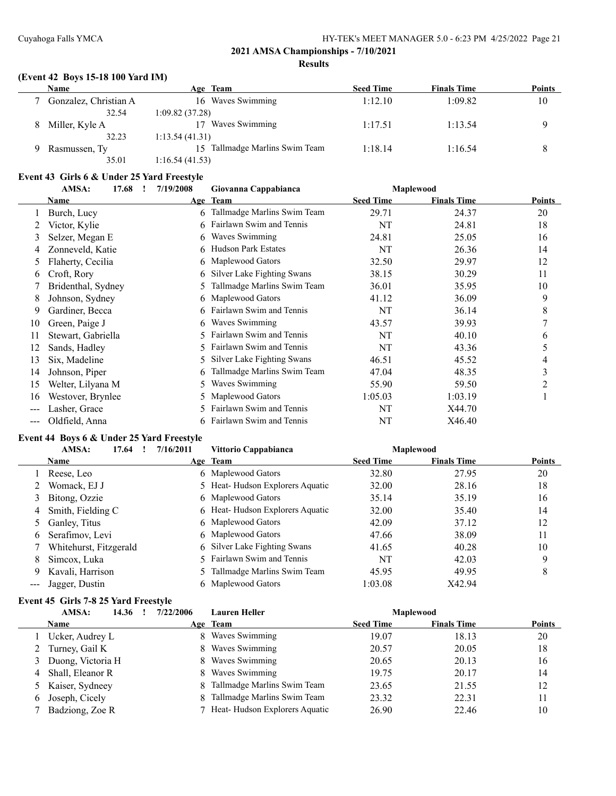$\overline{a}$ 

#### **2021 AMSA Championships - 7/10/2021 Results**

#### **(Event 42 Boys 15-18 100 Yard IM)**

| Name                  | Age Team                       | <b>Seed Time</b> | <b>Finals Time</b> | Points |
|-----------------------|--------------------------------|------------------|--------------------|--------|
| Gonzalez, Christian A | Waves Swimming<br>16.          | 1:12.10          | 1:09.82            | 10     |
| 32.54                 | 1:09.82 (37.28)                |                  |                    |        |
| Miller, Kyle A        | Waves Swimming<br>17           | 1:17.51          | 1:13.54            |        |
| 32.23                 | 1:13.54(41.31)                 |                  |                    |        |
| Rasmussen, Ty         | 15 Tallmadge Marlins Swim Team | 1:18.14          | 1:16.54            |        |
| 35.01                 | 1:16.54(41.53)                 |                  |                    |        |

## **Event 43 Girls 6 & Under 25 Yard Freestyle**

|                   | AMSA:<br>17.68     | 7/19/2008 | Giovanna Cappabianca        |                  | Maplewood          |               |
|-------------------|--------------------|-----------|-----------------------------|------------------|--------------------|---------------|
|                   | Name               |           | Age Team                    | <b>Seed Time</b> | <b>Finals Time</b> | <b>Points</b> |
|                   | Burch, Lucy        |           | Tallmadge Marlins Swim Team | 29.71            | 24.37              | 20            |
|                   | Victor, Kylie      | 6         | Fairlawn Swim and Tennis    | NT               | 24.81              | 18            |
| 3                 | Selzer, Megan E    | 6         | Waves Swimming              | 24.81            | 25.05              | 16            |
| 4                 | Zonneveld, Katie   | 6         | <b>Hudson Park Estates</b>  | NT               | 26.36              | 14            |
| 5                 | Flaherty, Cecilia  | 6         | Maplewood Gators            | 32.50            | 29.97              | 12            |
| 6                 | Croft, Rory        | 6         | Silver Lake Fighting Swans  | 38.15            | 30.29              | 11            |
|                   | Bridenthal, Sydney | 5         | Tallmadge Marlins Swim Team | 36.01            | 35.95              | 10            |
| 8                 | Johnson, Sydney    | 6.        | Maplewood Gators            | 41.12            | 36.09              | 9             |
| 9                 | Gardiner, Becca    | 6         | Fairlawn Swim and Tennis    | NT               | 36.14              | 8             |
| 10                | Green, Paige J     | 6         | Waves Swimming              | 43.57            | 39.93              | 7             |
| 11                | Stewart, Gabriella |           | Fairlawn Swim and Tennis    | NT               | 40.10              | 6             |
| 12                | Sands, Hadley      | 5         | Fairlawn Swim and Tennis    | NT               | 43.36              | 5             |
| 13                | Six, Madeline      | 5         | Silver Lake Fighting Swans  | 46.51            | 45.52              | 4             |
| 14                | Johnson, Piper     | 6         | Tallmadge Marlins Swim Team | 47.04            | 48.35              | 3             |
| 15                | Welter, Lilyana M  | 5         | Waves Swimming              | 55.90            | 59.50              | 2             |
| 16                | Westover, Brynlee  | 5.        | Maplewood Gators            | 1:05.03          | 1:03.19            | 1             |
| $\qquad \qquad -$ | Lasher, Grace      | 5         | Fairlawn Swim and Tennis    | NT               | X44.70             |               |
| $---$             | Oldfield, Anna     | 6         | Fairlawn Swim and Tennis    | NT               | X46.40             |               |

# **Event 44 Boys 6 & Under 25 Yard Freestyle**

|                      | AMSA:<br>17.64         | 7/16/2011 | Vittorio Cappabianca            |                  | <b>Maplewood</b>   |               |
|----------------------|------------------------|-----------|---------------------------------|------------------|--------------------|---------------|
|                      | Name                   |           | Age Team                        | <b>Seed Time</b> | <b>Finals Time</b> | <b>Points</b> |
|                      | Reese, Leo             |           | 6 Maplewood Gators              | 32.80            | 27.95              | 20            |
|                      | Womack, EJ J           |           | 5 Heat-Hudson Explorers Aquatic | 32.00            | 28.16              | 18            |
| 3                    | Bitong, Ozzie          |           | 6 Maplewood Gators              | 35.14            | 35.19              | 16            |
| 4                    | Smith, Fielding C      |           | 6 Heat-Hudson Explorers Aquatic | 32.00            | 35.40              | 14            |
|                      | 5 Ganley, Titus        |           | 6 Maplewood Gators              | 42.09            | 37.12              | 12            |
| 6.                   | Serafimov, Levi        |           | 6 Maplewood Gators              | 47.66            | 38.09              | 11            |
|                      | Whitehurst, Fitzgerald |           | 6 Silver Lake Fighting Swans    | 41.65            | 40.28              | 10            |
| 8                    | Simcox, Luka           |           | 5 Fairlawn Swim and Tennis      | NT               | 42.03              | 9             |
| 9                    | Kavali, Harrison       |           | 5 Tallmadge Marlins Swim Team   | 45.95            | 49.95              | 8             |
| $\sim$ $\sim$ $\sim$ | Jagger, Dustin         |           | 6 Maplewood Gators              | 1:03.08          | X42.94             |               |

#### **Event 45 Girls 7-8 25 Yard Freestyle**

|    | AMSA:<br>14.36    | 7/22/2006 | <b>Lauren Heller</b>          |                  | <b>Maplewood</b>   |               |
|----|-------------------|-----------|-------------------------------|------------------|--------------------|---------------|
|    | <b>Name</b>       |           | <u>Age Team</u>               | <b>Seed Time</b> | <b>Finals Time</b> | <b>Points</b> |
|    | Ucker, Audrey L   | 8.        | Waves Swimming                | 19.07            | 18.13              | 20            |
|    | Turney, Gail K    |           | Waves Swimming                | 20.57            | 20.05              | 18            |
|    | Duong, Victoria H |           | Waves Swimming                | 20.65            | 20.13              | 16            |
| 4  | Shall, Eleanor R  | 8.        | Waves Swimming                | 19.75            | 20.17              | 14            |
|    | 5 Kaiser, Sydneey |           | Tallmadge Marlins Swim Team   | 23.65            | 21.55              | 12            |
| 6. | Joseph, Cicely    |           | Tallmadge Marlins Swim Team   | 23.32            | 22.31              | 11            |
|    | Badziong, Zoe R   |           | Heat-Hudson Explorers Aquatic | 26.90            | 22.46              | 10            |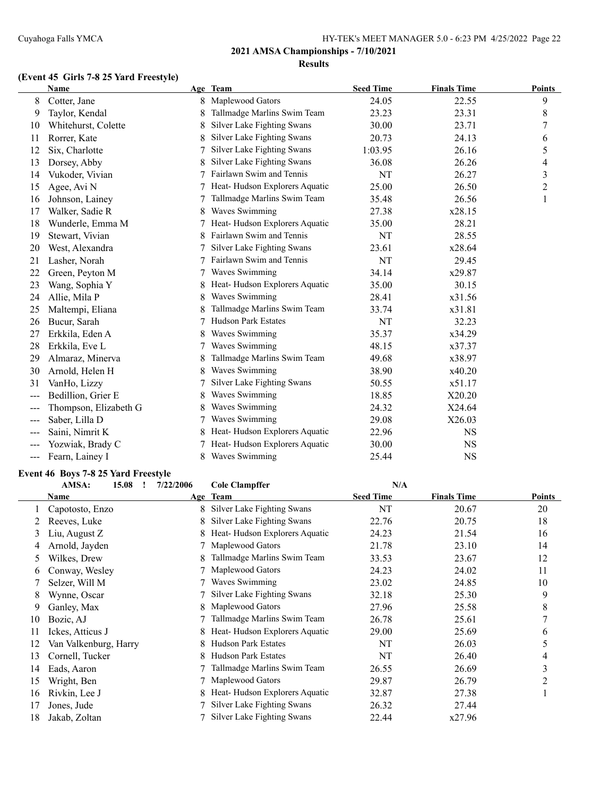# **(Event 45 Girls 7-8 25 Yard Freestyle)**

|       | <b>Name</b>           |   | Age Team                      | <b>Seed Time</b> | <b>Finals Time</b> | <b>Points</b> |
|-------|-----------------------|---|-------------------------------|------------------|--------------------|---------------|
| 8     | Cotter, Jane          |   | Maplewood Gators              | 24.05            | 22.55              | 9             |
| 9     | Taylor, Kendal        | 8 | Tallmadge Marlins Swim Team   | 23.23            | 23.31              | 8             |
| 10    | Whitehurst, Colette   | 8 | Silver Lake Fighting Swans    | 30.00            | 23.71              | 7             |
| 11    | Rorrer, Kate          | 8 | Silver Lake Fighting Swans    | 20.73            | 24.13              | 6             |
| 12    | Six, Charlotte        |   | Silver Lake Fighting Swans    | 1:03.95          | 26.16              | 5             |
| 13    | Dorsey, Abby          | 8 | Silver Lake Fighting Swans    | 36.08            | 26.26              | 4             |
| 14    | Vukoder, Vivian       |   | Fairlawn Swim and Tennis      | NT               | 26.27              | 3             |
| 15    | Agee, Avi N           |   | Heat-Hudson Explorers Aquatic | 25.00            | 26.50              | 2             |
| 16    | Johnson, Lainey       |   | Tallmadge Marlins Swim Team   | 35.48            | 26.56              |               |
| 17    | Walker, Sadie R       |   | Waves Swimming                | 27.38            | x28.15             |               |
| 18    | Wunderle, Emma M      |   | Heat-Hudson Explorers Aquatic | 35.00            | 28.21              |               |
| 19    | Stewart, Vivian       |   | Fairlawn Swim and Tennis      | NT               | 28.55              |               |
| 20    | West, Alexandra       |   | Silver Lake Fighting Swans    | 23.61            | x28.64             |               |
| 21    | Lasher, Norah         |   | Fairlawn Swim and Tennis      | NT               | 29.45              |               |
| 22    | Green, Peyton M       |   | Waves Swimming                | 34.14            | x29.87             |               |
| 23    | Wang, Sophia Y        | 8 | Heat-Hudson Explorers Aquatic | 35.00            | 30.15              |               |
| 24    | Allie, Mila P         | 8 | Waves Swimming                | 28.41            | x31.56             |               |
| 25    | Maltempi, Eliana      | 8 | Tallmadge Marlins Swim Team   | 33.74            | x31.81             |               |
| 26    | Bucur, Sarah          |   | <b>Hudson Park Estates</b>    | NT               | 32.23              |               |
| 27    | Erkkila, Eden A       | 8 | Waves Swimming                | 35.37            | x34.29             |               |
| 28    | Erkkila, Eve L        |   | Waves Swimming                | 48.15            | x37.37             |               |
| 29    | Almaraz, Minerva      |   | Tallmadge Marlins Swim Team   | 49.68            | x38.97             |               |
| 30    | Arnold, Helen H       | 8 | Waves Swimming                | 38.90            | x40.20             |               |
| 31    | VanHo, Lizzy          |   | Silver Lake Fighting Swans    | 50.55            | x51.17             |               |
| $---$ | Bedillion, Grier E    | 8 | Waves Swimming                | 18.85            | X20.20             |               |
| $---$ | Thompson, Elizabeth G | 8 | Waves Swimming                | 24.32            | X24.64             |               |
| $---$ | Saber, Lilla D        |   | Waves Swimming                | 29.08            | X26.03             |               |
| ---   | Saini, Nimrit K       |   | Heat-Hudson Explorers Aquatic | 22.96            | <b>NS</b>          |               |
| $---$ | Yozwiak, Brady C      |   | Heat-Hudson Explorers Aquatic | 30.00            | <b>NS</b>          |               |
| $---$ | Fearn, Lainey I       | 8 | Waves Swimming                | 25.44            | <b>NS</b>          |               |

#### **Event 46 Boys 7-8 25 Yard Freestyle**

|    | AMSA:<br>15.08        | 7/22/2006 | <b>Cole Clampffer</b>         | N/A              |                    |        |
|----|-----------------------|-----------|-------------------------------|------------------|--------------------|--------|
|    | Name                  |           | Age Team                      | <b>Seed Time</b> | <b>Finals Time</b> | Points |
|    | Capotosto, Enzo       |           | Silver Lake Fighting Swans    | NT               | 20.67              | 20     |
|    | Reeves, Luke          | 8         | Silver Lake Fighting Swans    | 22.76            | 20.75              | 18     |
| 3  | Liu, August Z         |           | Heat-Hudson Explorers Aquatic | 24.23            | 21.54              | 16     |
| 4  | Arnold, Jayden        |           | Maplewood Gators              | 21.78            | 23.10              | 14     |
| 5  | Wilkes, Drew          |           | Tallmadge Marlins Swim Team   | 33.53            | 23.67              | 12     |
| 6  | Conway, Wesley        |           | Maplewood Gators              | 24.23            | 24.02              | 11     |
|    | Selzer, Will M        |           | Waves Swimming                | 23.02            | 24.85              | 10     |
| 8  | Wynne, Oscar          |           | Silver Lake Fighting Swans    | 32.18            | 25.30              | 9      |
| 9  | Ganley, Max           | 8         | Maplewood Gators              | 27.96            | 25.58              | 8      |
| 10 | Bozic, AJ             |           | Tallmadge Marlins Swim Team   | 26.78            | 25.61              |        |
| 11 | Ickes, Atticus J      | 8         | Heat-Hudson Explorers Aquatic | 29.00            | 25.69              | 6      |
| 12 | Van Valkenburg, Harry | 8         | <b>Hudson Park Estates</b>    | NT               | 26.03              | 5      |
| 13 | Cornell, Tucker       | x         | <b>Hudson Park Estates</b>    | NT               | 26.40              | 4      |
| 14 | Eads, Aaron           |           | Tallmadge Marlins Swim Team   | 26.55            | 26.69              | 3      |
| 15 | Wright, Ben           |           | Maplewood Gators              | 29.87            | 26.79              | 2      |
| 16 | Rivkin, Lee J         | 8         | Heat-Hudson Explorers Aquatic | 32.87            | 27.38              |        |
| 17 | Jones, Jude           |           | Silver Lake Fighting Swans    | 26.32            | 27.44              |        |
| 18 | Jakab, Zoltan         |           | Silver Lake Fighting Swans    | 22.44            | x27.96             |        |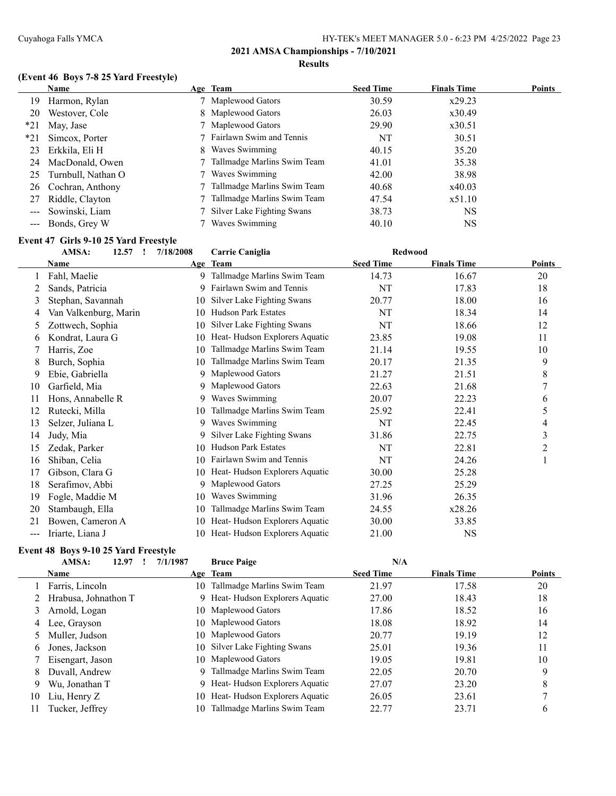# **(Event 46 Boys 7-8 25 Yard Freestyle)**

|       | <b>Name</b>        | Age Team                      | <b>Seed Time</b> | <b>Finals Time</b> | Points |
|-------|--------------------|-------------------------------|------------------|--------------------|--------|
| 19.   | Harmon, Rylan      | 7 Maplewood Gators            | 30.59            | x29.23             |        |
| 20    | Westover, Cole     | 8 Maplewood Gators            | 26.03            | x30.49             |        |
| $*21$ | May, Jase          | 7 Maplewood Gators            | 29.90            | x30.51             |        |
| $*21$ | Simcox, Porter     | 7 Fairlawn Swim and Tennis    | NT               | 30.51              |        |
| 23    | Erkkila, Eli H     | 8 Waves Swimming              | 40.15            | 35.20              |        |
| 24    | MacDonald, Owen    | 7 Tallmadge Marlins Swim Team | 41.01            | 35.38              |        |
| 25    | Turnbull, Nathan O | 7 Waves Swimming              | 42.00            | 38.98              |        |
| 26    | Cochran, Anthony   | 7 Tallmadge Marlins Swim Team | 40.68            | x40.03             |        |
| 27    | Riddle, Clayton    | Tallmadge Marlins Swim Team   | 47.54            | x51.10             |        |
|       | Sowinski, Liam     | Silver Lake Fighting Swans    | 38.73            | <b>NS</b>          |        |
|       | --- Bonds, Grey W  | Waves Swimming                | 40.10            | NS                 |        |

#### **Event 47 Girls 9-10 25 Yard Freestyle**

|     | AMSA:<br>12.57<br>$\mathbf{r}$ | 7/18/2008 | <b>Carrie Caniglia</b>        | <b>Redwood</b>   |                    |        |
|-----|--------------------------------|-----------|-------------------------------|------------------|--------------------|--------|
|     | Name                           |           | Age Team                      | <b>Seed Time</b> | <b>Finals Time</b> | Points |
|     | Fahl, Maelie                   | 9         | Tallmadge Marlins Swim Team   | 14.73            | 16.67              | 20     |
| 2   | Sands, Patricia                | 9         | Fairlawn Swim and Tennis      | NT               | 17.83              | 18     |
| 3   | Stephan, Savannah              | 10        | Silver Lake Fighting Swans    | 20.77            | 18.00              | 16     |
| 4   | Van Valkenburg, Marin          | 10        | <b>Hudson Park Estates</b>    | NT               | 18.34              | 14     |
| 5.  | Zottwech, Sophia               | 10        | Silver Lake Fighting Swans    | NT               | 18.66              | 12     |
| 6   | Kondrat, Laura G               | 10        | Heat-Hudson Explorers Aquatic | 23.85            | 19.08              | 11     |
|     | Harris, Zoe                    | 10        | Tallmadge Marlins Swim Team   | 21.14            | 19.55              | 10     |
| 8   | Burch, Sophia                  | 10        | Tallmadge Marlins Swim Team   | 20.17            | 21.35              | 9      |
| 9   | Ebie, Gabriella                | 9         | Maplewood Gators              | 21.27            | 21.51              | 8      |
| 10  | Garfield, Mia                  | 9         | Maplewood Gators              | 22.63            | 21.68              | 7      |
| 11  | Hons, Annabelle R              | 9         | Waves Swimming                | 20.07            | 22.23              | 6      |
| 12  | Rutecki, Milla                 | 10        | Tallmadge Marlins Swim Team   | 25.92            | 22.41              | 5      |
| 13  | Selzer, Juliana L              | 9         | Waves Swimming                | NT               | 22.45              | 4      |
| 14  | Judy, Mia                      | 9         | Silver Lake Fighting Swans    | 31.86            | 22.75              | 3      |
| 15  | Zedak, Parker                  | 10        | <b>Hudson Park Estates</b>    | NT               | 22.81              | 2      |
| 16  | Shiban, Celia                  | 10        | Fairlawn Swim and Tennis      | NT               | 24.26              |        |
| 17  | Gibson, Clara G                | 10        | Heat-Hudson Explorers Aquatic | 30.00            | 25.28              |        |
| 18  | Serafimov, Abbi                | 9         | Maplewood Gators              | 27.25            | 25.29              |        |
| 19  | Fogle, Maddie M                | 10        | Waves Swimming                | 31.96            | 26.35              |        |
| 20  | Stambaugh, Ella                | 10        | Tallmadge Marlins Swim Team   | 24.55            | x28.26             |        |
| 21  | Bowen, Cameron A               | 10        | Heat-Hudson Explorers Aquatic | 30.00            | 33.85              |        |
| --- | Iriarte, Liana J               | 10        | Heat-Hudson Explorers Aquatic | 21.00            | <b>NS</b>          |        |

#### **Event 48 Boys 9-10 25 Yard Freestyle**

|    | AMSA:<br>12.97       | 7/1/1987 | <b>Bruce Paige</b>              | N/A              |                    |               |
|----|----------------------|----------|---------------------------------|------------------|--------------------|---------------|
|    | <b>Name</b>          |          | Age Team                        | <b>Seed Time</b> | <b>Finals Time</b> | <b>Points</b> |
|    | Farris, Lincoln      | 10       | Tallmadge Marlins Swim Team     | 21.97            | 17.58              | 20            |
|    | Hrabusa, Johnathon T |          | 9 Heat-Hudson Explorers Aquatic | 27.00            | 18.43              | 18            |
| 3  | Arnold, Logan        |          | 10 Maplewood Gators             | 17.86            | 18.52              | 16            |
|    | 4 Lee, Grayson       |          | 10 Maplewood Gators             | 18.08            | 18.92              | 14            |
|    | Muller, Judson       |          | 10 Maplewood Gators             | 20.77            | 19.19              | 12            |
| 6  | Jones, Jackson       | 10       | Silver Lake Fighting Swans      | 25.01            | 19.36              | 11            |
|    | Eisengart, Jason     |          | 10 Maplewood Gators             | 19.05            | 19.81              | 10            |
| 8. | Duvall, Andrew       | 9        | Tallmadge Marlins Swim Team     | 22.05            | 20.70              | 9             |
| 9  | Wu, Jonathan T       | 9        | Heat-Hudson Explorers Aquatic   | 27.07            | 23.20              | 8             |
| 10 | Liu, Henry Z         | 10       | Heat-Hudson Explorers Aquatic   | 26.05            | 23.61              |               |
| 11 | Tucker, Jeffrey      | 10       | Tallmadge Marlins Swim Team     | 22.77            | 23.71              | 6             |
|    |                      |          |                                 |                  |                    |               |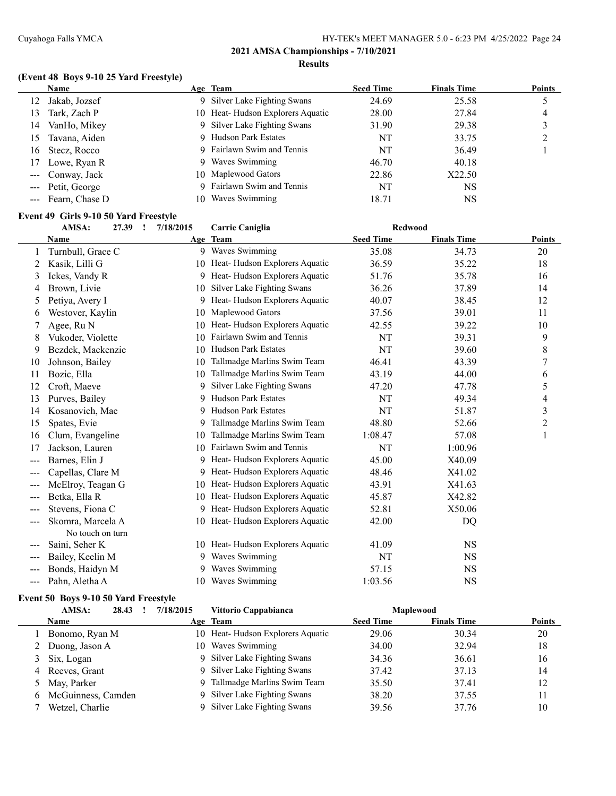# **(Event 48 Boys 9-10 25 Yard Freestyle)**

| Name               |    |                | <b>Seed Time</b>                                                                                                                                                                                                                             | <b>Finals Time</b> | <b>Points</b> |
|--------------------|----|----------------|----------------------------------------------------------------------------------------------------------------------------------------------------------------------------------------------------------------------------------------------|--------------------|---------------|
| Jakab, Jozsef      |    |                | 24.69                                                                                                                                                                                                                                        | 25.58              |               |
| Tark, Zach P       |    |                | 28.00                                                                                                                                                                                                                                        | 27.84              | 4             |
| VanHo, Mikey       |    |                | 31.90                                                                                                                                                                                                                                        | 29.38              |               |
| Tavana, Aiden      |    |                | NT                                                                                                                                                                                                                                           | 33.75              |               |
| Stecz, Rocco       |    |                | NT                                                                                                                                                                                                                                           | 36.49              |               |
| Lowe, Ryan R       |    |                | 46.70                                                                                                                                                                                                                                        | 40.18              |               |
| --- Conway, Jack   |    |                | 22.86                                                                                                                                                                                                                                        | X22.50             |               |
| --- Petit, George  |    |                | NT                                                                                                                                                                                                                                           | <b>NS</b>          |               |
| --- Fearn, Chase D | 10 | Waves Swimming | 18.71                                                                                                                                                                                                                                        | NS                 |               |
|                    |    |                | Age Team<br>9 Silver Lake Fighting Swans<br>10 Heat-Hudson Explorers Aquatic<br>9 Silver Lake Fighting Swans<br>9 Hudson Park Estates<br>9 Fairlawn Swim and Tennis<br>9 Waves Swimming<br>10 Maplewood Gators<br>9 Fairlawn Swim and Tennis |                    |               |

#### **Event 49 Girls 9-10 50 Yard Freestyle**

|                        | AMSA:             | 7/18/2015<br>27.39<br>$\mathbf{I}$ | <b>Carrie Caniglia</b>           | <b>Redwood</b>   |                    |                |
|------------------------|-------------------|------------------------------------|----------------------------------|------------------|--------------------|----------------|
|                        | Name              | Age                                | Team                             | <b>Seed Time</b> | <b>Finals Time</b> | <b>Points</b>  |
|                        | Turnbull, Grace C |                                    | 9 Waves Swimming                 | 35.08            | 34.73              | 20             |
| 2                      | Kasik, Lilli G    |                                    | 10 Heat-Hudson Explorers Aquatic | 36.59            | 35.22              | 18             |
| 3                      | Ickes, Vandy R    | 9.                                 | Heat-Hudson Explorers Aquatic    | 51.76            | 35.78              | 16             |
| 4                      | Brown, Livie      | 10                                 | Silver Lake Fighting Swans       | 36.26            | 37.89              | 14             |
| 5                      | Petiya, Avery I   | 9                                  | Heat-Hudson Explorers Aquatic    | 40.07            | 38.45              | 12             |
| 6                      | Westover, Kaylin  | 10                                 | Maplewood Gators                 | 37.56            | 39.01              | 11             |
|                        | Agee, Ru N        | 10                                 | Heat-Hudson Explorers Aquatic    | 42.55            | 39.22              | 10             |
| 8                      | Vukoder, Violette | 10                                 | Fairlawn Swim and Tennis         | NT               | 39.31              | 9              |
| 9                      | Bezdek, Mackenzie | 10                                 | <b>Hudson Park Estates</b>       | NT               | 39.60              | 8              |
| 10                     | Johnson, Bailey   | 10                                 | Tallmadge Marlins Swim Team      | 46.41            | 43.39              | 7              |
| 11                     | Bozic, Ella       | 10                                 | Tallmadge Marlins Swim Team      | 43.19            | 44.00              | 6              |
| 12                     | Croft, Maeve      | 9                                  | Silver Lake Fighting Swans       | 47.20            | 47.78              | 5              |
| 13                     | Purves, Bailey    | 9                                  | <b>Hudson Park Estates</b>       | NT               | 49.34              | 4              |
| 14                     | Kosanovich, Mae   | 9.                                 | <b>Hudson Park Estates</b>       | NT               | 51.87              | 3              |
| 15                     | Spates, Evie      | 9                                  | Tallmadge Marlins Swim Team      | 48.80            | 52.66              | $\overline{2}$ |
| 16                     | Clum, Evangeline  | 10                                 | Tallmadge Marlins Swim Team      | 1:08.47          | 57.08              | $\mathbf{1}$   |
| 17                     | Jackson, Lauren   | 10                                 | Fairlawn Swim and Tennis         | NT               | 1:00.96            |                |
| ---                    | Barnes, Elin J    | 9.                                 | Heat-Hudson Explorers Aquatic    | 45.00            | X40.09             |                |
| ---                    | Capellas, Clare M |                                    | Heat-Hudson Explorers Aquatic    | 48.46            | X41.02             |                |
| $---$                  | McElroy, Teagan G | 10                                 | Heat-Hudson Explorers Aquatic    | 43.91            | X41.63             |                |
| $\qquad \qquad \cdots$ | Betka, Ella R     | 10                                 | Heat-Hudson Explorers Aquatic    | 45.87            | X42.82             |                |
| $---$                  | Stevens, Fiona C  | 9.                                 | Heat-Hudson Explorers Aquatic    | 52.81            | X50.06             |                |
|                        | Skomra, Marcela A |                                    | 10 Heat-Hudson Explorers Aquatic | 42.00            | DQ                 |                |
|                        | No touch on turn  |                                    |                                  |                  |                    |                |
| ---                    | Saini, Seher K    |                                    | 10 Heat-Hudson Explorers Aquatic | 41.09            | <b>NS</b>          |                |
| $---$                  | Bailey, Keelin M  | 9                                  | Waves Swimming                   | NT               | <b>NS</b>          |                |
| ---                    | Bonds, Haidyn M   |                                    | Waves Swimming                   | 57.15            | <b>NS</b>          |                |
| $---$                  | Pahn, Aletha A    | 10                                 | Waves Swimming                   | 1:03.56          | <b>NS</b>          |                |

#### **Event 50 Boys 9-10 50 Yard Freestyle**

| AMSA:<br>28.43       | 7/18/2015 | Vittorio Cappabianca             |                  | <b>Maplewood</b>   |        |
|----------------------|-----------|----------------------------------|------------------|--------------------|--------|
| <b>Name</b>          |           | Age Team                         | <b>Seed Time</b> | <b>Finals Time</b> | Points |
| Bonomo, Ryan M       |           | 10 Heat-Hudson Explorers Aquatic | 29.06            | 30.34              | 20     |
| 2 Duong, Jason A     | 10        | Waves Swimming                   | 34.00            | 32.94              | 18     |
| 3 Six, Logan         |           | 9 Silver Lake Fighting Swans     | 34.36            | 36.61              | 16     |
| 4 Reeves, Grant      |           | 9 Silver Lake Fighting Swans     | 37.42            | 37.13              | 14     |
| 5 May, Parker        |           | Tallmadge Marlins Swim Team      | 35.50            | 37.41              | 12     |
| 6 McGuinness, Camden |           | 9 Silver Lake Fighting Swans     | 38.20            | 37.55              | 11     |
| Wetzel, Charlie      |           | Silver Lake Fighting Swans       | 39.56            | 37.76              | 10     |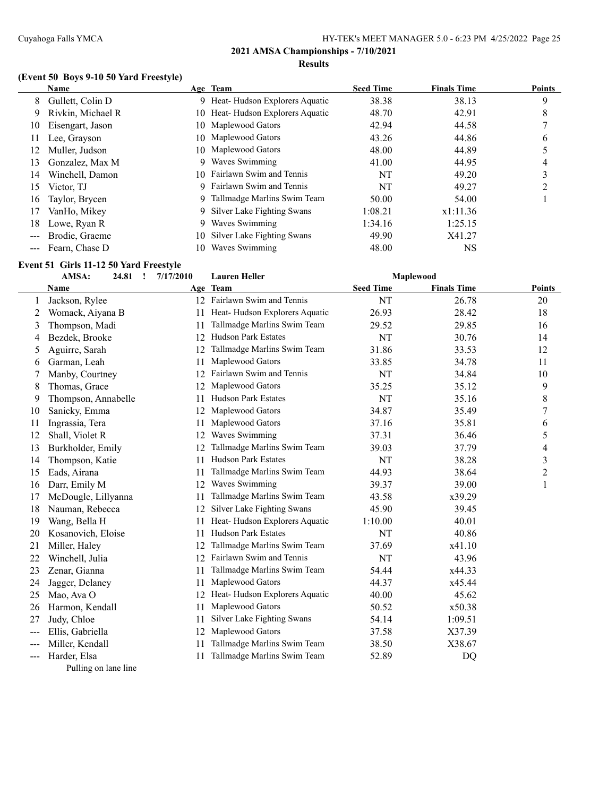# **(Event 50 Boys 9-10 50 Yard Freestyle)**

|    | Name               |    | Age Team                         | <b>Seed Time</b> | <b>Finals Time</b> | <b>Points</b> |
|----|--------------------|----|----------------------------------|------------------|--------------------|---------------|
| 8  | Gullett, Colin D   |    | 9 Heat-Hudson Explorers Aquatic  | 38.38            | 38.13              | 9             |
| 9  | Rivkin, Michael R  |    | 10 Heat-Hudson Explorers Aquatic | 48.70            | 42.91              | 8             |
| 10 | Eisengart, Jason   |    | 10 Maplewood Gators              | 42.94            | 44.58              |               |
| 11 | Lee, Grayson       |    | 10 Maplewood Gators              | 43.26            | 44.86              | 6             |
| 12 | Muller, Judson     |    | 10 Maplewood Gators              | 48.00            | 44.89              |               |
| 13 | Gonzalez, Max M    | 9  | Waves Swimming                   | 41.00            | 44.95              | 4             |
| 14 | Winchell, Damon    |    | 10 Fairlawn Swim and Tennis      | NT               | 49.20              |               |
| 15 | Victor, TJ         |    | 9 Fairlawn Swim and Tennis       | NT               | 49.27              | ↑             |
| 16 | Taylor, Brycen     |    | 9 Tallmadge Marlins Swim Team    | 50.00            | 54.00              |               |
| 17 | VanHo, Mikey       |    | 9 Silver Lake Fighting Swans     | 1:08.21          | x1:11.36           |               |
| 18 | Lowe, Ryan R       | 9  | Waves Swimming                   | 1:34.16          | 1:25.15            |               |
|    | Brodie, Graeme     |    | 10 Silver Lake Fighting Swans    | 49.90            | X41.27             |               |
|    | --- Fearn, Chase D | 10 | Waves Swimming                   | 48.00            | NS                 |               |

#### **Event 51 Girls 11-12 50 Yard Freestyle**

|       | AMSA:<br>24.81      | 7/17/2010<br>1 | <b>Lauren Heller</b>          |                  | Maplewood          |               |
|-------|---------------------|----------------|-------------------------------|------------------|--------------------|---------------|
|       | Name                |                | Age Team                      | <b>Seed Time</b> | <b>Finals Time</b> | <b>Points</b> |
|       | Jackson, Rylee      |                | 12 Fairlawn Swim and Tennis   | NT               | 26.78              | 20            |
| 2     | Womack, Aiyana B    | 11             | Heat-Hudson Explorers Aquatic | 26.93            | 28.42              | 18            |
| 3     | Thompson, Madi      | 11             | Tallmadge Marlins Swim Team   | 29.52            | 29.85              | 16            |
| 4     | Bezdek, Brooke      | 12             | <b>Hudson Park Estates</b>    | NT               | 30.76              | 14            |
| 5     | Aguirre, Sarah      | 12             | Tallmadge Marlins Swim Team   | 31.86            | 33.53              | 12            |
| 6     | Garman, Leah        | 11             | Maplewood Gators              | 33.85            | 34.78              | 11            |
| 7     | Manby, Courtney     | 12             | Fairlawn Swim and Tennis      | NT               | 34.84              | 10            |
| 8     | Thomas, Grace       | 12             | Maplewood Gators              | 35.25            | 35.12              | 9             |
| 9     | Thompson, Annabelle | 11             | <b>Hudson Park Estates</b>    | NT               | 35.16              | 8             |
| 10    | Sanicky, Emma       | 12             | Maplewood Gators              | 34.87            | 35.49              | 7             |
| 11    | Ingrassia, Tera     | 11             | Maplewood Gators              | 37.16            | 35.81              | 6             |
| 12    | Shall, Violet R     | 12             | Waves Swimming                | 37.31            | 36.46              | 5             |
| 13    | Burkholder, Emily   | 12             | Tallmadge Marlins Swim Team   | 39.03            | 37.79              | 4             |
| 14    | Thompson, Katie     | 11             | <b>Hudson Park Estates</b>    | NT               | 38.28              | 3             |
| 15    | Eads, Airana        | 11             | Tallmadge Marlins Swim Team   | 44.93            | 38.64              | 2             |
| 16    | Darr, Emily M       | 12             | Waves Swimming                | 39.37            | 39.00              | 1             |
| 17    | McDougle, Lillyanna | 11             | Tallmadge Marlins Swim Team   | 43.58            | x39.29             |               |
| 18    | Nauman, Rebecca     | 12             | Silver Lake Fighting Swans    | 45.90            | 39.45              |               |
| 19    | Wang, Bella H       | 11             | Heat-Hudson Explorers Aquatic | 1:10.00          | 40.01              |               |
| 20    | Kosanovich, Eloise  | 11             | <b>Hudson Park Estates</b>    | NT               | 40.86              |               |
| 21    | Miller, Haley       | 12             | Tallmadge Marlins Swim Team   | 37.69            | x41.10             |               |
| 22    | Winchell, Julia     | 12             | Fairlawn Swim and Tennis      | <b>NT</b>        | 43.96              |               |
| 23    | Zenar, Gianna       | 11             | Tallmadge Marlins Swim Team   | 54.44            | x44.33             |               |
| 24    | Jagger, Delaney     | 11             | Maplewood Gators              | 44.37            | x45.44             |               |
| 25    | Mao, Ava O          | 12             | Heat-Hudson Explorers Aquatic | 40.00            | 45.62              |               |
| 26    | Harmon, Kendall     | 11             | Maplewood Gators              | 50.52            | x50.38             |               |
| 27    | Judy, Chloe         | 11             | Silver Lake Fighting Swans    | 54.14            | 1:09.51            |               |
| $---$ | Ellis, Gabriella    | 12             | Maplewood Gators              | 37.58            | X37.39             |               |
| ---   | Miller, Kendall     | 11             | Tallmadge Marlins Swim Team   | 38.50            | X38.67             |               |
| ---   | Harder, Elsa        | 11             | Tallmadge Marlins Swim Team   | 52.89            | DQ                 |               |

Pulling on lane line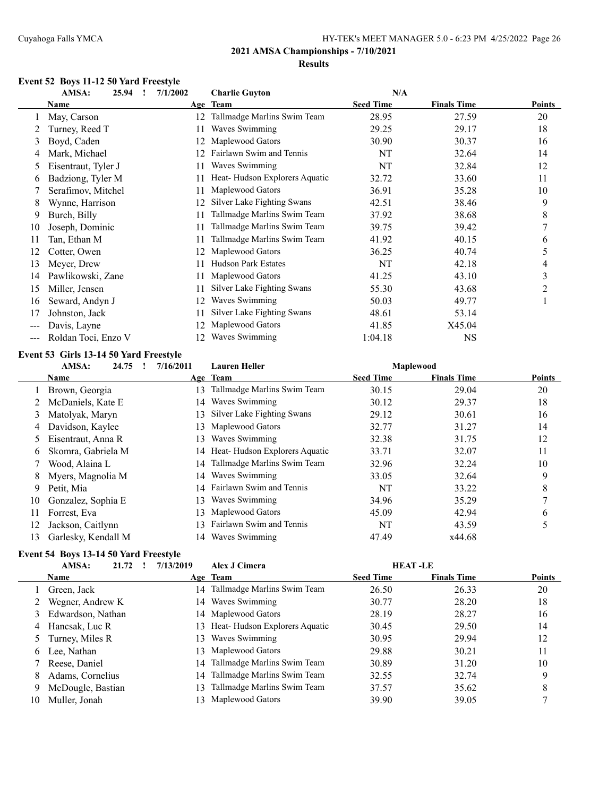#### **Event 52 Boys 11-12 50 Yard Freestyle**

|     | AMSA:<br>25.94<br>$\mathbf{I}$ | 7/1/2002 | <b>Charlie Guyton</b>         | N/A              |                    |        |
|-----|--------------------------------|----------|-------------------------------|------------------|--------------------|--------|
|     | Name                           |          | Age Team                      | <b>Seed Time</b> | <b>Finals Time</b> | Points |
|     | May, Carson                    | 12.      | Tallmadge Marlins Swim Team   | 28.95            | 27.59              | 20     |
|     | Turney, Reed T                 | 11       | Waves Swimming                | 29.25            | 29.17              | 18     |
| 3   | Boyd, Caden                    | 12       | Maplewood Gators              | 30.90            | 30.37              | 16     |
| 4   | Mark, Michael                  | 12.      | Fairlawn Swim and Tennis      | NT               | 32.64              | 14     |
| 5   | Eisentraut, Tyler J            | 11       | Waves Swimming                | NT               | 32.84              | 12     |
| 6   | Badziong, Tyler M              |          | Heat-Hudson Explorers Aquatic | 32.72            | 33.60              | 11     |
|     | Serafimov, Mitchel             |          | Maplewood Gators              | 36.91            | 35.28              | 10     |
| 8   | Wynne, Harrison                | 12       | Silver Lake Fighting Swans    | 42.51            | 38.46              | 9      |
| 9   | Burch, Billy                   |          | Tallmadge Marlins Swim Team   | 37.92            | 38.68              | 8      |
| 10  | Joseph, Dominic                | 11       | Tallmadge Marlins Swim Team   | 39.75            | 39.42              | 7      |
| 11  | Tan, Ethan M                   |          | Tallmadge Marlins Swim Team   | 41.92            | 40.15              | 6      |
| 12  | Cotter, Owen                   |          | Maplewood Gators              | 36.25            | 40.74              | 5      |
| 13  | Meyer, Drew                    |          | <b>Hudson Park Estates</b>    | NT               | 42.18              | 4      |
| 14  | Pawlikowski, Zane              | 11       | Maplewood Gators              | 41.25            | 43.10              | 3      |
| 15  | Miller, Jensen                 | 11       | Silver Lake Fighting Swans    | 55.30            | 43.68              | 2      |
| 16  | Seward, Andyn J                | 12       | Waves Swimming                | 50.03            | 49.77              |        |
| 17  | Johnston, Jack                 |          | Silver Lake Fighting Swans    | 48.61            | 53.14              |        |
| --- | Davis, Layne                   | 12.      | Maplewood Gators              | 41.85            | X45.04             |        |
| --- | Roldan Toci, Enzo V            | 12.      | Waves Swimming                | 1:04.18          | <b>NS</b>          |        |

#### **Event 53 Girls 13-14 50 Yard Freestyle**

|    | AMSA:<br>24.75      | 7/16/2011 | <b>Lauren Heller</b>             |                  | <b>Maplewood</b>   |               |
|----|---------------------|-----------|----------------------------------|------------------|--------------------|---------------|
|    | <b>Name</b>         |           | Age Team                         | <b>Seed Time</b> | <b>Finals Time</b> | <b>Points</b> |
|    | Brown, Georgia      | 13        | Tallmadge Marlins Swim Team      | 30.15            | 29.04              | 20            |
|    | McDaniels, Kate E   | 14        | Waves Swimming                   | 30.12            | 29.37              | 18            |
| 3  | Matolyak, Maryn     | 13        | Silver Lake Fighting Swans       | 29.12            | 30.61              | 16            |
| 4  | Davidson, Kaylee    | 13        | Maplewood Gators                 | 32.77            | 31.27              | 14            |
|    | Eisentraut, Anna R  | 13        | Waves Swimming                   | 32.38            | 31.75              | 12            |
| 6  | Skomra, Gabriela M  |           | 14 Heat-Hudson Explorers Aquatic | 33.71            | 32.07              | 11            |
|    | Wood, Alaina L      |           | 14 Tallmadge Marlins Swim Team   | 32.96            | 32.24              | 10            |
| 8. | Myers, Magnolia M   |           | 14 Waves Swimming                | 33.05            | 32.64              | 9             |
| 9  | Petit, Mia          |           | 14 Fairlawn Swim and Tennis      | NT               | 33.22              | 8             |
| 10 | Gonzalez, Sophia E  | 13        | Waves Swimming                   | 34.96            | 35.29              |               |
| 11 | Forrest, Eva        | 13        | Maplewood Gators                 | 45.09            | 42.94              | 6             |
| 12 | Jackson, Caitlynn   | 13        | Fairlawn Swim and Tennis         | NT               | 43.59              |               |
| 13 | Garlesky, Kendall M |           | 14 Waves Swimming                | 47.49            | x44.68             |               |

# **Event 54 Boys 13-14 50 Yard Freestyle**

|    | AMSA:<br>21.72      | 7/13/2019 | Alex J Cimera                  | <b>HEAT-LE</b>   |                    |               |
|----|---------------------|-----------|--------------------------------|------------------|--------------------|---------------|
|    | <b>Name</b>         |           | Age Team                       | <b>Seed Time</b> | <b>Finals Time</b> | <b>Points</b> |
|    | Green, Jack         |           | 14 Tallmadge Marlins Swim Team | 26.50            | 26.33              | 20            |
|    | Wegner, Andrew K    |           | 14 Waves Swimming              | 30.77            | 28.20              | 18            |
|    | 3 Edwardson, Nathan |           | 14 Maplewood Gators            | 28.19            | 28.27              | 16            |
|    | 4 Hancsak, Luc R    | 13.       | Heat-Hudson Explorers Aquatic  | 30.45            | 29.50              | 14            |
|    | 5 Turney, Miles R   | 13        | Waves Swimming                 | 30.95            | 29.94              | 12            |
|    | 6 Lee, Nathan       |           | 13 Maplewood Gators            | 29.88            | 30.21              | 11            |
|    | 7 Reese, Daniel     | 14        | Tallmadge Marlins Swim Team    | 30.89            | 31.20              | 10            |
| 8. | Adams, Cornelius    | 14        | Tallmadge Marlins Swim Team    | 32.55            | 32.74              | 9             |
| 9  | McDougle, Bastian   | 13        | Tallmadge Marlins Swim Team    | 37.57            | 35.62              | 8             |
| 10 | Muller, Jonah       | 13.       | Maplewood Gators               | 39.90            | 39.05              |               |
|    |                     |           |                                |                  |                    |               |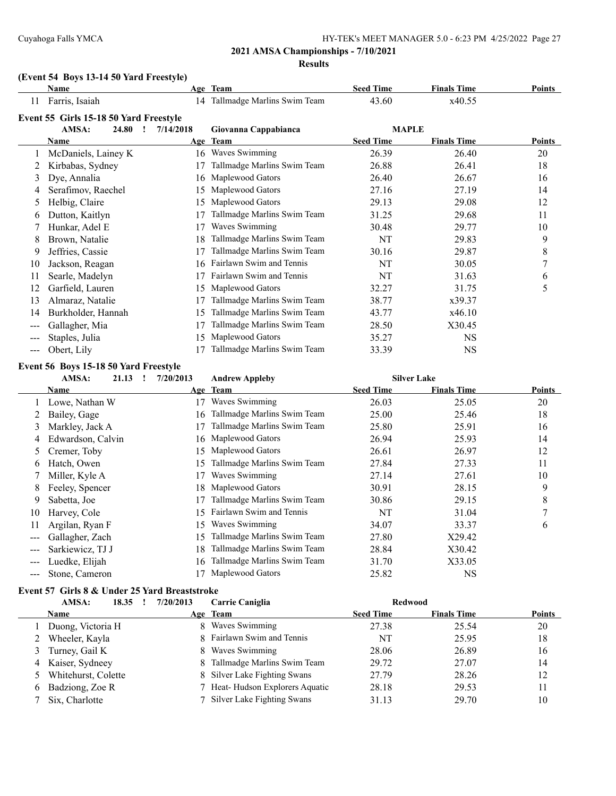#### **(Event 54 Boys 13-14 50 Yard Freestyle)**

|                        | <b>Name</b>                            |           | Age Team                    | <b>Seed Time</b> | <b>Finals Time</b> | <b>Points</b> |
|------------------------|----------------------------------------|-----------|-----------------------------|------------------|--------------------|---------------|
| 11                     | Farris, Isaiah                         | 14        | Tallmadge Marlins Swim Team | 43.60            | x40.55             |               |
|                        | Event 55 Girls 15-18 50 Yard Freestyle |           |                             |                  |                    |               |
|                        | AMSA:<br>24.80                         | 7/14/2018 | Giovanna Cappabianca        | <b>MAPLE</b>     |                    |               |
|                        | <b>Name</b>                            |           | Age Team                    | <b>Seed Time</b> | <b>Finals Time</b> | <b>Points</b> |
|                        | McDaniels, Lainey K                    | 16        | Waves Swimming              | 26.39            | 26.40              | 20            |
|                        | Kirbabas, Sydney                       | 17        | Tallmadge Marlins Swim Team | 26.88            | 26.41              | 18            |
| 3                      | Dye, Annalia                           | 16        | Maplewood Gators            | 26.40            | 26.67              | 16            |
| 4                      | Serafimov, Raechel                     | 15        | Maplewood Gators            | 27.16            | 27.19              | 14            |
| 5.                     | Helbig, Claire                         | 15        | Maplewood Gators            | 29.13            | 29.08              | 12            |
| 6                      | Dutton, Kaitlyn                        |           | Tallmadge Marlins Swim Team | 31.25            | 29.68              | 11            |
|                        | Hunkar, Adel E                         | 17        | Waves Swimming              | 30.48            | 29.77              | 10            |
| 8                      | Brown, Natalie                         | 18        | Tallmadge Marlins Swim Team | NT               | 29.83              | 9             |
| 9                      | Jeffries, Cassie                       | 17        | Tallmadge Marlins Swim Team | 30.16            | 29.87              | 8             |
| 10                     | Jackson, Reagan                        | 16        | Fairlawn Swim and Tennis    | NT               | 30.05              | 7             |
| 11                     | Searle, Madelyn                        |           | Fairlawn Swim and Tennis    | NT               | 31.63              | 6             |
| 12                     | Garfield, Lauren                       | 15        | Maplewood Gators            | 32.27            | 31.75              | 5             |
| 13                     | Almaraz, Natalie                       |           | Tallmadge Marlins Swim Team | 38.77            | x39.37             |               |
| 14                     | Burkholder, Hannah                     | 15        | Tallmadge Marlins Swim Team | 43.77            | x46.10             |               |
| $---$                  | Gallagher, Mia                         | 17        | Tallmadge Marlins Swim Team | 28.50            | X30.45             |               |
|                        | Staples, Julia                         | 15        | Maplewood Gators            | 35.27            | NS                 |               |
| $\qquad \qquad \cdots$ | Obert, Lily                            |           | Tallmadge Marlins Swim Team | 33.39            | <b>NS</b>          |               |

#### **Event 56 Boys 15-18 50 Yard Freestyle**

### **AMSA: 21.13 ! 7/20/2013 Andrew Appleby Silver Lake**

|                   | Name              |     | Age Team                    | <b>Seed Time</b> | <b>Finals Time</b> | <b>Points</b> |
|-------------------|-------------------|-----|-----------------------------|------------------|--------------------|---------------|
|                   | Lowe, Nathan W    | 17  | Waves Swimming              | 26.03            | 25.05              | 20            |
|                   | Bailey, Gage      | 16  | Tallmadge Marlins Swim Team | 25.00            | 25.46              | 18            |
| 3                 | Markley, Jack A   |     | Tallmadge Marlins Swim Team | 25.80            | 25.91              | 16            |
| 4                 | Edwardson, Calvin | 16  | Maplewood Gators            | 26.94            | 25.93              | 14            |
| 5.                | Cremer, Toby      | 15  | Maplewood Gators            | 26.61            | 26.97              | 12            |
| 6                 | Hatch, Owen       | 15  | Tallmadge Marlins Swim Team | 27.84            | 27.33              | 11            |
|                   | Miller, Kyle A    |     | Waves Swimming              | 27.14            | 27.61              | 10            |
| 8                 | Feeley, Spencer   | 18  | Maplewood Gators            | 30.91            | 28.15              | 9             |
| 9                 | Sabetta, Joe      |     | Tallmadge Marlins Swim Team | 30.86            | 29.15              | 8             |
| 10                | Harvey, Cole      | 15  | Fairlawn Swim and Tennis    | NT               | 31.04              |               |
| 11                | Argilan, Ryan F   | 15  | Waves Swimming              | 34.07            | 33.37              | 6             |
| ---               | Gallagher, Zach   | 15  | Tallmadge Marlins Swim Team | 27.80            | X29.42             |               |
| $\qquad \qquad -$ | Sarkiewicz, TJ J  | 18  | Tallmadge Marlins Swim Team | 28.84            | X30.42             |               |
| $--$              | Luedke, Elijah    | 16. | Tallmadge Marlins Swim Team | 31.70            | X33.05             |               |
|                   | Stone, Cameron    |     | Maplewood Gators            | 25.82            | NS                 |               |

### **Event 57 Girls 8 & Under 25 Yard Breaststroke**

| AMSA:<br>18.35      | 7/20/2013 | Carrie Caniglia               | <b>Redwood</b>   |                    |               |
|---------------------|-----------|-------------------------------|------------------|--------------------|---------------|
| <b>Name</b>         |           | Age Team                      | <b>Seed Time</b> | <b>Finals Time</b> | <b>Points</b> |
| Duong, Victoria H   |           | 8 Waves Swimming              | 27.38            | 25.54              | 20            |
| Wheeler, Kayla      |           | 8 Fairlawn Swim and Tennis    | NT               | 25.95              | 18            |
| 3 Turney, Gail K    |           | 8 Waves Swimming              | 28.06            | 26.89              | 16            |
| 4 Kaiser, Sydneey   |           | 8 Tallmadge Marlins Swim Team | 29.72            | 27.07              | 14            |
| Whitehurst, Colette |           | 8 Silver Lake Fighting Swans  | 27.79            | 28.26              | 12            |
| 6 Badziong, Zoe R   |           | Heat-Hudson Explorers Aquatic | 28.18            | 29.53              | 11            |
| Six, Charlotte      |           | Silver Lake Fighting Swans    | 31.13            | 29.70              | 10            |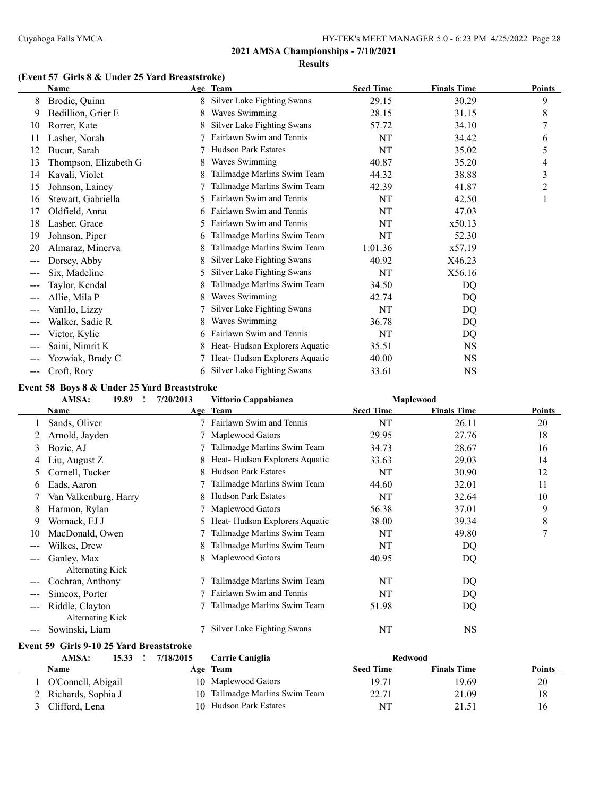#### **(Event 57 Girls 8 & Under 25 Yard Breaststroke)**

|                        | <b>Name</b>           |    | Age Team                      | <b>Seed Time</b> | <b>Finals Time</b> | <b>Points</b> |
|------------------------|-----------------------|----|-------------------------------|------------------|--------------------|---------------|
| 8                      | Brodie, Quinn         | 8  | Silver Lake Fighting Swans    | 29.15            | 30.29              | 9             |
| 9                      | Bedillion, Grier E    | 8  | Waves Swimming                | 28.15            | 31.15              | 8             |
| 10                     | Rorrer, Kate          |    | Silver Lake Fighting Swans    | 57.72            | 34.10              |               |
| 11                     | Lasher, Norah         |    | Fairlawn Swim and Tennis      | NT               | 34.42              | 6             |
| 12                     | Bucur, Sarah          |    | <b>Hudson Park Estates</b>    | NT               | 35.02              | 5             |
| 13                     | Thompson, Elizabeth G |    | Waves Swimming                | 40.87            | 35.20              | 4             |
| 14                     | Kavali, Violet        |    | Tallmadge Marlins Swim Team   | 44.32            | 38.88              | 3             |
| 15                     | Johnson, Lainey       |    | Tallmadge Marlins Swim Team   | 42.39            | 41.87              | 2             |
| 16                     | Stewart, Gabriella    | 5  | Fairlawn Swim and Tennis      | NT               | 42.50              | 1             |
| 17                     | Oldfield, Anna        |    | Fairlawn Swim and Tennis      | NT               | 47.03              |               |
| 18                     | Lasher, Grace         | 5  | Fairlawn Swim and Tennis      | NT               | x50.13             |               |
| 19                     | Johnson, Piper        | 6  | Tallmadge Marlins Swim Team   | NT               | 52.30              |               |
| 20                     | Almaraz, Minerva      |    | Tallmadge Marlins Swim Team   | 1:01.36          | x57.19             |               |
| $---$                  | Dorsey, Abby          | 8  | Silver Lake Fighting Swans    | 40.92            | X46.23             |               |
| $\qquad \qquad \cdots$ | Six, Madeline         | 5  | Silver Lake Fighting Swans    | NT               | X56.16             |               |
| ---                    | Taylor, Kendal        |    | Tallmadge Marlins Swim Team   | 34.50            | DQ                 |               |
| $\qquad \qquad -$      | Allie, Mila P         |    | Waves Swimming                | 42.74            | DQ                 |               |
| ---                    | VanHo, Lizzy          |    | Silver Lake Fighting Swans    | NT               | DQ                 |               |
| $---$                  | Walker, Sadie R       |    | Waves Swimming                | 36.78            | DQ                 |               |
| $\qquad \qquad \cdots$ | Victor, Kylie         | 6  | Fairlawn Swim and Tennis      | NT               | DQ                 |               |
| $---$                  | Saini, Nimrit K       |    | Heat-Hudson Explorers Aquatic | 35.51            | <b>NS</b>          |               |
| $---$                  | Yozwiak, Brady C      |    | Heat-Hudson Explorers Aquatic | 40.00            | NS.                |               |
| $\frac{1}{2}$          | Croft, Rory           | 6. | Silver Lake Fighting Swans    | 33.61            | <b>NS</b>          |               |

#### **Event 58 Boys 8 & Under 25 Yard Breaststroke**

|     | AMSA:<br>19.89        | 7/20/2013 | Vittorio Cappabianca            |                  | Maplewood          |               |
|-----|-----------------------|-----------|---------------------------------|------------------|--------------------|---------------|
|     | Name                  |           | Age Team                        | <b>Seed Time</b> | <b>Finals Time</b> | <b>Points</b> |
|     | Sands, Oliver         |           | Fairlawn Swim and Tennis        | NT               | 26.11              | 20            |
|     | Arnold, Jayden        |           | Maplewood Gators                | 29.95            | 27.76              | 18            |
| 3   | Bozic, AJ             |           | Tallmadge Marlins Swim Team     | 34.73            | 28.67              | 16            |
| 4   | Liu, August Z         | 8         | Heat-Hudson Explorers Aquatic   | 33.63            | 29.03              | 14            |
| Ć.  | Cornell, Tucker       | 8         | <b>Hudson Park Estates</b>      | NT               | 30.90              | 12            |
| 6.  | Eads, Aaron           |           | Tallmadge Marlins Swim Team     | 44.60            | 32.01              | 11            |
|     | Van Valkenburg, Harry |           | <b>Hudson Park Estates</b>      | NT               | 32.64              | 10            |
| 8   | Harmon, Rylan         |           | Maplewood Gators                | 56.38            | 37.01              | 9             |
| 9   | Womack, EJ J          |           | 5 Heat-Hudson Explorers Aquatic | 38.00            | 39.34              | 8             |
| 10  | MacDonald, Owen       |           | Tallmadge Marlins Swim Team     | NT               | 49.80              | 7             |
| --- | Wilkes, Drew          | 8         | Tallmadge Marlins Swim Team     | NT               | DQ                 |               |
|     | Ganley, Max           | 8         | Maplewood Gators                | 40.95            | DQ                 |               |
|     | Alternating Kick      |           |                                 |                  |                    |               |
| --- | Cochran, Anthony      |           | Tallmadge Marlins Swim Team     | NT               | DQ                 |               |
|     | Simcox, Porter        |           | Fairlawn Swim and Tennis        | NT               | DQ                 |               |
| --- | Riddle, Clayton       |           | Tallmadge Marlins Swim Team     | 51.98            | DQ                 |               |
|     | Alternating Kick      |           |                                 |                  |                    |               |
|     | Sowinski, Liam        |           | Silver Lake Fighting Swans      | NT               | <b>NS</b>          |               |

#### **Event 59 Girls 9-10 25 Yard Breaststroke**

| AMSA:                | 15.33 | 7/18/2015 | Carrie Caniglia                | <b>Redwood</b>   |                    |               |
|----------------------|-------|-----------|--------------------------------|------------------|--------------------|---------------|
| Name                 |       | Age       | Team                           | <b>Seed Time</b> | <b>Finals Time</b> | <b>Points</b> |
| l O'Connell, Abigail |       |           | 10 Maplewood Gators            | 19.71            | 19.69              | 20            |
| 2 Richards, Sophia J |       |           | 10 Tallmadge Marlins Swim Team | 22.71            | 21.09              | 18            |
| Clifford, Lena       |       | 10.       | Hudson Park Estates            | <b>NT</b>        | 21.51              | 16            |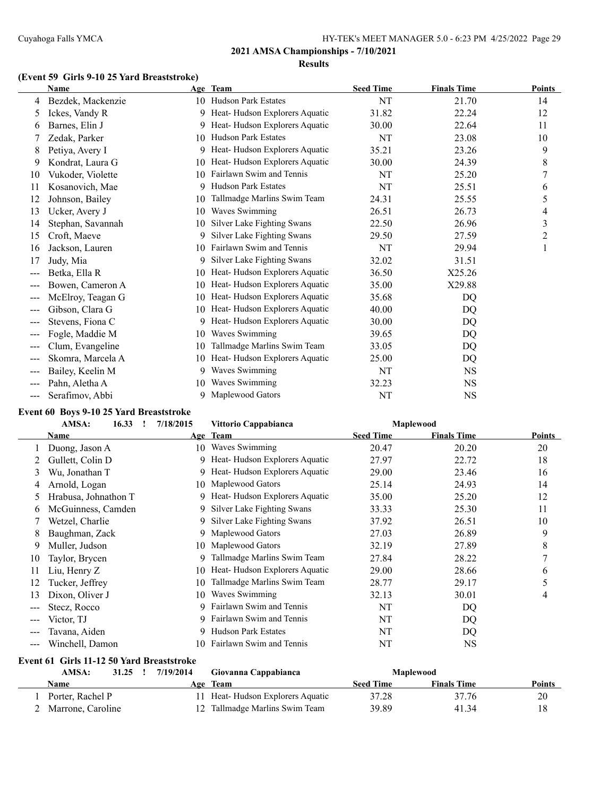# **(Event 59 Girls 9-10 25 Yard Breaststroke)**

|       | <b>Name</b>       |    | Age Team                      | <b>Seed Time</b> | <b>Finals Time</b> | Points |
|-------|-------------------|----|-------------------------------|------------------|--------------------|--------|
| 4     | Bezdek, Mackenzie |    | 10 Hudson Park Estates        | NT               | 21.70              | 14     |
| 5     | Ickes, Vandy R    | 9  | Heat-Hudson Explorers Aquatic | 31.82            | 22.24              | 12     |
| 6     | Barnes, Elin J    | 9  | Heat-Hudson Explorers Aquatic | 30.00            | 22.64              | 11     |
|       | Zedak, Parker     | 10 | <b>Hudson Park Estates</b>    | NT               | 23.08              | 10     |
| 8     | Petiya, Avery I   | 9  | Heat-Hudson Explorers Aquatic | 35.21            | 23.26              | 9      |
| 9     | Kondrat, Laura G  | 10 | Heat-Hudson Explorers Aquatic | 30.00            | 24.39              | 8      |
| 10    | Vukoder, Violette | 10 | Fairlawn Swim and Tennis      | NT               | 25.20              | 7      |
| 11    | Kosanovich, Mae   | 9  | <b>Hudson Park Estates</b>    | NT               | 25.51              | 6      |
| 12    | Johnson, Bailey   | 10 | Tallmadge Marlins Swim Team   | 24.31            | 25.55              | 5      |
| 13    | Ucker, Avery J    | 10 | Waves Swimming                | 26.51            | 26.73              | 4      |
| 14    | Stephan, Savannah | 10 | Silver Lake Fighting Swans    | 22.50            | 26.96              | 3      |
| 15    | Croft, Maeve      | 9  | Silver Lake Fighting Swans    | 29.50            | 27.59              | 2      |
| 16    | Jackson, Lauren   | 10 | Fairlawn Swim and Tennis      | NT               | 29.94              |        |
| 17    | Judy, Mia         | 9  | Silver Lake Fighting Swans    | 32.02            | 31.51              |        |
| $---$ | Betka, Ella R     | 10 | Heat-Hudson Explorers Aquatic | 36.50            | X25.26             |        |
| $---$ | Bowen, Cameron A  | 10 | Heat-Hudson Explorers Aquatic | 35.00            | X29.88             |        |
| $---$ | McElroy, Teagan G | 10 | Heat-Hudson Explorers Aquatic | 35.68            | DQ                 |        |
| ---   | Gibson, Clara G   | 10 | Heat-Hudson Explorers Aquatic | 40.00            | DQ                 |        |
| ---   | Stevens, Fiona C  | 9  | Heat-Hudson Explorers Aquatic | 30.00            | DQ                 |        |
|       | Fogle, Maddie M   | 10 | Waves Swimming                | 39.65            | DQ                 |        |
| $---$ | Clum, Evangeline  | 10 | Tallmadge Marlins Swim Team   | 33.05            | DQ                 |        |
| $--$  | Skomra, Marcela A | 10 | Heat-Hudson Explorers Aquatic | 25.00            | DQ                 |        |
| $---$ | Bailey, Keelin M  | 9  | Waves Swimming                | NT               | <b>NS</b>          |        |
| $---$ | Pahn, Aletha A    | 10 | Waves Swimming                | 32.23            | <b>NS</b>          |        |
| ---   | Serafimov, Abbi   | 9  | Maplewood Gators              | NT               | <b>NS</b>          |        |

#### **Event 60 Boys 9-10 25 Yard Breaststroke**

| AMSA:<br>16.33 |                      | 7/18/2015 | Vittorio Cappabianca          | Maplewood        |                    |               |
|----------------|----------------------|-----------|-------------------------------|------------------|--------------------|---------------|
|                | Name                 |           | Age Team                      | <b>Seed Time</b> | <b>Finals Time</b> | <b>Points</b> |
|                | Duong, Jason A       | 10        | Waves Swimming                | 20.47            | 20.20              | 20            |
|                | Gullett, Colin D     | 9         | Heat-Hudson Explorers Aquatic | 27.97            | 22.72              | 18            |
| 3              | Wu, Jonathan T       | 9         | Heat-Hudson Explorers Aquatic | 29.00            | 23.46              | 16            |
| 4              | Arnold, Logan        | 10        | Maplewood Gators              | 25.14            | 24.93              | 14            |
| 5              | Hrabusa, Johnathon T | 9         | Heat-Hudson Explorers Aquatic | 35.00            | 25.20              | 12            |
| O              | McGuinness, Camden   | 9         | Silver Lake Fighting Swans    | 33.33            | 25.30              | 11            |
|                | Wetzel, Charlie      | 9         | Silver Lake Fighting Swans    | 37.92            | 26.51              | 10            |
| 8              | Baughman, Zack       | 9         | Maplewood Gators              | 27.03            | 26.89              | 9             |
| 9              | Muller, Judson       | 10        | Maplewood Gators              | 32.19            | 27.89              | 8             |
| 10             | Taylor, Brycen       | 9         | Tallmadge Marlins Swim Team   | 27.84            | 28.22              | ⇁             |
| 11             | Liu, Henry Z         | 10        | Heat-Hudson Explorers Aquatic | 29.00            | 28.66              | 6             |
| 12             | Tucker, Jeffrey      | 10        | Tallmadge Marlins Swim Team   | 28.77            | 29.17              | 5             |
| 13             | Dixon, Oliver J      | 10        | Waves Swimming                | 32.13            | 30.01              | 4             |
| ---            | Stecz, Rocco         | 9         | Fairlawn Swim and Tennis      | NT               | DQ                 |               |
| $\frac{1}{2}$  | Victor, TJ           | 9         | Fairlawn Swim and Tennis      | NT               | DQ                 |               |
| ---            | Tavana, Aiden        | 9         | <b>Hudson Park Estates</b>    | NT               | DQ                 |               |
| $---$          | Winchell, Damon      | 10.       | Fairlawn Swim and Tennis      | NT               | <b>NS</b>          |               |

#### **Event 61 Girls 11-12 50 Yard Breaststroke**

| AMSA:<br>31.25    | 7/19/2014 | Giovanna Cappabianca             |                  | Maplewood          |               |
|-------------------|-----------|----------------------------------|------------------|--------------------|---------------|
| Name              |           | <b>Age Team</b>                  | <b>Seed Time</b> | <b>Finals Time</b> | <b>Points</b> |
| Porter, Rachel P  |           | 11 Heat-Hudson Explorers Aquatic | 37.28            | 37.76              | 20            |
| Marrone. Caroline |           | 12 Tallmadge Marlins Swim Team   | 39.89            | 41.34              |               |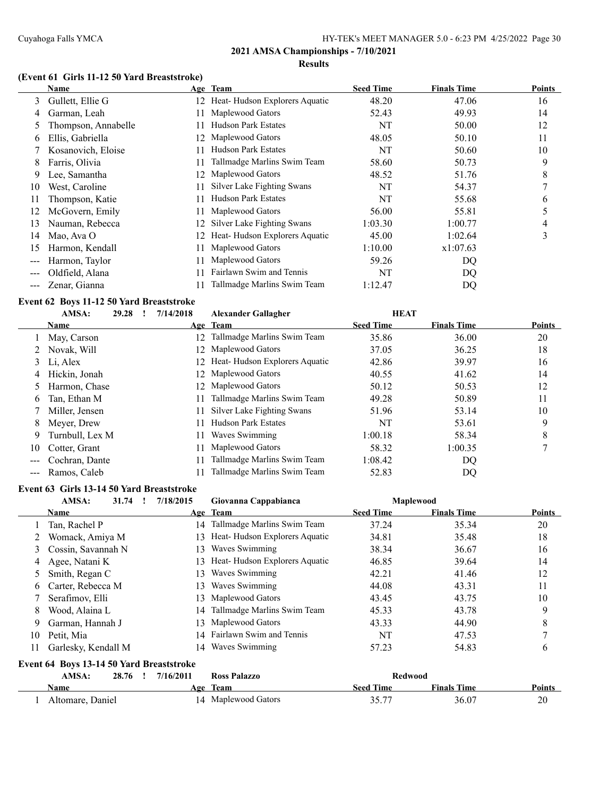# **(Event 61 Girls 11-12 50 Yard Breaststroke)**

|    | <b>Name</b>         |     | Age Team                      | <b>Seed Time</b> | <b>Finals Time</b> | <b>Points</b> |
|----|---------------------|-----|-------------------------------|------------------|--------------------|---------------|
| 3  | Gullett, Ellie G    | 12  | Heat-Hudson Explorers Aquatic | 48.20            | 47.06              | 16            |
| 4  | Garman, Leah        | 11  | Maplewood Gators              | 52.43            | 49.93              | 14            |
| 5  | Thompson, Annabelle |     | <b>Hudson Park Estates</b>    | NT               | 50.00              | 12            |
| 6  | Ellis, Gabriella    | 12. | Maplewood Gators              | 48.05            | 50.10              | 11            |
|    | Kosanovich, Eloise  |     | <b>Hudson Park Estates</b>    | NT               | 50.60              | 10            |
| 8  | Farris, Olivia      |     | Tallmadge Marlins Swim Team   | 58.60            | 50.73              | 9             |
| 9  | Lee, Samantha       | 12. | Maplewood Gators              | 48.52            | 51.76              | 8             |
| 10 | West, Caroline      | 11  | Silver Lake Fighting Swans    | NT               | 54.37              | 7             |
| 11 | Thompson, Katie     | 11  | <b>Hudson Park Estates</b>    | NT               | 55.68              | 6             |
| 12 | McGovern, Emily     | 11  | Maplewood Gators              | 56.00            | 55.81              | 5             |
| 13 | Nauman, Rebecca     | 12. | Silver Lake Fighting Swans    | 1:03.30          | 1:00.77            | 4             |
| 14 | Mao, Ava O          | 12  | Heat-Hudson Explorers Aquatic | 45.00            | 1:02.64            | 3             |
| 15 | Harmon, Kendall     | 11  | Maplewood Gators              | 1:10.00          | x1:07.63           |               |
|    | Harmon, Taylor      |     | Maplewood Gators              | 59.26            | DQ                 |               |
|    | Oldfield, Alana     |     | Fairlawn Swim and Tennis      | NT               | DQ                 |               |
|    | Zenar, Gianna       |     | Tallmadge Marlins Swim Team   | 1:12.47          | DQ                 |               |

#### **Event 62 Boys 11-12 50 Yard Breaststroke**

|    | AMSA:           | 29.28 | 7/14/2018 | <b>Alexander Gallagher</b>       | <b>HEAT</b>      |                    |               |
|----|-----------------|-------|-----------|----------------------------------|------------------|--------------------|---------------|
|    | <b>Name</b>     |       |           | Age Team                         | <b>Seed Time</b> | <b>Finals Time</b> | <b>Points</b> |
|    | May, Carson     |       | 12.       | Tallmadge Marlins Swim Team      | 35.86            | 36.00              | 20            |
|    | Novak, Will     |       | 12        | Maplewood Gators                 | 37.05            | 36.25              | 18            |
|    | 3 Li, Alex      |       |           | 12 Heat-Hudson Explorers Aquatic | 42.86            | 39.97              | 16            |
| 4  | Hickin, Jonah   |       |           | 12 Maplewood Gators              | 40.55            | 41.62              | 14            |
|    | Harmon, Chase   |       | 12.       | Maplewood Gators                 | 50.12            | 50.53              | 12            |
| 6  | Tan, Ethan M    |       | 11        | Tallmadge Marlins Swim Team      | 49.28            | 50.89              | 11            |
|    | Miller, Jensen  |       | 11        | Silver Lake Fighting Swans       | 51.96            | 53.14              | 10            |
| 8  | Meyer, Drew     |       | 11        | <b>Hudson Park Estates</b>       | NT               | 53.61              | 9             |
| 9  | Turnbull, Lex M |       | 11.       | Waves Swimming                   | 1:00.18          | 58.34              | 8             |
| 10 | Cotter, Grant   |       | 11        | Maplewood Gators                 | 58.32            | 1:00.35            |               |
|    | Cochran, Dante  |       | 11        | Tallmadge Marlins Swim Team      | 1:08.42          | DQ                 |               |
|    | Ramos, Caleb    |       |           | Tallmadge Marlins Swim Team      | 52.83            | DQ                 |               |
|    |                 |       |           |                                  |                  |                    |               |

#### **Event 63 Girls 13-14 50 Yard Breaststroke**

|    | AMSA:<br>31.74      | 7/18/2015 | Giovanna Cappabianca           |                  | <b>Maplewood</b>   |               |
|----|---------------------|-----------|--------------------------------|------------------|--------------------|---------------|
|    | <b>Name</b>         |           | Age Team                       | <b>Seed Time</b> | <b>Finals Time</b> | <b>Points</b> |
|    | Tan, Rachel P       |           | 14 Tallmadge Marlins Swim Team | 37.24            | 35.34              | 20            |
|    | Womack, Amiya M     | 13.       | Heat-Hudson Explorers Aquatic  | 34.81            | 35.48              | 18            |
|    | Cossin, Savannah N  | 13.       | Waves Swimming                 | 38.34            | 36.67              | 16            |
| 4  | Agee, Natani K      | 13.       | Heat-Hudson Explorers Aquatic  | 46.85            | 39.64              | 14            |
|    | 5 Smith, Regan C    | 13.       | Waves Swimming                 | 42.21            | 41.46              | 12            |
| 6. | Carter, Rebecca M   | 13.       | Waves Swimming                 | 44.08            | 43.31              | 11            |
|    | Serafimov, Elli     | 13.       | Maplewood Gators               | 43.45            | 43.75              | 10            |
| 8. | Wood, Alaina L      |           | 14 Tallmadge Marlins Swim Team | 45.33            | 43.78              | 9             |
| 9  | Garman, Hannah J    | 13.       | Maplewood Gators               | 43.33            | 44.90              | 8             |
| 10 | Petit, Mia          |           | 14 Fairlawn Swim and Tennis    | NT               | 47.53              |               |
| 11 | Garlesky, Kendall M | 14        | Waves Swimming                 | 57.23            | 54.83              | 6             |

| Event 64 Boys 13-14 50 Yard Breaststroke |  |  |  |
|------------------------------------------|--|--|--|
|------------------------------------------|--|--|--|

| AMSA:            | 28.76 | 7/16/2011 | <b>Ross Palazzo</b> |                  | Redwood            |        |
|------------------|-------|-----------|---------------------|------------------|--------------------|--------|
| Name             |       | Age       | <b>Team</b>         | <b>Seed Time</b> | <b>Finals Time</b> | Points |
| Altomare, Daniel |       |           | 14 Maplewood Gators | 25 77            | 36.07              | 20     |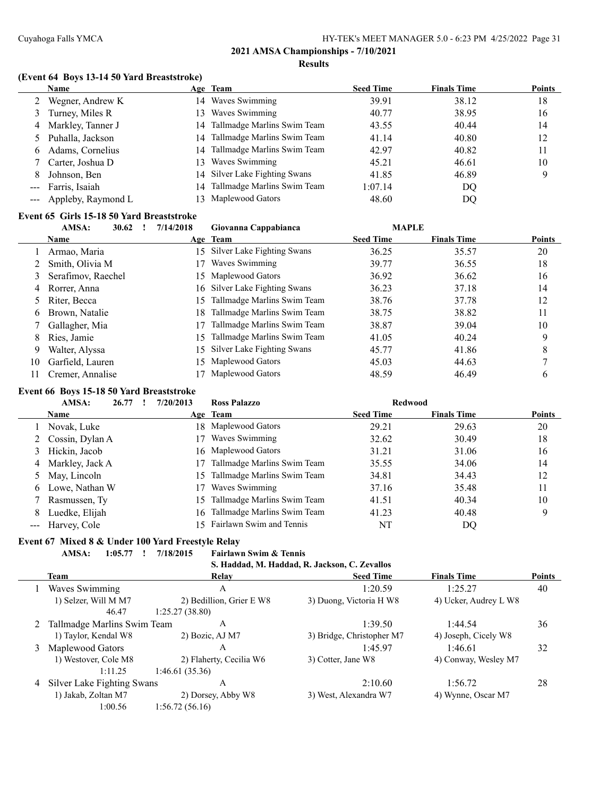#### **(Event 64 Boys 13-14 50 Yard Breaststroke)**

|                                                                                                                                                                                                                                                                                                                                                                                              | <b>Name</b>            | Age Team                       | <b>Seed Time</b> | <b>Finals Time</b> | <b>Points</b> |
|----------------------------------------------------------------------------------------------------------------------------------------------------------------------------------------------------------------------------------------------------------------------------------------------------------------------------------------------------------------------------------------------|------------------------|--------------------------------|------------------|--------------------|---------------|
|                                                                                                                                                                                                                                                                                                                                                                                              | Wegner, Andrew K       | 14 Waves Swimming              | 39.91            | 38.12              | 18            |
| 3                                                                                                                                                                                                                                                                                                                                                                                            | Turney, Miles R        | 13 Waves Swimming              | 40.77            | 38.95              | 16            |
| 4                                                                                                                                                                                                                                                                                                                                                                                            | Markley, Tanner J      | 14 Tallmadge Marlins Swim Team | 43.55            | 40.44              | 14            |
|                                                                                                                                                                                                                                                                                                                                                                                              | 5 Puhalla, Jackson     | 14 Tallmadge Marlins Swim Team | 41.14            | 40.80              | 12            |
| 6.                                                                                                                                                                                                                                                                                                                                                                                           | Adams, Cornelius       | 14 Tallmadge Marlins Swim Team | 42.97            | 40.82              | 11            |
|                                                                                                                                                                                                                                                                                                                                                                                              | 7 Carter, Joshua D     | 13 Waves Swimming              | 45.21            | 46.61              | 10            |
| 8                                                                                                                                                                                                                                                                                                                                                                                            | Johnson, Ben           | 14 Silver Lake Fighting Swans  | 41.85            | 46.89              | 9             |
| $\frac{1}{2} \frac{1}{2} \frac{1}{2} \frac{1}{2} \frac{1}{2} \frac{1}{2} \frac{1}{2} \frac{1}{2} \frac{1}{2} \frac{1}{2} \frac{1}{2} \frac{1}{2} \frac{1}{2} \frac{1}{2} \frac{1}{2} \frac{1}{2} \frac{1}{2} \frac{1}{2} \frac{1}{2} \frac{1}{2} \frac{1}{2} \frac{1}{2} \frac{1}{2} \frac{1}{2} \frac{1}{2} \frac{1}{2} \frac{1}{2} \frac{1}{2} \frac{1}{2} \frac{1}{2} \frac{1}{2} \frac{$ | Farris, Isaiah         | 14 Tallmadge Marlins Swim Team | 1:07.14          | DQ                 |               |
|                                                                                                                                                                                                                                                                                                                                                                                              | --- Appleby, Raymond L | 13 Maplewood Gators            | 48.60            | DO                 |               |

#### **Event 65 Girls 15-18 50 Yard Breaststroke**

|    | AMSA:<br>30.62     | 7/14/2018 | Giovanna Cappabianca          | <b>MAPLE</b>     |                    |               |
|----|--------------------|-----------|-------------------------------|------------------|--------------------|---------------|
|    | <b>Name</b>        |           | Age Team                      | <b>Seed Time</b> | <b>Finals Time</b> | <b>Points</b> |
|    | Armao, Maria       |           | 15 Silver Lake Fighting Swans | 36.25            | 35.57              | 20            |
|    | Smith, Olivia M    | 17        | Waves Swimming                | 39.77            | 36.55              | 18            |
|    | Serafimov, Raechel |           | 15 Maplewood Gators           | 36.92            | 36.62              | 16            |
| 4  | Rorrer, Anna       |           | 16 Silver Lake Fighting Swans | 36.23            | 37.18              | 14            |
|    | Riter, Becca       | 15.       | Tallmadge Marlins Swim Team   | 38.76            | 37.78              | 12            |
| 6. | Brown, Natalie     | 18.       | Tallmadge Marlins Swim Team   | 38.75            | 38.82              | 11            |
|    | Gallagher, Mia     | 17        | Tallmadge Marlins Swim Team   | 38.87            | 39.04              | 10            |
| 8. | Ries, Jamie        | 15.       | Tallmadge Marlins Swim Team   | 41.05            | 40.24              | 9             |
| 9  | Walter, Alyssa     |           | 15 Silver Lake Fighting Swans | 45.77            | 41.86              | 8             |
| 10 | Garfield, Lauren   | 15.       | Maplewood Gators              | 45.03            | 44.63              | ⇁             |
| 11 | Cremer, Annalise   |           | Maplewood Gators              | 48.59            | 46.49              | 6             |

#### **Event 66 Boys 15-18 50 Yard Breaststroke**

|    | AMSA:<br>26.77    | 7/20/2013 | <b>Ross Palazzo</b>            | <b>Redwood</b>   |                    |               |
|----|-------------------|-----------|--------------------------------|------------------|--------------------|---------------|
|    | <b>Name</b>       |           | Age Team                       | <b>Seed Time</b> | <b>Finals Time</b> | <b>Points</b> |
|    | Novak, Luke       |           | 18 Maplewood Gators            | 29.21            | 29.63              | 20            |
|    | 2 Cossin, Dylan A |           | Waves Swimming                 | 32.62            | 30.49              | 18            |
|    | 3 Hickin, Jacob   |           | 16 Maplewood Gators            | 31.21            | 31.06              | 16            |
|    | 4 Markley, Jack A |           | Tallmadge Marlins Swim Team    | 35.55            | 34.06              | 14            |
|    | 5 May, Lincoln    | 15.       | Tallmadge Marlins Swim Team    | 34.81            | 34.43              | 12            |
|    | 6 Lowe, Nathan W  |           | Waves Swimming                 | 37.16            | 35.48              | 11            |
|    | 7 Rasmussen, Ty   | 15.       | Tallmadge Marlins Swim Team    | 41.51            | 40.34              | 10            |
| 8. | Luedke, Elijah    |           | 16 Tallmadge Marlins Swim Team | 41.23            | 40.48              | 9             |
|    | --- Harvey, Cole  |           | 15 Fairlawn Swim and Tennis    | NT               | DQ                 |               |

#### **Event 67 Mixed 8 & Under 100 Yard Freestyle Relay<br>AMSA:** 1:05.77 ! 7/18/2015 Fairlawn Swim & Tennis **AMSA: 1:05.77 ! 7/18/2015**

**S. Haddad, M. Haddad, R. Jackson, C. Zevallos**

|   | Team                          | Relay                    | <b>Seed Time</b>          | <b>Finals Time</b>    | <b>Points</b> |
|---|-------------------------------|--------------------------|---------------------------|-----------------------|---------------|
|   | Waves Swimming                | A                        | 1:20.59                   | 1:25.27               | 40            |
|   | 1) Selzer, Will M M7          | 2) Bedillion, Grier E W8 | 3) Duong, Victoria H W8   | 4) Ucker, Audrey L W8 |               |
|   | 46.47                         | 1:25.27(38.80)           |                           |                       |               |
|   | 2 Tallmadge Marlins Swim Team | A                        | 1:39.50                   | 1:44.54               | 36            |
|   | 1) Taylor, Kendal W8          | 2) Bozic, AJ M7          | 3) Bridge, Christopher M7 | 4) Joseph, Cicely W8  |               |
|   | Maplewood Gators              | А                        | 1:45.97                   | 1:46.61               | 32            |
|   | 1) Westover, Cole M8          | 2) Flaherty, Cecilia W6  | 3) Cotter, Jane W8        | 4) Conway, Wesley M7  |               |
|   | 1:11.25                       | 1:46.61(35.36)           |                           |                       |               |
| 4 | Silver Lake Fighting Swans    | Α                        | 2:10.60                   | 1:56.72               | 28            |
|   | 1) Jakab, Zoltan M7           | 2) Dorsey, Abby W8       | 3) West, Alexandra W7     | 4) Wynne, Oscar M7    |               |
|   | 1:00.56                       | 1:56.72(56.16)           |                           |                       |               |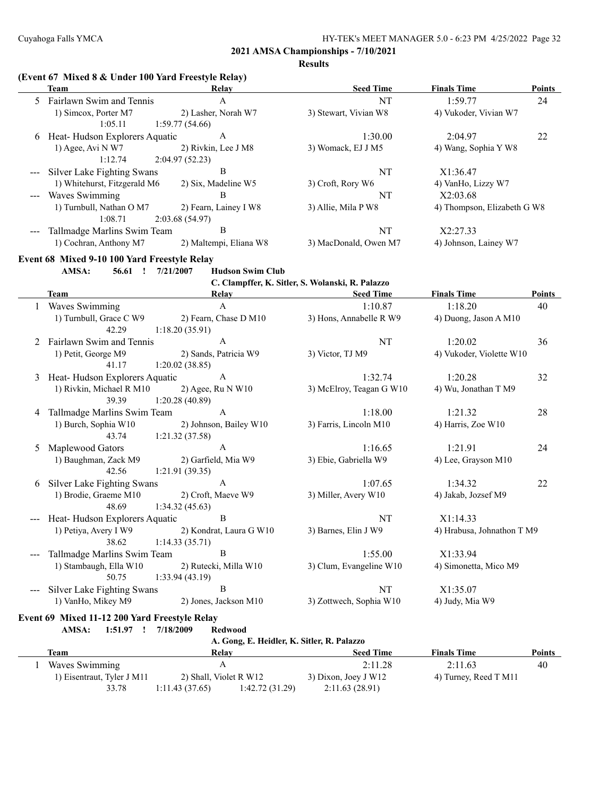**Results**

|               | (Event 67 Mixed 8 & Under 100 Yard Freestyle Relay)<br><b>Team</b> | Relay                                      | <b>Seed Time</b>                                 | <b>Finals Time</b>          | <b>Points</b> |
|---------------|--------------------------------------------------------------------|--------------------------------------------|--------------------------------------------------|-----------------------------|---------------|
|               | 5 Fairlawn Swim and Tennis                                         | $\mathbf{A}$                               | NT                                               | 1:59.77                     | 24            |
|               | 1) Simcox, Porter M7                                               | 2) Lasher, Norah W7                        | 3) Stewart, Vivian W8                            | 4) Vukoder, Vivian W7       |               |
|               | 1:05.11                                                            | 1:59.77(54.66)                             |                                                  |                             |               |
|               | 6 Heat-Hudson Explorers Aquatic                                    | $\mathbf A$                                | 1:30.00                                          | 2:04.97                     | 22            |
|               | 1) Agee, Avi N W7                                                  | 2) Rivkin, Lee J M8                        | 3) Womack, EJ J M5                               | 4) Wang, Sophia Y W8        |               |
|               | 1:12.74                                                            | 2:04.97(52.23)                             |                                                  |                             |               |
|               | Silver Lake Fighting Swans                                         | $\bf{B}$                                   | <b>NT</b>                                        | X1:36.47                    |               |
|               | 1) Whitehurst, Fitzgerald M6                                       | 2) Six, Madeline W5                        | 3) Croft, Rory W6                                | 4) VanHo, Lizzy W7          |               |
|               | Waves Swimming                                                     | B                                          | NT                                               | X2:03.68                    |               |
|               | 1) Turnbull, Nathan O M7<br>1:08.71                                | 2) Fearn, Lainey I W8<br>2:03.68(54.97)    | 3) Allie, Mila P W8                              | 4) Thompson, Elizabeth G W8 |               |
| $\sim$ $\sim$ | Tallmadge Marlins Swim Team                                        | B                                          | NT                                               | X2:27.33                    |               |
|               | 1) Cochran, Anthony M7                                             | 2) Maltempi, Eliana W8                     | 3) MacDonald, Owen M7                            | 4) Johnson, Lainey W7       |               |
|               | Event 68 Mixed 9-10 100 Yard Freestyle Relay                       |                                            |                                                  |                             |               |
|               | AMSA:<br>56.61 !                                                   | <b>Hudson Swim Club</b><br>7/21/2007       |                                                  |                             |               |
|               |                                                                    |                                            | C. Clampffer, K. Sitler, S. Wolanski, R. Palazzo |                             |               |
|               | <b>Team</b>                                                        | <b>Relay</b>                               | <b>Seed Time</b>                                 | <b>Finals Time</b>          | <b>Points</b> |
|               | 1 Waves Swimming                                                   | $\boldsymbol{\mathsf{A}}$                  | 1:10.87                                          | 1:18.20                     | 40            |
|               | 1) Turnbull, Grace C W9                                            | 2) Fearn, Chase D M10                      | 3) Hons, Annabelle R W9                          | 4) Duong, Jason A M10       |               |
|               | 42.29                                                              | 1:18.20(35.91)                             |                                                  |                             |               |
| 2             | Fairlawn Swim and Tennis                                           | $\mathbf{A}$                               | NT                                               | 1:20.02                     | 36            |
|               | 1) Petit, George M9                                                | 2) Sands, Patricia W9                      | 3) Victor, TJ M9                                 | 4) Vukoder, Violette W10    |               |
|               | 41.17                                                              | 1:20.02(38.85)                             |                                                  |                             |               |
| 3             | Heat-Hudson Explorers Aquatic                                      | $\boldsymbol{A}$                           | 1:32.74                                          | 1:20.28                     | 32            |
|               | 1) Rivkin, Michael R M10                                           | 2) Agee, Ru N W10                          | 3) McElroy, Teagan G W10                         | 4) Wu, Jonathan T M9        |               |
|               | 39.39                                                              | 1:20.28(40.89)                             |                                                  |                             |               |
| 4             | Tallmadge Marlins Swim Team                                        | $\mathbf{A}$                               | 1:18.00                                          | 1:21.32                     | 28            |
|               | 1) Burch, Sophia W10                                               | 2) Johnson, Bailey W10                     | 3) Farris, Lincoln M10                           | 4) Harris, Zoe W10          |               |
|               | 43.74                                                              | 1:21.32(37.58)<br>$\mathbf A$              | 1:16.65                                          | 1:21.91                     |               |
| 5             | Maplewood Gators<br>1) Baughman, Zack M9                           | 2) Garfield, Mia W9                        | 3) Ebie, Gabriella W9                            | 4) Lee, Grayson M10         | 24            |
|               | 42.56                                                              | 1:21.91(39.35)                             |                                                  |                             |               |
| 6             | Silver Lake Fighting Swans                                         | $\mathbf{A}$                               | 1:07.65                                          | 1:34.32                     | 22            |
|               | 1) Brodie, Graeme M10                                              | 2) Croft, Maeve W9                         | 3) Miller, Avery W10                             | 4) Jakab, Jozsef M9         |               |
|               | 48.69                                                              | 1:34.32(45.63)                             |                                                  |                             |               |
| $\frac{1}{2}$ | Heat-Hudson Explorers Aquatic                                      | $\, {\bf B}$                               | NT                                               | X1:14.33                    |               |
|               | 1) Petiya, Avery I W9                                              | 2) Kondrat, Laura G W10                    | 3) Barnes, Elin J W9                             | 4) Hrabusa, Johnathon T M9  |               |
|               | 38.62                                                              | 1:14.33(35.71)                             |                                                  |                             |               |
| $---$         | Tallmadge Marlins Swim Team                                        | $\, {\bf B}$                               | 1:55.00                                          | X1:33.94                    |               |
|               | 1) Stambaugh, Ella W10                                             | 2) Rutecki, Milla W10                      | 3) Clum, Evangeline W10                          | 4) Simonetta, Mico M9       |               |
|               | 50.75                                                              | 1:33.94(43.19)                             |                                                  |                             |               |
|               | Silver Lake Fighting Swans                                         | B                                          | NT                                               | X1:35.07                    |               |
|               | 1) VanHo, Mikey M9                                                 | 2) Jones, Jackson M10                      | 3) Zottwech, Sophia W10                          | 4) Judy, Mia W9             |               |
|               | Event 69 Mixed 11-12 200 Yard Freestyle Relay                      |                                            |                                                  |                             |               |
|               | AMSA:<br>$1:51.97$ !                                               | 7/18/2009<br><b>Redwood</b>                |                                                  |                             |               |
|               |                                                                    | A. Gong, E. Heidler, K. Sitler, R. Palazzo |                                                  |                             |               |

| Team                       | Relay                  |                | <b>Seed Time</b>     | <b>Finals Time</b>    | <b>Points</b> |
|----------------------------|------------------------|----------------|----------------------|-----------------------|---------------|
| Waves Swimming             |                        |                | 2:11.28              | 2:11.63               | 40            |
| 1) Eisentraut, Tyler J M11 | 2) Shall, Violet R W12 |                | 3) Dixon, Joey J W12 | 4) Turney, Reed T M11 |               |
| 33.78                      | 1:11.43(37.65)         | 1:42.72(31.29) | 2:11.63(28.91)       |                       |               |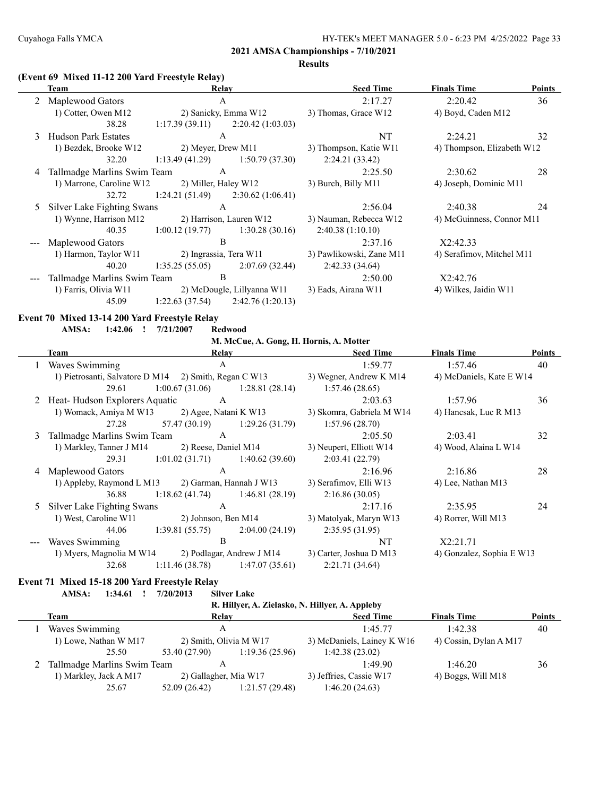2:21.71 (34.64)

#### **2021 AMSA Championships - 7/10/2021**

**Results**

#### **(Event 69 Mixed 11-12 200 Yard Freestyle Relay)**

|   | <b>Team</b>                                           | Relay                  |                                         | <b>Seed Time</b>          | <b>Finals Time</b>         | <b>Points</b> |
|---|-------------------------------------------------------|------------------------|-----------------------------------------|---------------------------|----------------------------|---------------|
|   | Maplewood Gators                                      | $\mathbf{A}$           |                                         | 2:17.27                   | 2:20.42                    | 36            |
|   | 1) Cotter, Owen M12                                   |                        | 2) Sanicky, Emma W12                    | 3) Thomas, Grace W12      | 4) Boyd, Caden M12         |               |
|   | 38.28                                                 | 1:17.39(39.11)         | 2:20.42(1:03.03)                        |                           |                            |               |
| 3 | <b>Hudson Park Estates</b>                            | $\mathbf{A}$           |                                         | <b>NT</b>                 | 2:24.21                    | 32            |
|   | 1) Bezdek, Brooke W12                                 | 2) Meyer, Drew M11     |                                         | 3) Thompson, Katie W11    | 4) Thompson, Elizabeth W12 |               |
|   | 32.20                                                 | 1:13.49(41.29)         | 1:50.79(37.30)                          | 2:24.21(33.42)            |                            |               |
| 4 | Tallmadge Marlins Swim Team                           | $\mathbf{A}$           |                                         | 2:25.50                   | 2:30.62                    | 28            |
|   | 1) Marrone, Caroline W12                              | 2) Miller, Haley W12   |                                         | 3) Burch, Billy M11       | 4) Joseph, Dominic M11     |               |
|   | 32.72                                                 | 1:24.21(51.49)         | 2:30.62(1:06.41)                        |                           |                            |               |
| 5 | Silver Lake Fighting Swans                            | $\mathbf{A}$           |                                         | 2:56.04                   | 2:40.38                    | 24            |
|   | 1) Wynne, Harrison M12                                |                        | 2) Harrison, Lauren W12                 | 3) Nauman, Rebecca W12    | 4) McGuinness, Connor M11  |               |
|   | 40.35                                                 | 1:00.12(19.77)         | 1:30.28(30.16)                          | 2:40.38(1:10.10)          |                            |               |
|   | Maplewood Gators                                      | B                      |                                         | 2:37.16                   | X2:42.33                   |               |
|   | 1) Harmon, Taylor W11                                 | 2) Ingrassia, Tera W11 |                                         | 3) Pawlikowski, Zane M11  | 4) Serafimov, Mitchel M11  |               |
|   | 40.20                                                 | 1:35.25(55.05)         | 2:07.69(32.44)                          | 2:42.33(34.64)            |                            |               |
|   | Tallmadge Marlins Swim Team                           | B                      |                                         | 2:50.00                   | X2:42.76                   |               |
|   | 1) Farris, Olivia W11                                 |                        | 2) McDougle, Lillyanna W11              | 3) Eads, Airana W11       | 4) Wilkes, Jaidin W11      |               |
|   | 45.09                                                 | 1:22.63(37.54)         | 2:42.76(1:20.13)                        |                           |                            |               |
|   | Event 70 Mixed 13-14 200 Yard Freestyle Relay         |                        |                                         |                           |                            |               |
|   | AMSA:<br>$1:42.06$ !                                  | 7/21/2007              | <b>Redwood</b>                          |                           |                            |               |
|   |                                                       |                        | M. McCue, A. Gong, H. Hornis, A. Motter |                           |                            |               |
|   | <b>Team</b>                                           | Relay                  |                                         | <b>Seed Time</b>          | <b>Finals Time</b>         | <b>Points</b> |
| 1 | Waves Swimming                                        | $\overline{A}$         |                                         | 1:59.77                   | 1:57.46                    | 40            |
|   | 1) Pietrosanti, Salvatore D M14 2) Smith, Regan C W13 |                        |                                         | 3) Wegner, Andrew K M14   | 4) McDaniels, Kate E W14   |               |
|   | 29.61                                                 | 1:00.67(31.06)         | 1:28.81(28.14)                          | 1:57.46(28.65)            |                            |               |
| 2 | Heat-Hudson Explorers Aquatic                         | A                      |                                         | 2:03.63                   | 1:57.96                    | 36            |
|   | 1) Womack, Amiya M W13                                | 2) Agee, Natani K W13  |                                         | 3) Skomra, Gabriela M W14 | 4) Hancsak, Luc R M13      |               |

| $\epsilon$ - Treat Tradition Expressed requested |               |                       |                     |
|--------------------------------------------------|---------------|-----------------------|---------------------|
| 1) Womack, Amiya M W13                           |               | 2) Agee, Natani K W13 | 3) Skomra, Gabriela |
| 27.28                                            | 57.47 (30.19) | 1:29.26(31.79)        | 1:57.96(28.70)      |
| 2. Tellmodes Menting Crysing Team                |               |                       | 2.05                |

| 3 Tallmadge Marlins Swim Team                  |                      |                | 2:05.50                 | 2:03.41               |           |
|------------------------------------------------|----------------------|----------------|-------------------------|-----------------------|-----------|
| 1) Markley, Tanner J M14                       | 2) Reese, Daniel M14 |                | 3) Neupert, Elliott W14 | 4) Wood, Alaina L W14 |           |
| 29.31                                          | 1:01.02(31.71)       | 1:40.62(39.60) | 2:03.41(22.79)          |                       |           |
| $\overline{A}$ $\overline{M}$ 1 $\overline{C}$ |                      |                | 2.100                   | 2.160                 | $\bigcap$ |

| 4 Maplewood Gators        |                |                         | 2:16.96                | 2:16.86            | 28 |
|---------------------------|----------------|-------------------------|------------------------|--------------------|----|
| 1) Appleby, Raymond L M13 |                | 2) Garman, Hannah J W13 | 3) Serafimov, Elli W13 | 4) Lee, Nathan M13 |    |
| 36.88                     | 1:18.62(41.74) | 1:46.81(28.19)          | 2:16.86(30.05)         |                    |    |

|       | 5 Silver Lake Fighting Swans |                     |                           | 2:17.16                 | 2:35.95                   | 24 |
|-------|------------------------------|---------------------|---------------------------|-------------------------|---------------------------|----|
|       | 1) West, Caroline W11        | 2) Johnson, Ben M14 |                           | 3) Matolyak, Maryn W13  | 4) Rorrer, Will M13       |    |
|       | 44.06                        | 1:39.81(55.75)      | 2:04.00(24.19)            | 2:35.95(31.95)          |                           |    |
| $---$ | Waves Swimming               |                     |                           | NT                      | X2:21.71                  |    |
|       | 1) Myers, Magnolia M W14     |                     | 2) Podlagar, Andrew J M14 | 3) Carter, Joshua D M13 | 4) Gonzalez, Sophia E W13 |    |

| 1) Myers, Magnolia M W14 |                | 2) Podlagar, Andrew J M14 |
|--------------------------|----------------|---------------------------|
| 32.68                    | 1:11.46(38.78) | 1:47.07(35.61)            |

#### **Event 71 Mixed 15-18 200 Yard Freestyle Relay**

**AMSA: 1:34.61 ! 7/20/2013 Silver Lake**

|      | R. Hillyer, A. Zielasko, N. Hillyer, A. Appleby |                                                      |                |                            |                        |               |  |  |  |
|------|-------------------------------------------------|------------------------------------------------------|----------------|----------------------------|------------------------|---------------|--|--|--|
| Team |                                                 | Relay                                                |                | <b>Seed Time</b>           | <b>Finals Time</b>     | <b>Points</b> |  |  |  |
|      | Waves Swimming                                  |                                                      |                | 1:45.77                    | 1:42.38                | 40            |  |  |  |
|      | 1) Lowe, Nathan W M17                           | 2) Smith, Olivia M W17                               |                | 3) McDaniels, Lainey K W16 | 4) Cossin, Dylan A M17 |               |  |  |  |
|      | 25.50                                           | 53.40 (27.90)                                        | 1:19.36(25.96) | 1:42.38(23.02)             |                        |               |  |  |  |
|      |                                                 | Tallmadge Marlins Swim Team<br>2) Gallagher, Mia W17 |                | 1:49.90                    | 1:46.20                | 36            |  |  |  |
|      | 1) Markley, Jack A M17                          |                                                      |                | 3) Jeffries, Cassie W17    | 4) Boggs, Will M18     |               |  |  |  |
|      | 25.67                                           | 52.09 (26.42)                                        | 1:21.57(29.48) | 1:46.20(24.63)             |                        |               |  |  |  |